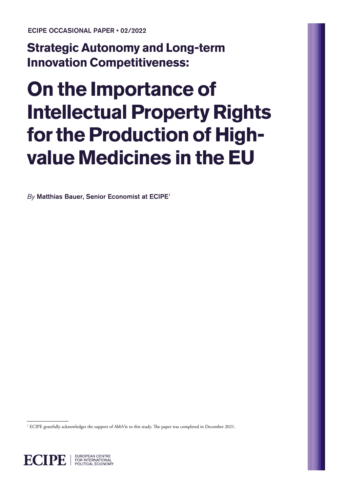ECIPE OCCASIONAL PAPER • 02/2022

**Strategic Autonomy and Long-term Innovation Competitiveness:** 

# **On the Importance of Intellectual Property Rights for the Production of Highvalue Medicines in the EU**

 $By$  Matthias Bauer, Senior Economist at ECIPE<sup>1</sup>

<sup>1</sup> ECIPE gratefully acknowledges the support of AbbVie to this study. The paper was completed in December 2021.

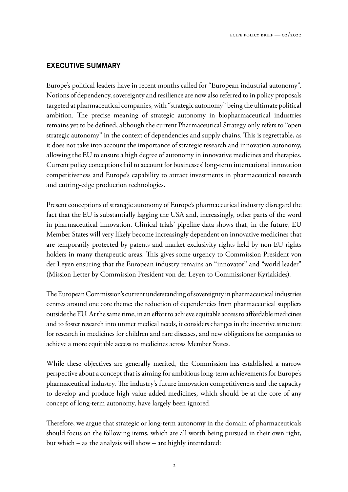## EXECUTIVE SUMMARY

Europe's political leaders have in recent months called for "European industrial autonomy". Notions of dependency, sovereignty and resilience are now also referred to in policy proposals targeted at pharmaceutical companies, with "strategic autonomy" being the ultimate political ambition. The precise meaning of strategic autonomy in biopharmaceutical industries remains yet to be defined, although the current Pharmaceutical Strategy only refers to "open strategic autonomy" in the context of dependencies and supply chains. This is regrettable, as it does not take into account the importance of strategic research and innovation autonomy, allowing the EU to ensure a high degree of autonomy in innovative medicines and therapies. Current policy conceptions fail to account for businesses' long-term international innovation competitiveness and Europe's capability to attract investments in pharmaceutical research and cutting-edge production technologies.

Present conceptions of strategic autonomy of Europe's pharmaceutical industry disregard the fact that the EU is substantially lagging the USA and, increasingly, other parts of the word in pharmaceutical innovation. Clinical trials' pipeline data shows that, in the future, EU Member States will very likely become increasingly dependent on innovative medicines that are temporarily protected by patents and market exclusivity rights held by non-EU rights holders in many therapeutic areas. This gives some urgency to Commission President von der Leyen ensuring that the European industry remains an "innovator" and "world leader" (Mission Letter by Commission President von der Leyen to Commissioner Kyriakides).

The European Commission's current understanding of sovereignty in pharmaceutical industries centres around one core theme: the reduction of dependencies from pharmaceutical suppliers outside the EU. At the same time, in an effort to achieve equitable access to affordable medicines and to foster research into unmet medical needs, it considers changes in the incentive structure for research in medicines for children and rare diseases, and new obligations for companies to achieve a more equitable access to medicines across Member States.

While these objectives are generally merited, the Commission has established a narrow perspective about a concept that is aiming for ambitious long-term achievements for Europe's pharmaceutical industry. The industry's future innovation competitiveness and the capacity to develop and produce high value-added medicines, which should be at the core of any concept of long-term autonomy, have largely been ignored.

Therefore, we argue that strategic or long-term autonomy in the domain of pharmaceuticals should focus on the following items, which are all worth being pursued in their own right, but which – as the analysis will show – are highly interrelated: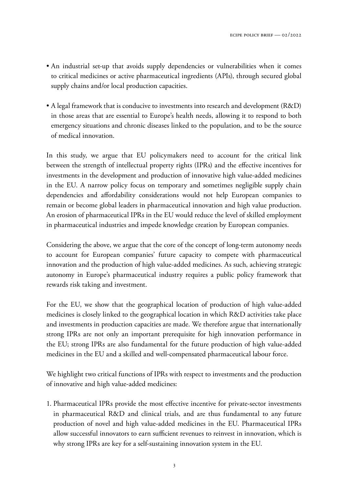- An industrial set-up that avoids supply dependencies or vulnerabilities when it comes to critical medicines or active pharmaceutical ingredients (APIs), through secured global supply chains and/or local production capacities.
- A legal framework that is conducive to investments into research and development (R&D) in those areas that are essential to Europe's health needs, allowing it to respond to both emergency situations and chronic diseases linked to the population, and to be the source of medical innovation.

In this study, we argue that EU policymakers need to account for the critical link between the strength of intellectual property rights (IPRs) and the effective incentives for investments in the development and production of innovative high value-added medicines in the EU. A narrow policy focus on temporary and sometimes negligible supply chain dependencies and affordability considerations would not help European companies to remain or become global leaders in pharmaceutical innovation and high value production. An erosion of pharmaceutical IPRs in the EU would reduce the level of skilled employment in pharmaceutical industries and impede knowledge creation by European companies.

Considering the above, we argue that the core of the concept of long-term autonomy needs to account for European companies' future capacity to compete with pharmaceutical innovation and the production of high value-added medicines. As such, achieving strategic autonomy in Europe's pharmaceutical industry requires a public policy framework that rewards risk taking and investment.

For the EU, we show that the geographical location of production of high value-added medicines is closely linked to the geographical location in which R&D activities take place and investments in production capacities are made. We therefore argue that internationally strong IPRs are not only an important prerequisite for high innovation performance in the EU; strong IPRs are also fundamental for the future production of high value-added medicines in the EU and a skilled and well-compensated pharmaceutical labour force.

We highlight two critical functions of IPRs with respect to investments and the production of innovative and high value-added medicines:

1. Pharmaceutical IPRs provide the most effective incentive for private-sector investments in pharmaceutical R&D and clinical trials, and are thus fundamental to any future production of novel and high value-added medicines in the EU. Pharmaceutical IPRs allow successful innovators to earn sufficient revenues to reinvest in innovation, which is why strong IPRs are key for a self-sustaining innovation system in the EU.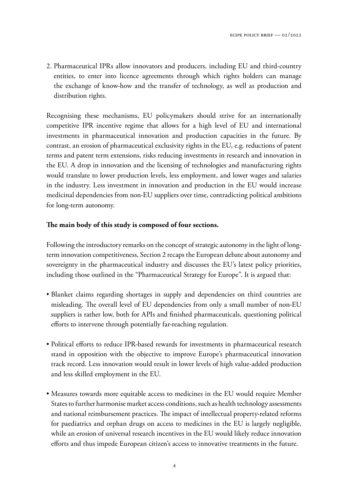2. Pharmaceutical IPRs allow innovators and producers, including EU and third-country entities, to enter into licence agreements through which rights holders can manage the exchange of know-how and the transfer of technology, as well as production and distribution rights.

Recognising these mechanisms, EU policymakers should strive for an internationally competitive IPR incentive regime that allows for a high level of EU and international investments in pharmaceutical innovation and production capacities in the future. By contrast, an erosion of pharmaceutical exclusivity rights in the EU, e.g. reductions of patent terms and patent term extensions, risks reducing investments in research and innovation in the EU. A drop in innovation and the licensing of technologies and manufacturing rights would translate to lower production levels, less employment, and lower wages and salaries in the industry. Less investment in innovation and production in the EU would increase medicinal dependencies from non-EU suppliers over time, contradicting political ambitions for long-term autonomy.

#### **!e main body of this study is composed of four sections.**

Following the introductory remarks on the concept of strategic autonomy in the light of longterm innovation competitiveness, Section 2 recaps the European debate about autonomy and sovereignty in the pharmaceutical industry and discusses the EU's latest policy priorities, including those outlined in the "Pharmaceutical Strategy for Europe". It is argued that:

- Blanket claims regarding shortages in supply and dependencies on third countries are misleading. The overall level of EU dependencies from only a small number of non-EU suppliers is rather low, both for APIs and finished pharmaceuticals, questioning political efforts to intervene through potentially far-reaching regulation.
- Political efforts to reduce IPR-based rewards for investments in pharmaceutical research stand in opposition with the objective to improve Europe's pharmaceutical innovation track record. Less innovation would result in lower levels of high value-added production and less skilled employment in the EU.
- Measures towards more equitable access to medicines in the EU would require Member States to further harmonise market access conditions, such as health technology assessments and national reimbursement practices. The impact of intellectual property-related reforms for paediatrics and orphan drugs on access to medicines in the EU is largely negligible, while an erosion of universal research incentives in the EU would likely reduce innovation efforts and thus impede European citizen's access to innovative treatments in the future.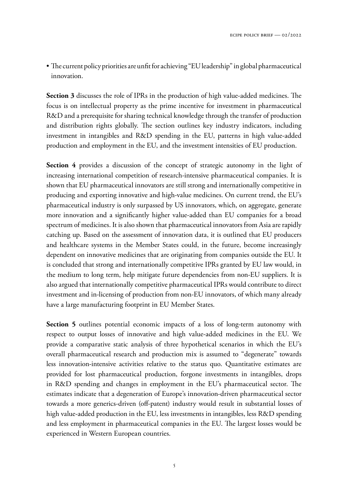• The current policy priorities are unfit for achieving "EU leadership" in global pharmaceutical innovation.

**Section 3** discusses the role of IPRs in the production of high value-added medicines. The focus is on intellectual property as the prime incentive for investment in pharmaceutical R&D and a prerequisite for sharing technical knowledge through the transfer of production and distribution rights globally. The section outlines key industry indicators, including investment in intangibles and R&D spending in the EU, patterns in high value-added production and employment in the EU, and the investment intensities of EU production.

**Section 4** provides a discussion of the concept of strategic autonomy in the light of increasing international competition of research-intensive pharmaceutical companies. It is shown that EU pharmaceutical innovators are still strong and internationally competitive in producing and exporting innovative and high-value medicines. On current trend, the EU's pharmaceutical industry is only surpassed by US innovators, which, on aggregate, generate more innovation and a significantly higher value-added than EU companies for a broad spectrum of medicines. It is also shown that pharmaceutical innovators from Asia are rapidly catching up. Based on the assessment of innovation data, it is outlined that EU producers and healthcare systems in the Member States could, in the future, become increasingly dependent on innovative medicines that are originating from companies outside the EU. It is concluded that strong and internationally competitive IPRs granted by EU law would, in the medium to long term, help mitigate future dependencies from non-EU suppliers. It is also argued that internationally competitive pharmaceutical IPRs would contribute to direct investment and in-licensing of production from non-EU innovators, of which many already have a large manufacturing footprint in EU Member States.

**Section 5** outlines potential economic impacts of a loss of long-term autonomy with respect to output losses of innovative and high value-added medicines in the EU. We provide a comparative static analysis of three hypothetical scenarios in which the EU's overall pharmaceutical research and production mix is assumed to "degenerate" towards less innovation-intensive activities relative to the status quo. Quantitative estimates are provided for lost pharmaceutical production, forgone investments in intangibles, drops in  $R&D$  spending and changes in employment in the EU's pharmaceutical sector. The estimates indicate that a degeneration of Europe's innovation-driven pharmaceutical sector towards a more generics-driven (off-patent) industry would result in substantial losses of high value-added production in the EU, less investments in intangibles, less R&D spending and less employment in pharmaceutical companies in the EU. The largest losses would be experienced in Western European countries.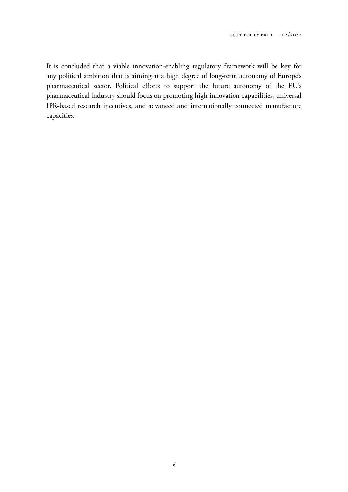It is concluded that a viable innovation-enabling regulatory framework will be key for any political ambition that is aiming at a high degree of long-term autonomy of Europe's pharmaceutical sector. Political efforts to support the future autonomy of the EU's pharmaceutical industry should focus on promoting high innovation capabilities, universal IPR-based research incentives, and advanced and internationally connected manufacture capacities.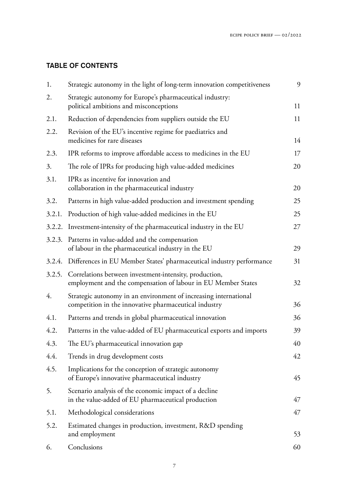# TABLE OF CONTENTS

| Strategic autonomy in the light of long-term innovation competitiveness                                                           | 9  |
|-----------------------------------------------------------------------------------------------------------------------------------|----|
| Strategic autonomy for Europe's pharmaceutical industry:<br>political ambitions and misconceptions                                | 11 |
| Reduction of dependencies from suppliers outside the EU                                                                           | 11 |
| Revision of the EU's incentive regime for paediatrics and<br>medicines for rare diseases                                          | 14 |
| IPR reforms to improve affordable access to medicines in the EU                                                                   | 17 |
| The role of IPRs for producing high value-added medicines                                                                         | 20 |
| IPRs as incentive for innovation and<br>collaboration in the pharmaceutical industry                                              | 20 |
| Patterns in high value-added production and investment spending                                                                   | 25 |
| Production of high value-added medicines in the EU                                                                                | 25 |
| Investment-intensity of the pharmaceutical industry in the EU                                                                     | 27 |
| 3.2.3. Patterns in value-added and the compensation<br>of labour in the pharmaceutical industry in the EU                         | 29 |
| 3.2.4. Differences in EU Member States' pharmaceutical industry performance                                                       | 31 |
| Correlations between investment-intensity, production,<br>3.2.5.<br>employment and the compensation of labour in EU Member States | 32 |
| Strategic autonomy in an environment of increasing international<br>competition in the innovative pharmaceutical industry         | 36 |
| Patterns and trends in global pharmaceutical innovation                                                                           | 36 |
| Patterns in the value-added of EU pharmaceutical exports and imports                                                              | 39 |
| The EU's pharmaceutical innovation gap                                                                                            | 40 |
| Trends in drug development costs                                                                                                  | 42 |
| Implications for the conception of strategic autonomy<br>of Europe's innovative pharmaceutical industry                           | 45 |
| Scenario analysis of the economic impact of a decline<br>in the value-added of EU pharmaceutical production                       | 47 |
| Methodological considerations                                                                                                     | 47 |
| Estimated changes in production, investment, R&D spending<br>and employment                                                       | 53 |
| Conclusions                                                                                                                       | 60 |
|                                                                                                                                   |    |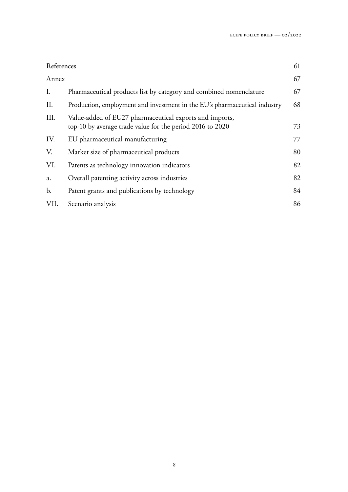| References     |                                                                                                                      | 61 |
|----------------|----------------------------------------------------------------------------------------------------------------------|----|
| Annex          |                                                                                                                      | 67 |
| I.             | Pharmaceutical products list by category and combined nomenclature                                                   | 67 |
| II.            | Production, employment and investment in the EU's pharmaceutical industry                                            | 68 |
| III.           | Value-added of EU27 pharmaceutical exports and imports,<br>top-10 by average trade value for the period 2016 to 2020 | 73 |
| IV.            | EU pharmaceutical manufacturing                                                                                      | 77 |
| V.             | Market size of pharmaceutical products                                                                               | 80 |
| VI.            | Patents as technology innovation indicators                                                                          | 82 |
| a.             | Overall patenting activity across industries                                                                         | 82 |
| $\mathbf{b}$ . | Patent grants and publications by technology                                                                         | 84 |
| VII.           | Scenario analysis                                                                                                    | 86 |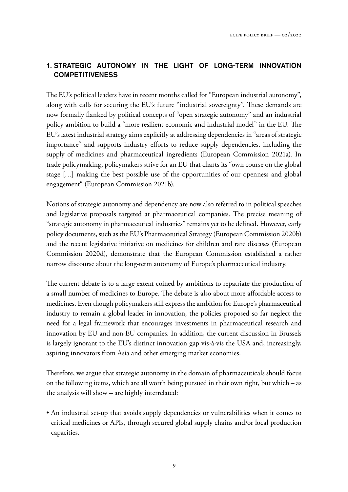## 1. STRATEGIC AUTONOMY IN THE LIGHT OF LONG-TERM INNOVATION **COMPETITIVENESS**

The EU's political leaders have in recent months called for "European industrial autonomy", along with calls for securing the EU's future "industrial sovereignty". These demands are now formally flanked by political concepts of "open strategic autonomy" and an industrial policy ambition to build a "more resilient economic and industrial model" in the EU. The EU's latest industrial strategy aims explicitly at addressing dependencies in "areas of strategic importance" and supports industry efforts to reduce supply dependencies, including the supply of medicines and pharmaceutical ingredients (European Commission 2021a). In trade policymaking, policymakers strive for an EU that charts its "own course on the global stage […] making the best possible use of the opportunities of our openness and global engagement" (European Commission 2021b).

Notions of strategic autonomy and dependency are now also referred to in political speeches and legislative proposals targeted at pharmaceutical companies. The precise meaning of "strategic autonomy in pharmaceutical industries" remains yet to be defined. However, early policy documents, such as the EU's Pharmaceutical Strategy (European Commission 2020b) and the recent legislative initiative on medicines for children and rare diseases (European Commission 2020d), demonstrate that the European Commission established a rather narrow discourse about the long-term autonomy of Europe's pharmaceutical industry.

The current debate is to a large extent coined by ambitions to repatriate the production of a small number of medicines to Europe. The debate is also about more affordable access to medicines. Even though policymakers still express the ambition for Europe's pharmaceutical industry to remain a global leader in innovation, the policies proposed so far neglect the need for a legal framework that encourages investments in pharmaceutical research and innovation by EU and non-EU companies. In addition, the current discussion in Brussels is largely ignorant to the EU's distinct innovation gap vis-à-vis the USA and, increasingly, aspiring innovators from Asia and other emerging market economies.

Therefore, we argue that strategic autonomy in the domain of pharmaceuticals should focus on the following items, which are all worth being pursued in their own right, but which – as the analysis will show – are highly interrelated:

• An industrial set-up that avoids supply dependencies or vulnerabilities when it comes to critical medicines or APIs, through secured global supply chains and/or local production capacities.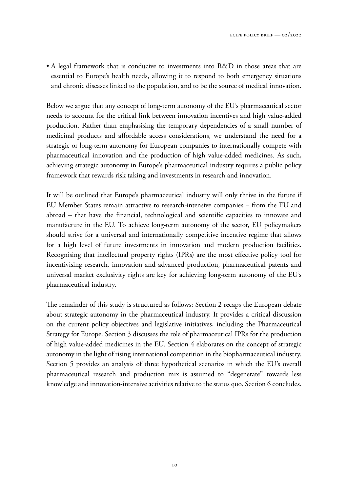• A legal framework that is conducive to investments into R&D in those areas that are essential to Europe's health needs, allowing it to respond to both emergency situations and chronic diseases linked to the population, and to be the source of medical innovation.

Below we argue that any concept of long-term autonomy of the EU's pharmaceutical sector needs to account for the critical link between innovation incentives and high value-added production. Rather than emphasising the temporary dependencies of a small number of medicinal products and affordable access considerations, we understand the need for a strategic or long-term autonomy for European companies to internationally compete with pharmaceutical innovation and the production of high value-added medicines. As such, achieving strategic autonomy in Europe's pharmaceutical industry requires a public policy framework that rewards risk taking and investments in research and innovation.

It will be outlined that Europe's pharmaceutical industry will only thrive in the future if EU Member States remain attractive to research-intensive companies – from the EU and abroad – that have the financial, technological and scientific capacities to innovate and manufacture in the EU. To achieve long-term autonomy of the sector, EU policymakers should strive for a universal and internationally competitive incentive regime that allows for a high level of future investments in innovation and modern production facilities. Recognising that intellectual property rights (IPRs) are the most effective policy tool for incentivising research, innovation and advanced production, pharmaceutical patents and universal market exclusivity rights are key for achieving long-term autonomy of the EU's pharmaceutical industry.

The remainder of this study is structured as follows: Section 2 recaps the European debate about strategic autonomy in the pharmaceutical industry. It provides a critical discussion on the current policy objectives and legislative initiatives, including the Pharmaceutical Strategy for Europe. Section 3 discusses the role of pharmaceutical IPRs for the production of high value-added medicines in the EU. Section 4 elaborates on the concept of strategic autonomy in the light of rising international competition in the biopharmaceutical industry. Section 5 provides an analysis of three hypothetical scenarios in which the EU's overall pharmaceutical research and production mix is assumed to "degenerate" towards less knowledge and innovation-intensive activities relative to the status quo. Section 6 concludes.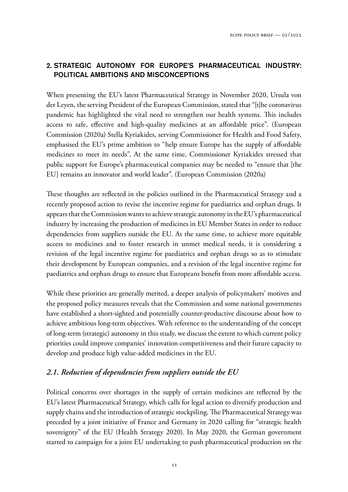## 2. STRATEGIC AUTONOMY FOR EUROPE'S PHARMACEUTICAL INDUSTRY: POLITICAL AMBITIONS AND MISCONCEPTIONS

When presenting the EU's latest Pharmaceutical Strategy in November 2020, Ursula von der Leyen, the serving President of the European Commission, stated that "[t]he coronavirus pandemic has highlighted the vital need to strengthen our health systems. This includes access to safe, effective and high-quality medicines at an affordable price". (European Commission (2020a) Stella Kyriakides, serving Commissioner for Health and Food Safety, emphasised the EU's prime ambition to "help ensure Europe has the supply of affordable medicines to meet its needs". At the same time, Commissioner Kyriakides stressed that public support for Europe's pharmaceutical companies may be needed to "ensure that [the EU] remains an innovator and world leader". (European Commission (2020a)

These thoughts are reflected in the policies outlined in the Pharmaceutical Strategy and a recently proposed action to revise the incentive regime for paediatrics and orphan drugs. It appears that the Commission wants to achieve strategic autonomy in the EU's pharmaceutical industry by increasing the production of medicines in EU Member States in order to reduce dependencies from suppliers outside the EU. At the same time, to achieve more equitable access to medicines and to foster research in unmet medical needs, it is considering a revision of the legal incentive regime for paediatrics and orphan drugs so as to stimulate their development by European companies, and a revision of the legal incentive regime for paediatrics and orphan drugs to ensure that Europeans benefit from more affordable access.

While these priorities are generally merited, a deeper analysis of policymakers' motives and the proposed policy measures reveals that the Commission and some national governments have established a short-sighted and potentially counter-productive discourse about how to achieve ambitious long-term objectives. With reference to the understanding of the concept of long-term (strategic) autonomy in this study, we discuss the extent to which current policy priorities could improve companies' innovation competitiveness and their future capacity to develop and produce high value-added medicines in the EU.

## *2.1. Reduction of dependencies from suppliers outside the EU*

Political concerns over shortages in the supply of certain medicines are reflected by the EU's latest Pharmaceutical Strategy, which calls for legal action to diversify production and supply chains and the introduction of strategic stockpiling. The Pharmaceutical Strategy was preceded by a joint initiative of France and Germany in 2020 calling for "strategic health sovereignty" of the EU (Health Strategy 2020). In May 2020, the German government started to campaign for a joint EU undertaking to push pharmaceutical production on the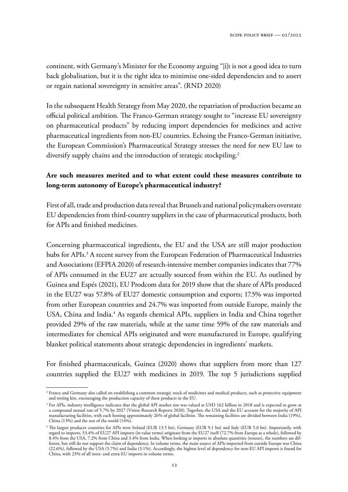continent, with Germany's Minister for the Economy arguing "[i]t is not a good idea to turn back globalisation, but it is the right idea to minimise one-sided dependencies and to assert or regain national sovereignty in sensitive areas". (RND 2020)

In the subsequent Health Strategy from May 2020, the repatriation of production became an official political ambition. The Franco-German strategy sought to "increase EU sovereignty on pharmaceutical products" by reducing import dependencies for medicines and active pharmaceutical ingredients from non-EU countries. Echoing the Franco-German initiative, the European Commission's Pharmaceutical Strategy stresses the need for new EU law to diversify supply chains and the introduction of strategic stockpiling.<sup>2</sup>

## **Are such measures merited and to what extent could these measures contribute to long-term autonomy of Europe's pharmaceutical industry?**

First of all, trade and production data reveal that Brussels and national policymakers overstate EU dependencies from third-country suppliers in the case of pharmaceutical products, both for APIs and finished medicines.

Concerning pharmaceutical ingredients, the EU and the USA are still major production hubs for APIs.<sup>3</sup> A recent survey from the European Federation of Pharmaceutical Industries and Associations (EFPIA 2020) of research-intensive member companies indicates that 77% of APIs consumed in the EU27 are actually sourced from within the EU. As outlined by Guinea and Espés (2021), EU Prodcom data for 2019 show that the share of APIs produced in the EU27 was 57.8% of EU27 domestic consumption and exports; 17.5% was imported from other European countries and 24.7% was imported from outside Europe, mainly the USA, China and India.<sup>4</sup> As regards chemical APIs, suppliers in India and China together provided 29% of the raw materials, while at the same time 59% of the raw materials and intermediates for chemical APIs originated and were manufactured in Europe, qualifying blanket political statements about strategic dependencies in ingredients' markets.

For finished pharmaceuticals, Guinea (2020) shows that suppliers from more than 127 countries supplied the EU27 with medicines in 2019. The top 5 jurisdictions supplied

<sup>2</sup> France and Germany also called on establishing a common strategic stock of medicines and medical products, such as protective equipment and testing kits, encouraging the production capacity of these products in the EU.

<sup>&</sup>lt;sup>3</sup> For APIs, industry intelligence indicates that the global API market size was valued at USD 162 billion in 2018 and is expected to grow at a compound annual rate of 5.7% by 2027 (Vision Research Reports 2020). Together, the USA and the EU account for the majority of API manufacturing facilities, with each hosting approximately 26% of global facilities. The remaining facilities are divided between India (19%), China (13%) and the rest of the world  $(14\%)$ .

<sup>&</sup>lt;sup>4</sup> The largest producer countries for APIs were Ireland (EUR 13.5 bn), Germany (EUR 9.1 bn) and Italy (EUR 5.0 bn). Importantly, with regard to imports, 53.4% of EU27 API imports (in value terms) originate from the EU27 itself (72.7% from Europe as a whole), followed by 8.4% from the USA, 7.2% from China and 3.4% from India. When looking at imports in absolute quantities (tonnes), the numbers are different, but still do not support the claim of dependency. In volume terms, the main source of APIs imported from outside Europe was China (22.6%), followed by the USA (5.7%) and India (3.1%). Accordingly, the highest level of dependency for non-EU API imports is found for China, with 23% of all intra- and extra-EU imports in volume terms.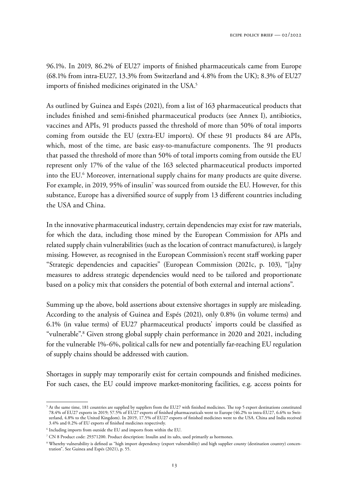96.1%. In 2019, 86.2% of EU27 imports of finished pharmaceuticals came from Europe (68.1% from intra-EU27, 13.3% from Switzerland and 4.8% from the UK); 8.3% of EU27 imports of finished medicines originated in the USA.<sup>5</sup>

As outlined by Guinea and Espés (2021), from a list of 163 pharmaceutical products that includes finished and semi-finished pharmaceutical products (see Annex I), antibiotics, vaccines and APIs, 91 products passed the threshold of more than 50% of total imports coming from outside the EU (extra-EU imports). Of these 91 products 84 are APIs, which, most of the time, are basic easy-to-manufacture components. The 91 products that passed the threshold of more than 50% of total imports coming from outside the EU represent only 17% of the value of the 163 selected pharmaceutical products imported into the EU.<sup>6</sup> Moreover, international supply chains for many products are quite diverse. For example, in 2019, 95% of insulin<sup>7</sup> was sourced from outside the EU. However, for this substance, Europe has a diversified source of supply from 13 different countries including the USA and China.

In the innovative pharmaceutical industry, certain dependencies may exist for raw materials, for which the data, including those mined by the European Commission for APIs and related supply chain vulnerabilities (such as the location of contract manufactures), is largely missing. However, as recognised in the European Commission's recent staff working paper "Strategic dependencies and capacities" (European Commission (2021c, p. 103), "[a]ny measures to address strategic dependencies would need to be tailored and proportionate based on a policy mix that considers the potential of both external and internal actions".

Summing up the above, bold assertions about extensive shortages in supply are misleading. According to the analysis of Guinea and Espés (2021), only 0.8% (in volume terms) and 6.1% (in value terms) of EU27 pharmaceutical products' imports could be classified as "vulnerable".<sup>8</sup> Given strong global supply chain performance in 2020 and 2021, including for the vulnerable 1%-6%, political calls for new and potentially far-reaching EU regulation of supply chains should be addressed with caution.

Shortages in supply may temporarily exist for certain compounds and finished medicines. For such cases, the EU could improve market-monitoring facilities, e.g. access points for

 $5$  At the same time, 181 countries are supplied by suppliers from the EU27 with finished medicines. The top 5 export destinations constituted 78.4% of EU27 exports in 2019; 57.5% of EU27 exports of finished pharmaceuticals went to Europe (46.2% to intra-EU27, 6.6% to Switzerland, 4.8% to the United Kingdom). In 2019, 17.5% of EU27 exports of finished medicines went to the USA. China and India received 3.4% and 0.2% of EU exports of finished medicines respectively.

<sup>6</sup> Including imports from outside the EU and imports from within the EU.

 $^7$  CN 8 Product code: 29371200. Product description: Insulin and its salts, used primarily as hormones.

<sup>8</sup> Whereby vulnerability is defined as "high import dependency (export vulnerability) and high supplier county (destination country) concentration". See Guinea and Espés (2021), p. 55.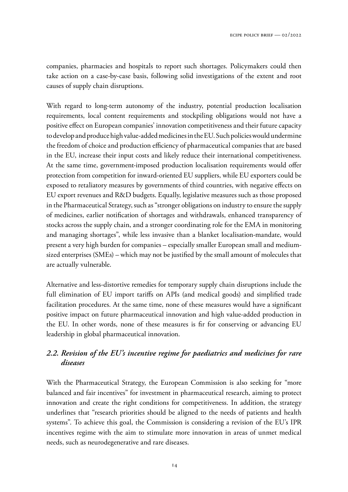companies, pharmacies and hospitals to report such shortages. Policymakers could then take action on a case-by-case basis, following solid investigations of the extent and root causes of supply chain disruptions.

With regard to long-term autonomy of the industry, potential production localisation requirements, local content requirements and stockpiling obligations would not have a positive effect on European companies' innovation competitiveness and their future capacity to develop and produce high value-added medicines in the EU. Such policies would undermine the freedom of choice and production efficiency of pharmaceutical companies that are based in the EU, increase their input costs and likely reduce their international competitiveness. At the same time, government-imposed production localisation requirements would offer protection from competition for inward-oriented EU suppliers, while EU exporters could be exposed to retaliatory measures by governments of third countries, with negative effects on EU export revenues and R&D budgets. Equally, legislative measures such as those proposed in the Pharmaceutical Strategy, such as "stronger obligations on industry to ensure the supply of medicines, earlier notification of shortages and withdrawals, enhanced transparency of stocks across the supply chain, and a stronger coordinating role for the EMA in monitoring and managing shortages", while less invasive than a blanket localisation-mandate, would present a very high burden for companies – especially smaller European small and mediumsized enterprises (SMEs) – which may not be justified by the small amount of molecules that are actually vulnerable.

Alternative and less-distortive remedies for temporary supply chain disruptions include the full elimination of EU import tariffs on APIs (and medical goods) and simplified trade facilitation procedures. At the same time, none of these measures would have a significant positive impact on future pharmaceutical innovation and high value-added production in the EU. In other words, none of these measures is fir for conserving or advancing EU leadership in global pharmaceutical innovation.

## *2.2. Revision of the EU's incentive regime for paediatrics and medicines for rare diseases*

With the Pharmaceutical Strategy, the European Commission is also seeking for "more balanced and fair incentives" for investment in pharmaceutical research, aiming to protect innovation and create the right conditions for competitiveness. In addition, the strategy underlines that "research priorities should be aligned to the needs of patients and health systems". To achieve this goal, the Commission is considering a revision of the EU's IPR incentives regime with the aim to stimulate more innovation in areas of unmet medical needs, such as neurodegenerative and rare diseases.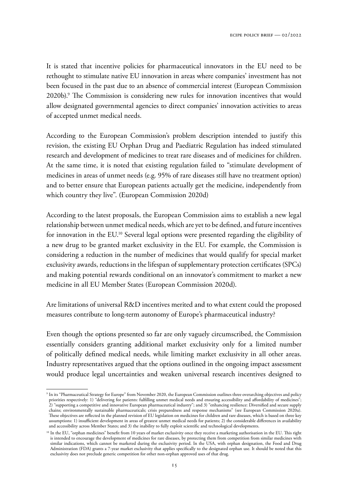It is stated that incentive policies for pharmaceutical innovators in the EU need to be rethought to stimulate native EU innovation in areas where companies' investment has not been focused in the past due to an absence of commercial interest (European Commission  $2020b$ .<sup>9</sup> The Commission is considering new rules for innovation incentives that would allow designated governmental agencies to direct companies' innovation activities to areas of accepted unmet medical needs.

According to the European Commission's problem description intended to justify this revision, the existing EU Orphan Drug and Paediatric Regulation has indeed stimulated research and development of medicines to treat rare diseases and of medicines for children. At the same time, it is noted that existing regulation failed to "stimulate development of medicines in areas of unmet needs (e.g. 95% of rare diseases still have no treatment option) and to better ensure that European patients actually get the medicine, independently from which country they live". (European Commission 2020d)

According to the latest proposals, the European Commission aims to establish a new legal relationship between unmet medical needs, which are yet to be defined, and future incentives for innovation in the EU.<sup>10</sup> Several legal options were presented regarding the eligibility of a new drug to be granted market exclusivity in the EU. For example, the Commission is considering a reduction in the number of medicines that would qualify for special market exclusivity awards, reductions in the lifespan of supplementary protection certificates (SPCs) and making potential rewards conditional on an innovator's commitment to market a new medicine in all EU Member States (European Commission 2020d).

Are limitations of universal R&D incentives merited and to what extent could the proposed measures contribute to long-term autonomy of Europe's pharmaceutical industry?

Even though the options presented so far are only vaguely circumscribed, the Commission essentially considers granting additional market exclusivity only for a limited number of politically defined medical needs, while limiting market exclusivity in all other areas. Industry representatives argued that the options outlined in the ongoing impact assessment would produce legal uncertainties and weaken universal research incentives designed to

<sup>9</sup> In its "Pharmaceutical Strategy for Europe" from November 2020, the European Commission outlines three overarching objectives and policy priorities respectively: 1) "delivering for patients: fulfilling unmet medical needs and ensuring accessibility and affordability of medicines"; 2) "supporting a competitive and innovative European pharmaceutical industry"; and 3) "enhancing resilience: Diversified and secure supply chains; environmentally sustainable pharmaceuticals; crisis preparedness and response mechanisms" (see European Commission 2020a). These objectives are reflected in the planned revision of EU legislation on medicines for children and rare diseases, which is based on three key assumptions: 1) insufficient development in areas of greatest unmet medical needs for patients; 2) the considerable differences in availability and accessibility across Member States; and 3) the inability to fully exploit scientific and technological developments.

<sup>&</sup>lt;sup>10</sup> In the EU, "orphan medicines" benefit from 10 years of market exclusivity once they receive a marketing authorisation in the EU. This right is intended to encourage the development of medicines for rare diseases, by protecting them from competition from similar medicines with similar indications, which cannot be marketed during the exclusivity period. In the USA, with orphan designation, the Food and Drug Administration (FDA) grants a 7-year market exclusivity that applies specifically to the designated orphan use. It should be noted that this exclusivity does not preclude generic competition for other non-orphan approved uses of that drug.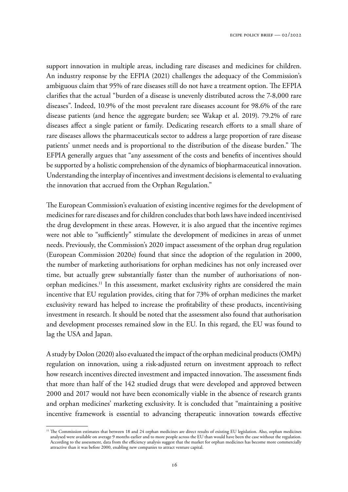support innovation in multiple areas, including rare diseases and medicines for children. An industry response by the EFPIA (2021) challenges the adequacy of the Commission's ambiguous claim that 95% of rare diseases still do not have a treatment option. The EFPIA clarifies that the actual "burden of a disease is unevenly distributed across the 7-8,000 rare diseases". Indeed, 10.9% of the most prevalent rare diseases account for 98.6% of the rare disease patients (and hence the aggregate burden; see Wakap et al. 2019). 79.2% of rare diseases affect a single patient or family. Dedicating research efforts to a small share of rare diseases allows the pharmaceuticals sector to address a large proportion of rare disease patients' unmet needs and is proportional to the distribution of the disease burden." The EFPIA generally argues that "any assessment of the costs and benefits of incentives should be supported by a holistic comprehension of the dynamics of biopharmaceutical innovation. Understanding the interplay of incentives and investment decisions is elemental to evaluating the innovation that accrued from the Orphan Regulation."

The European Commission's evaluation of existing incentive regimes for the development of medicines for rare diseases and for children concludes that both laws have indeed incentivised the drug development in these areas. However, it is also argued that the incentive regimes were not able to "sufficiently" stimulate the development of medicines in areas of unmet needs. Previously, the Commission's 2020 impact assessment of the orphan drug regulation (European Commission 2020e) found that since the adoption of the regulation in 2000, the number of marketing authorisations for orphan medicines has not only increased over time, but actually grew substantially faster than the number of authorisations of nonorphan medicines.<sup>11</sup> In this assessment, market exclusivity rights are considered the main incentive that EU regulation provides, citing that for 73% of orphan medicines the market exclusivity reward has helped to increase the profitability of these products, incentivising investment in research. It should be noted that the assessment also found that authorisation and development processes remained slow in the EU. In this regard, the EU was found to lag the USA and Japan.

A study by Dolon (2020) also evaluated the impact of the orphan medicinal products (OMPs) regulation on innovation, using a risk-adjusted return on investment approach to reflect how research incentives directed investment and impacted innovation. The assessment finds that more than half of the 142 studied drugs that were developed and approved between 2000 and 2017 would not have been economically viable in the absence of research grants and orphan medicines' marketing exclusivity. It is concluded that "maintaining a positive incentive framework is essential to advancing therapeutic innovation towards effective

<sup>&</sup>lt;sup>11</sup> The Commission estimates that between 18 and 24 orphan medicines are direct results of existing EU legislation. Also, orphan medicines analysed were available on average 9 months earlier and to more people across the EU than would have been the case without the regulation. According to the assessment, data from the efficiency analysis suggest that the market for orphan medicines has become more commercially attractive than it was before 2000, enabling new companies to attract venture capital.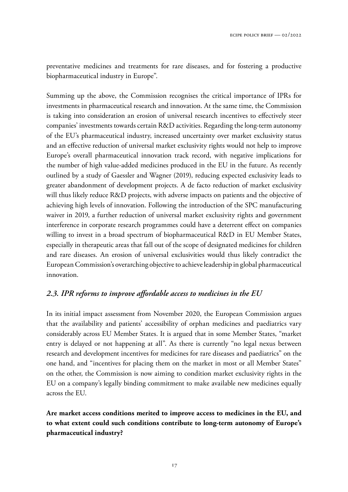preventative medicines and treatments for rare diseases, and for fostering a productive biopharmaceutical industry in Europe".

Summing up the above, the Commission recognises the critical importance of IPRs for investments in pharmaceutical research and innovation. At the same time, the Commission is taking into consideration an erosion of universal research incentives to effectively steer companies' investments towards certain R&D activities. Regarding the long-term autonomy of the EU's pharmaceutical industry, increased uncertainty over market exclusivity status and an effective reduction of universal market exclusivity rights would not help to improve Europe's overall pharmaceutical innovation track record, with negative implications for the number of high value-added medicines produced in the EU in the future. As recently outlined by a study of Gaessler and Wagner (2019), reducing expected exclusivity leads to greater abandonment of development projects. A de facto reduction of market exclusivity will thus likely reduce R&D projects, with adverse impacts on patients and the objective of achieving high levels of innovation. Following the introduction of the SPC manufacturing waiver in 2019, a further reduction of universal market exclusivity rights and government interference in corporate research programmes could have a deterrent effect on companies willing to invest in a broad spectrum of biopharmaceutical R&D in EU Member States, especially in therapeutic areas that fall out of the scope of designated medicines for children and rare diseases. An erosion of universal exclusivities would thus likely contradict the European Commission's overarching objective to achieve leadership in global pharmaceutical innovation.

#### *2.3. IPR reforms to improve affordable access to medicines in the EU*

In its initial impact assessment from November 2020, the European Commission argues that the availability and patients' accessibility of orphan medicines and paediatrics vary considerably across EU Member States. It is argued that in some Member States, "market entry is delayed or not happening at all". As there is currently "no legal nexus between research and development incentives for medicines for rare diseases and paediatrics" on the one hand, and "incentives for placing them on the market in most or all Member States" on the other, the Commission is now aiming to condition market exclusivity rights in the EU on a company's legally binding commitment to make available new medicines equally across the EU.

**Are market access conditions merited to improve access to medicines in the EU, and to what extent could such conditions contribute to long-term autonomy of Europe's pharmaceutical industry?**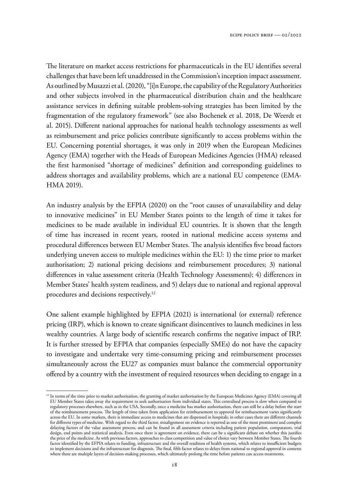The literature on market access restrictions for pharmaceuticals in the EU identifies several challenges that have been left unaddressed in the Commission's inception impact assessment. As outlined by Musazzi et al. (2020), "[i]n Europe, the capability of the Regulatory Authorities and other subjects involved in the pharmaceutical distribution chain and the healthcare assistance services in defining suitable problem-solving strategies has been limited by the fragmentation of the regulatory framework" (see also Bochenek et al. 2018, De Weerdt et al. 2015). Different national approaches for national health technology assessments as well as reimbursement and price policies contribute significantly to access problems within the EU. Concerning potential shortages, it was only in 2019 when the European Medicines Agency (EMA) together with the Heads of European Medicines Agencies (HMA) released the first harmonised "shortage of medicines" definition and corresponding guidelines to address shortages and availability problems, which are a national EU competence (EMA-HMA 2019).

An industry analysis by the EFPIA (2020) on the "root causes of unavailability and delay to innovative medicines" in EU Member States points to the length of time it takes for medicines to be made available in individual EU countries. It is shown that the length of time has increased in recent years, rooted in national medicine access systems and procedural differences between EU Member States. The analysis identifies five broad factors underlying uneven access to multiple medicines within the EU: 1) the time prior to market authorisation; 2) national pricing decisions and reimbursement procedures; 3) national differences in value assessment criteria (Health Technology Assessments); 4) differences in Member States' health system readiness, and 5) delays due to national and regional approval procedures and decisions respectively.<sup>12</sup>

One salient example highlighted by EFPIA (2021) is international (or external) reference pricing (IRP), which is known to create significant disincentives to launch medicines in less wealthy countries. A large body of scientific research confirms the negative impact of IRP. It is further stressed by EFPIA that companies (especially SMEs) do not have the capacity to investigate and undertake very time-consuming pricing and reimbursement processes simultaneously across the EU27 as companies must balance the commercial opportunity offered by a country with the investment of required resources when deciding to engage in a

<sup>&</sup>lt;sup>12</sup> In terms of the time prior to market authorisation, the granting of market authorisation by the European Medicines Agency (EMA) covering all EU Member States takes away the requirement to seek authorisation from individual states. This centralised process is slow when compared to regulatory processes elsewhere, such as in the USA. Secondly, once a medicine has market authorisation, there can still be a delay before the start of the reimbursement process. !e length of time taken from application for reimbursement to approval for reimbursement varies significantly across the EU. In some markets, there is immediate access to medicines that are dispensed in hospitals; in other cases there are different channels for different types of medicine. With regard to the third factor, misalignment on evidence is reported as one of the most prominent and complex delaying factors of the value assessment process, and can be found in all assessment criteria including patient population, comparators, trial design, end points and statistical analysis. Even once there is agreement on evidence, there can be a significant debate on whether this justifies the price of the medicine. As with previous factors, approaches to class competition and value of choice vary between Member States. The fourth factor identified by the EFPIA relates to funding, infrastructure and the overall readiness of health systems, which relates to insufficient budgets to implement decisions and the infrastructure for diagnosis. The final, fifth factor relates to delays from national to regional approval in contexts where there are multiple layers of decision-making processes, which ultimately prolong the time before patients can access treatments.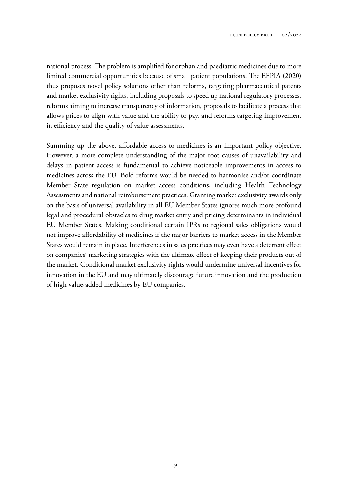national process. The problem is amplified for orphan and paediatric medicines due to more limited commercial opportunities because of small patient populations. The EFPIA (2020) thus proposes novel policy solutions other than reforms, targeting pharmaceutical patents and market exclusivity rights, including proposals to speed up national regulatory processes, reforms aiming to increase transparency of information, proposals to facilitate a process that allows prices to align with value and the ability to pay, and reforms targeting improvement in efficiency and the quality of value assessments.

Summing up the above, affordable access to medicines is an important policy objective. However, a more complete understanding of the major root causes of unavailability and delays in patient access is fundamental to achieve noticeable improvements in access to medicines across the EU. Bold reforms would be needed to harmonise and/or coordinate Member State regulation on market access conditions, including Health Technology Assessments and national reimbursement practices. Granting market exclusivity awards only on the basis of universal availability in all EU Member States ignores much more profound legal and procedural obstacles to drug market entry and pricing determinants in individual EU Member States. Making conditional certain IPRs to regional sales obligations would not improve affordability of medicines if the major barriers to market access in the Member States would remain in place. Interferences in sales practices may even have a deterrent effect on companies' marketing strategies with the ultimate effect of keeping their products out of the market. Conditional market exclusivity rights would undermine universal incentives for innovation in the EU and may ultimately discourage future innovation and the production of high value-added medicines by EU companies.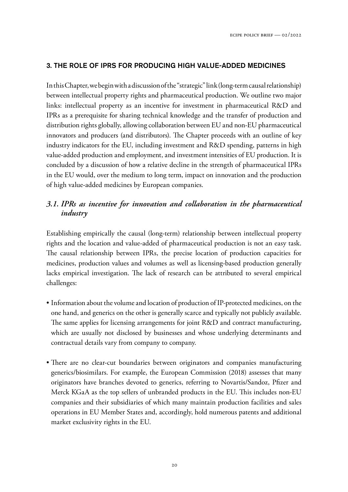## 3. THE ROLE OF IPRS FOR PRODUCING HIGH VALUE-ADDED MEDICINES

In this Chapter, we begin with a discussion of the "strategic" link (long-term causal relationship) between intellectual property rights and pharmaceutical production. We outline two major links: intellectual property as an incentive for investment in pharmaceutical R&D and IPRs as a prerequisite for sharing technical knowledge and the transfer of production and distribution rights globally, allowing collaboration between EU and non-EU pharmaceutical innovators and producers (and distributors). The Chapter proceeds with an outline of key industry indicators for the EU, including investment and R&D spending, patterns in high value-added production and employment, and investment intensities of EU production. It is concluded by a discussion of how a relative decline in the strength of pharmaceutical IPRs in the EU would, over the medium to long term, impact on innovation and the production of high value-added medicines by European companies.

## *3.1. IPRs as incentive for innovation and collaboration in the pharmaceutical industry*

Establishing empirically the causal (long-term) relationship between intellectual property rights and the location and value-added of pharmaceutical production is not an easy task. The causal relationship between IPRs, the precise location of production capacities for medicines, production values and volumes as well as licensing-based production generally lacks empirical investigation. The lack of research can be attributed to several empirical challenges:

- Information about the volume and location of production of IP-protected medicines, on the one hand, and generics on the other is generally scarce and typically not publicly available. The same applies for licensing arrangements for joint R&D and contract manufacturing, which are usually not disclosed by businesses and whose underlying determinants and contractual details vary from company to company.
- There are no clear-cut boundaries between originators and companies manufacturing generics/biosimilars. For example, the European Commission (2018) assesses that many originators have branches devoted to generics, referring to Novartis/Sandoz, Pfizer and Merck KGaA as the top sellers of unbranded products in the EU. This includes non-EU companies and their subsidiaries of which many maintain production facilities and sales operations in EU Member States and, accordingly, hold numerous patents and additional market exclusivity rights in the EU.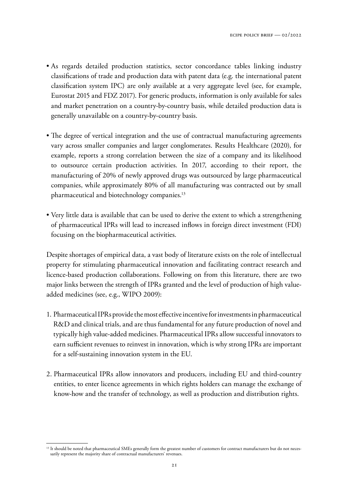- As regards detailed production statistics, sector concordance tables linking industry classifications of trade and production data with patent data (e.g. the international patent classification system IPC) are only available at a very aggregate level (see, for example, Eurostat 2015 and FDZ 2017). For generic products, information is only available for sales and market penetration on a country-by-country basis, while detailed production data is generally unavailable on a country-by-country basis.
- The degree of vertical integration and the use of contractual manufacturing agreements vary across smaller companies and larger conglomerates. Results Healthcare (2020), for example, reports a strong correlation between the size of a company and its likelihood to outsource certain production activities. In 2017, according to their report, the manufacturing of 20% of newly approved drugs was outsourced by large pharmaceutical companies, while approximately 80% of all manufacturing was contracted out by small pharmaceutical and biotechnology companies.<sup>13</sup>
- Very little data is available that can be used to derive the extent to which a strengthening of pharmaceutical IPRs will lead to increased inflows in foreign direct investment (FDI) focusing on the biopharmaceutical activities.

Despite shortages of empirical data, a vast body of literature exists on the role of intellectual property for stimulating pharmaceutical innovation and facilitating contract research and licence-based production collaborations. Following on from this literature, there are two major links between the strength of IPRs granted and the level of production of high valueadded medicines (see, e.g., WIPO 2009):

- 1. Pharmaceutical IPRs provide the most effective incentive for investments in pharmaceutical R&D and clinical trials, and are thus fundamental for any future production of novel and typically high value-added medicines. Pharmaceutical IPRs allow successful innovators to earn sufficient revenues to reinvest in innovation, which is why strong IPRs are important for a self-sustaining innovation system in the EU.
- 2. Pharmaceutical IPRs allow innovators and producers, including EU and third-country entities, to enter licence agreements in which rights holders can manage the exchange of know-how and the transfer of technology, as well as production and distribution rights.

<sup>&</sup>lt;sup>13</sup> It should be noted that pharmaceutical SMEs generally form the greatest number of customers for contract manufacturers but do not necessarily represent the majority share of contractual manufacturers' revenues.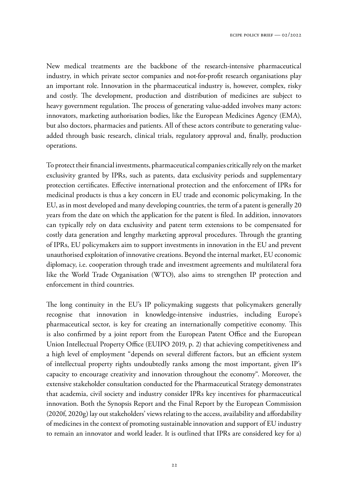New medical treatments are the backbone of the research-intensive pharmaceutical industry, in which private sector companies and not-for-profit research organisations play an important role. Innovation in the pharmaceutical industry is, however, complex, risky and costly. The development, production and distribution of medicines are subject to heavy government regulation. The process of generating value-added involves many actors: innovators, marketing authorisation bodies, like the European Medicines Agency (EMA), but also doctors, pharmacies and patients. All of these actors contribute to generating valueadded through basic research, clinical trials, regulatory approval and, finally, production operations.

To protect their financial investments, pharmaceutical companies critically rely on the market exclusivity granted by IPRs, such as patents, data exclusivity periods and supplementary protection certificates. Effective international protection and the enforcement of IPRs for medicinal products is thus a key concern in EU trade and economic policymaking. In the EU, as in most developed and many developing countries, the term of a patent is generally 20 years from the date on which the application for the patent is filed. In addition, innovators can typically rely on data exclusivity and patent term extensions to be compensated for costly data generation and lengthy marketing approval procedures. Through the granting of IPRs, EU policymakers aim to support investments in innovation in the EU and prevent unauthorised exploitation of innovative creations. Beyond the internal market, EU economic diplomacy, i.e. cooperation through trade and investment agreements and multilateral fora like the World Trade Organisation (WTO), also aims to strengthen IP protection and enforcement in third countries.

The long continuity in the EU's IP policymaking suggests that policymakers generally recognise that innovation in knowledge-intensive industries, including Europe's pharmaceutical sector, is key for creating an internationally competitive economy. This is also confirmed by a joint report from the European Patent Office and the European Union Intellectual Property Office (EUIPO 2019, p. 2) that achieving competitiveness and a high level of employment "depends on several different factors, but an efficient system of intellectual property rights undoubtedly ranks among the most important, given IP's capacity to encourage creativity and innovation throughout the economy". Moreover, the extensive stakeholder consultation conducted for the Pharmaceutical Strategy demonstrates that academia, civil society and industry consider IPRs key incentives for pharmaceutical innovation. Both the Synopsis Report and the Final Report by the European Commission (2020f, 2020g) lay out stakeholders' views relating to the access, availability and affordability of medicines in the context of promoting sustainable innovation and support of EU industry to remain an innovator and world leader. It is outlined that IPRs are considered key for a)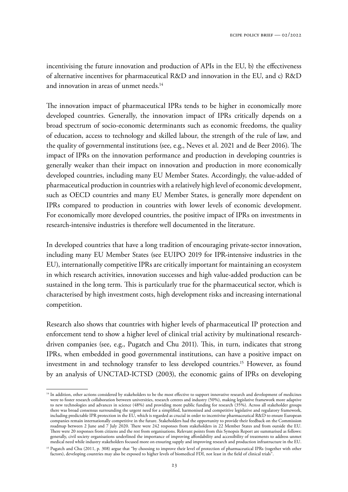incentivising the future innovation and production of APIs in the EU, b) the effectiveness of alternative incentives for pharmaceutical R&D and innovation in the EU, and c) R&D and innovation in areas of unmet needs.<sup>14</sup>

The innovation impact of pharmaceutical IPRs tends to be higher in economically more developed countries. Generally, the innovation impact of IPRs critically depends on a broad spectrum of socio-economic determinants such as economic freedoms, the quality of education, access to technology and skilled labour, the strength of the rule of law, and the quality of governmental institutions (see, e.g., Neves et al. 2021 and de Beer 2016). The impact of IPRs on the innovation performance and production in developing countries is generally weaker than their impact on innovation and production in more economically developed countries, including many EU Member States. Accordingly, the value-added of pharmaceutical production in countries with a relatively high level of economic development, such as OECD countries and many EU Member States, is generally more dependent on IPRs compared to production in countries with lower levels of economic development. For economically more developed countries, the positive impact of IPRs on investments in research-intensive industries is therefore well documented in the literature.

In developed countries that have a long tradition of encouraging private-sector innovation, including many EU Member States (see EUIPO 2019 for IPR-intensive industries in the EU), internationally competitive IPRs are critically important for maintaining an ecosystem in which research activities, innovation successes and high value-added production can be sustained in the long term. This is particularly true for the pharmaceutical sector, which is characterised by high investment costs, high development risks and increasing international competition.

Research also shows that countries with higher levels of pharmaceutical IP protection and enforcement tend to show a higher level of clinical trial activity by multinational researchdriven companies (see, e.g., Pugatch and Chu 2011). This, in turn, indicates that strong IPRs, when embedded in good governmental institutions, can have a positive impact on investment in and technology transfer to less developed countries.<sup>15</sup> However, as found by an analysis of UNCTAD-ICTSD (2003), the economic gains of IPRs on developing

<sup>&</sup>lt;sup>14</sup> In addition, other actions considered by stakeholders to be the most effective to support innovative research and development of medicines were to foster research collaboration between universities, research centres and industry (50%), making legislative framework more adaptive to new technologies and advances in science (48%) and providing more public funding for research (35%). Across all stakeholder groups there was broad consensus surrounding the urgent need for a simplified, harmonised and competitive legislative and regulatory framework, including predictable IPR protection in the EU, which is regarded as crucial in order to incentivise pharmaceutical R&D to ensure European companies remain internationally competitive in the future. Stakeholders had the opportunity to provide their feedback on the Commission roadmap between 2 June and 7 July 2020. There were 242 responses from stakeholders in 22 Member States and from outside the EU. There were 20 responses from citizens and the rest from organisations. Relevant points from this Synopsis Report are summarised as follows: generally, civil society organisations underlined the importance of improving affordability and accessibility of treatments to address unmet medical need while industry stakeholders focused more on ensuring supply and improving research and production infrastructure in the EU.

<sup>&</sup>lt;sup>15</sup> Pugatch and Chu (2011, p. 308) argue that "by choosing to improve their level of protection of pharmaceutical IPRs (together with other factors), developing countries may also be exposed to higher levels of biomedical FDI, not least in the field of clinical trials".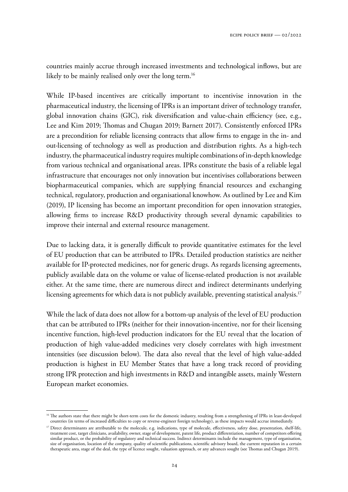countries mainly accrue through increased investments and technological inflows, but are likely to be mainly realised only over the long term.<sup>16</sup>

While IP-based incentives are critically important to incentivise innovation in the pharmaceutical industry, the licensing of IPRs is an important driver of technology transfer, global innovation chains (GIC), risk diversification and value-chain efficiency (see, e.g., Lee and Kim 2019; Thomas and Chugan 2019; Barnett 2017). Consistently enforced IPRs are a precondition for reliable licensing contracts that allow firms to engage in the in- and out-licensing of technology as well as production and distribution rights. As a high-tech industry, the pharmaceutical industry requires multiple combinations of in-depth knowledge from various technical and organisational areas. IPRs constitute the basis of a reliable legal infrastructure that encourages not only innovation but incentivises collaborations between biopharmaceutical companies, which are supplying financial resources and exchanging technical, regulatory, production and organisational knowhow. As outlined by Lee and Kim (2019), IP licensing has become an important precondition for open innovation strategies, allowing firms to increase R&D productivity through several dynamic capabilities to improve their internal and external resource management.

Due to lacking data, it is generally difficult to provide quantitative estimates for the level of EU production that can be attributed to IPRs. Detailed production statistics are neither available for IP-protected medicines, nor for generic drugs. As regards licensing agreements, publicly available data on the volume or value of license-related production is not available either. At the same time, there are numerous direct and indirect determinants underlying licensing agreements for which data is not publicly available, preventing statistical analysis.<sup>17</sup>

While the lack of data does not allow for a bottom-up analysis of the level of EU production that can be attributed to IPRs (neither for their innovation-incentive, nor for their licensing incentive function, high-level production indicators for the EU reveal that the location of production of high value-added medicines very closely correlates with high investment intensities (see discussion below). The data also reveal that the level of high value-added production is highest in EU Member States that have a long track record of providing strong IPR protection and high investments in R&D and intangible assets, mainly Western European market economies.

<sup>&</sup>lt;sup>16</sup> The authors state that there might be short-term costs for the domestic industry, resulting from a strengthening of IPRs in least-developed countries (in terms of increased difficulties to copy or reverse-engineer foreign technology), as these impacts would accrue immediately.

<sup>&</sup>lt;sup>17</sup> Direct determinants are attributable to the molecule, e.g. indications, type of molecule, effectiveness, safety dose, presentation, shelf-life, treatment cost, target clinicians, availability, owner, stage of development, patent life, product differentiation, number of competitors offering similar product, or the probability of regulatory and technical success. Indirect determinants include the management, type of organisation, size of organisation, location of the company, quality of scientific publications, scientific advisory board, the current reputation in a certain therapeutic area, stage of the deal, the type of licence sought, valuation approach, or any advances sought (see Thomas and Chugan 2019).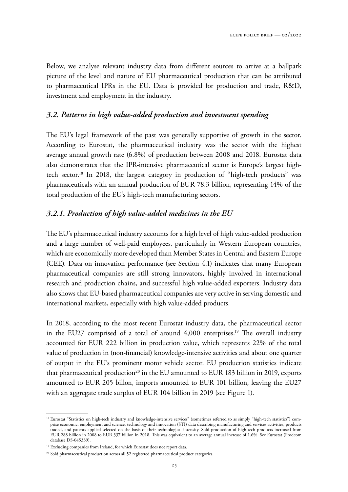Below, we analyse relevant industry data from different sources to arrive at a ballpark picture of the level and nature of EU pharmaceutical production that can be attributed to pharmaceutical IPRs in the EU. Data is provided for production and trade, R&D, investment and employment in the industry.

#### *3.2. Patterns in high value-added production and investment spending*

The EU's legal framework of the past was generally supportive of growth in the sector. According to Eurostat, the pharmaceutical industry was the sector with the highest average annual growth rate (6.8%) of production between 2008 and 2018. Eurostat data also demonstrates that the IPR-intensive pharmaceutical sector is Europe's largest hightech sector.<sup>18</sup> In 2018, the largest category in production of "high-tech products" was pharmaceuticals with an annual production of EUR 78.3 billion, representing 14% of the total production of the EU's high-tech manufacturing sectors.

#### *3.2.1. Production of high value-added medicines in the EU*

The EU's pharmaceutical industry accounts for a high level of high value-added production and a large number of well-paid employees, particularly in Western European countries, which are economically more developed than Member States in Central and Eastern Europe (CEE). Data on innovation performance (see Section 4.1) indicates that many European pharmaceutical companies are still strong innovators, highly involved in international research and production chains, and successful high value-added exporters. Industry data also shows that EU-based pharmaceutical companies are very active in serving domestic and international markets, especially with high value-added products.

In 2018, according to the most recent Eurostat industry data, the pharmaceutical sector in the EU27 comprised of a total of around  $4,000$  enterprises.<sup>19</sup> The overall industry accounted for EUR 222 billion in production value, which represents 22% of the total value of production in (non-financial) knowledge-intensive activities and about one quarter of output in the EU's prominent motor vehicle sector. EU production statistics indicate that pharmaceutical production<sup>20</sup> in the EU amounted to EUR 183 billion in 2019, exports amounted to EUR 205 billon, imports amounted to EUR 101 billion, leaving the EU27 with an aggregate trade surplus of EUR 104 billion in 2019 (see Figure 1).

<sup>&</sup>lt;sup>18</sup> Eurostat "Statistics on high-tech industry and knowledge-intensive services" (sometimes referred to as simply "high-tech statistics") comprise economic, employment and science, technology and innovation (STI) data describing manufacturing and services activities, products traded, and patents applied selected on the basis of their technological intensity. Sold production of high-tech products increased from EUR 288 billion in 2008 to EUR 337 billion in 2018. This was equivalent to an average annual increase of 1.6%. See Eurostat (Prodcom database DS-045339).

<sup>&</sup>lt;sup>19</sup> Excluding companies from Ireland, for which Eurostat does not report data.

<sup>&</sup>lt;sup>20</sup> Sold pharmaceutical production across all 52 registered pharmaceutical product categories.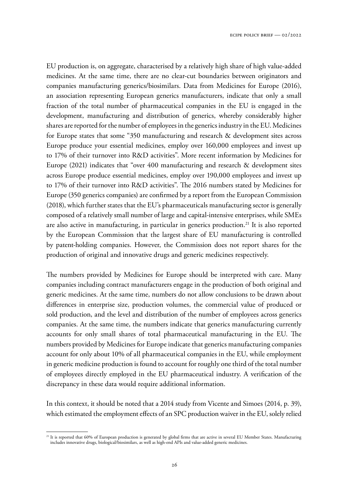EU production is, on aggregate, characterised by a relatively high share of high value-added medicines. At the same time, there are no clear-cut boundaries between originators and companies manufacturing generics/biosimilars. Data from Medicines for Europe (2016), an association representing European generics manufacturers, indicate that only a small fraction of the total number of pharmaceutical companies in the EU is engaged in the development, manufacturing and distribution of generics, whereby considerably higher shares are reported for the number of employees in the generics industry in the EU. Medicines for Europe states that some "350 manufacturing and research & development sites across Europe produce your essential medicines, employ over 160,000 employees and invest up to 17% of their turnover into R&D activities". More recent information by Medicines for Europe (2021) indicates that "over 400 manufacturing and research & development sites across Europe produce essential medicines, employ over 190,000 employees and invest up to 17% of their turnover into R&D activities". The 2016 numbers stated by Medicines for Europe (350 generics companies) are confirmed by a report from the European Commission (2018), which further states that the EU's pharmaceuticals manufacturing sector is generally composed of a relatively small number of large and capital-intensive enterprises, while SMEs are also active in manufacturing, in particular in generics production.<sup>21</sup> It is also reported by the European Commission that the largest share of EU manufacturing is controlled by patent-holding companies. However, the Commission does not report shares for the production of original and innovative drugs and generic medicines respectively.

The numbers provided by Medicines for Europe should be interpreted with care. Many companies including contract manufacturers engage in the production of both original and generic medicines. At the same time, numbers do not allow conclusions to be drawn about differences in enterprise size, production volumes, the commercial value of produced or sold production, and the level and distribution of the number of employees across generics companies. At the same time, the numbers indicate that generics manufacturing currently accounts for only small shares of total pharmaceutical manufacturing in the EU. The numbers provided by Medicines for Europe indicate that generics manufacturing companies account for only about 10% of all pharmaceutical companies in the EU, while employment in generic medicine production is found to account for roughly one third of the total number of employees directly employed in the EU pharmaceutical industry. A verification of the discrepancy in these data would require additional information.

In this context, it should be noted that a 2014 study from Vicente and Simoes (2014, p. 39), which estimated the employment effects of an SPC production waiver in the EU, solely relied

<sup>&</sup>lt;sup>21</sup> It is reported that 60% of European production is generated by global firms that are active in several EU Member States. Manufacturing includes innovative drugs, biological/biosimilars, as well as high-end APIs and value-added generic medicines.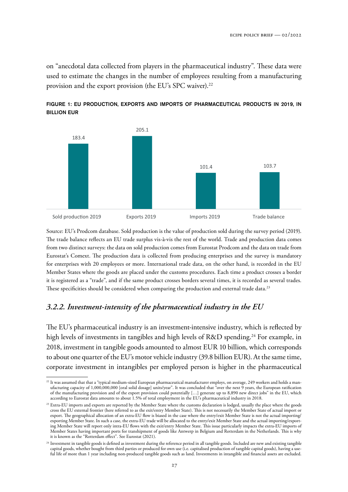on "anecdotal data collected from players in the pharmaceutical industry". These data were used to estimate the changes in the number of employees resulting from a manufacturing provision and the export provision (the EU's SPC waiver).<sup>22</sup>



FIGURE 1: EU PRODUCTION, EXPORTS AND IMPORTS OF PHARMACEUTICAL PRODUCTS IN 2019, IN BILLION EUR

Source: EU's Prodcom database. Sold production is the value of production sold during the survey period (2019). The trade balance reflects an EU trade surplus vis-à-vis the rest of the world. Trade and production data comes from two distinct surveys: the data on sold production comes from Eurostat Prodcom and the data on trade from Eurostat's Comext. The production data is collected from producing enterprises and the survey is mandatory for enterprises with 20 employees or more. International trade data, on the other hand, is recorded in the EU Member States where the goods are placed under the customs procedures. Each time a product crosses a border it is registered as a "trade", and if the same product crosses borders several times, it is recorded as several trades. These specificities should be considered when comparing the production and external trade data.<sup>23</sup>

## *3.2.2. Investment-intensity of the pharmaceutical industry in the EU*

The EU's pharmaceutical industry is an investment-intensive industry, which is reflected by high levels of investments in tangibles and high levels of R&D spending.<sup>24</sup> For example, in 2018, investment in tangible goods amounted to almost EUR 10 billion, which corresponds to about one quarter of the EU's motor vehicle industry (39.8 billion EUR). At the same time, corporate investment in intangibles per employed person is higher in the pharmaceutical

<sup>22</sup> It was assumed that that a "typical medium-sized European pharmaceutical manufacturer employs, on average, 249 workers and holds a manufacturing capacity of 1,000,000,000 [oral solid dosage] units/year". It was concluded that "over the next  $\tilde{9}$  years, the European ratification of the manufacturing provision and of the export provision could potentially […] generate up to 8,890 new direct jobs" in the EU, which according to Eurostat data amounts to about 1.5% of total employment in the EU's pharmaceutical industry in 2018.

<sup>&</sup>lt;sup>23</sup> Extra-EU imports and exports are reported by the Member State where the customs declaration is lodged, usually the place where the goods cross the EU external frontier (here referred to as the exit/entry Member State). !is is not necessarily the Member State of actual import or export. The geographical allocation of an extra-EU flow is biased in the case where the entry/exit Member State is not the actual importing/ exporting Member State. In such a case, the extra-EU trade will be allocated to the entry/exit Member State and the actual importing/exporting Member State will report only intra-EU flows with the exit/entry Member State. This issue particularly impacts the extra-EU imports of Member States having important ports for transhipment of goods like Antwerp in Belgium and Rotterdam in the Netherlands. This is why it is known as the "Rotterdam effect". See Eurostat (2021).

<sup>&</sup>lt;sup>24</sup> Investment in tangible goods is defined as investment during the reference period in all tangible goods. Included are new and existing tangible capital goods, whether bought from third parties or produced for own use (i.e. capitalised production of tangible capital goods), having a useful life of more than 1 year including non-produced tangible goods such as land. Investments in intangible and financial assets are excluded.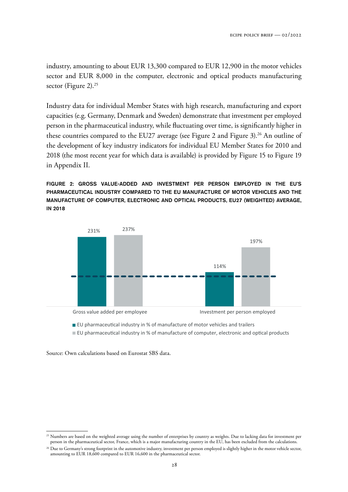industry, amounting to about EUR 13,300 compared to EUR 12,900 in the motor vehicles sector and EUR 8,000 in the computer, electronic and optical products manufacturing sector (Figure 2).<sup>25</sup>

Industry data for individual Member States with high research, manufacturing and export capacities (e.g. Germany, Denmark and Sweden) demonstrate that investment per employed person in the pharmaceutical industry, while fluctuating over time, is significantly higher in these countries compared to the EU27 average (see Figure 2 and Figure 3).<sup>26</sup> An outline of the development of key industry indicators for individual EU Member States for 2010 and 2018 (the most recent year for which data is available) is provided by Figure 15 to Figure 19 in Appendix II.

FIGURE 2: GROSS VALUE-ADDED AND INVESTMENT PER PERSON EMPLOYED IN THE EU'S PHARMACEUTICAL INDUSTRY COMPARED TO THE EU MANUFACTURE OF MOTOR VEHICLES AND THE MANUFACTURE OF COMPUTER, ELECTRONIC AND OPTICAL PRODUCTS, EU27 (WEIGHTED) AVERAGE, IN 2018



■ EU pharmaceutical industry in % of manufacture of computer, electronic and optical products

Source: Own calculations based on Eurostat SBS data.

 $25$  Numbers are based on the weighted average using the number of enterprises by country as weights. Due to lacking data for investment per person in the pharmaceutical sector, France, which is a major manufacturing country in the EU, has been excluded from the calculations.

<sup>&</sup>lt;sup>26</sup> Due to Germany's strong footprint in the automotive industry, investment per person employed is slightly higher in the motor vehicle sector, amounting to EUR 18,600 compared to EUR 16,600 in the pharmaceutical sector.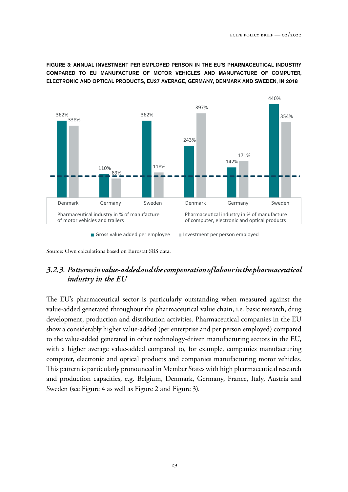FIGURE 3: ANNUAL INVESTMENT PER EMPLOYED PERSON IN THE EU'S PHARMACEUTICAL INDUSTRY COMPARED TO EU MANUFACTURE OF MOTOR VEHICLES AND MANUFACTURE OF COMPUTER, ELECTRONIC AND OPTICAL PRODUCTS, EU27 AVERAGE, GERMANY, DENMARK AND SWEDEN, IN 2018



Source: Own calculations based on Eurostat SBS data.

## *3.2.3. Patterns in value-added and the compensation of labour in the pharmaceutical industry in the EU*

The EU's pharmaceutical sector is particularly outstanding when measured against the value-added generated throughout the pharmaceutical value chain, i.e. basic research, drug development, production and distribution activities. Pharmaceutical companies in the EU show a considerably higher value-added (per enterprise and per person employed) compared to the value-added generated in other technology-driven manufacturing sectors in the EU, with a higher average value-added compared to, for example, companies manufacturing computer, electronic and optical products and companies manufacturing motor vehicles. This pattern is particularly pronounced in Member States with high pharmaceutical research and production capacities, e.g. Belgium, Denmark, Germany, France, Italy, Austria and Sweden (see Figure 4 as well as Figure 2 and Figure 3).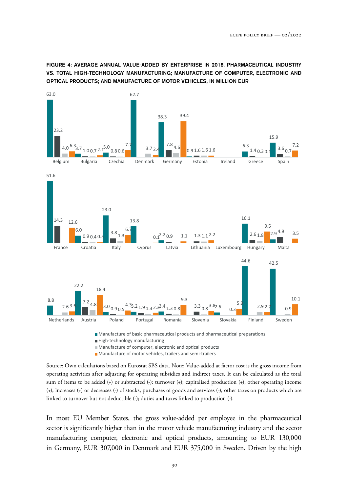FIGURE 4: AVERAGE ANNUAL VALUE-ADDED BY ENTERPRISE IN 2018, PHARMACEUTICAL INDUSTRY VS. TOTAL HIGH-TECHNOLOGY MANUFACTURING; MANUFACTURE OF COMPUTER, ELECTRONIC AND OPTICAL PRODUCTS; AND MANUFACTURE OF MOTOR VEHICLES, IN MILLION EUR



Manufacture of basic pharmaceutical products and pharmaceutical preparations

High-technology manufacturing

 $\blacksquare$  Manufacture of computer, electronic and optical products

**Manufacture of motor vehicles, trailers and semi-trailers** 

Source: Own calculations based on Eurostat SBS data. Note: Value-added at factor cost is the gross income from operating activities after adjusting for operating subsidies and indirect taxes. It can be calculated as the total sum of items to be added (+) or subtracted (-): turnover (+); capitalised production (+); other operating income (+); increases (+) or decreases (-) of stocks; purchases of goods and services (-); other taxes on products which are linked to turnover but not deductible (-); duties and taxes linked to production (-).

In most EU Member States, the gross value-added per employee in the pharmaceutical sector is significantly higher than in the motor vehicle manufacturing industry and the sector manufacturing computer, electronic and optical products, amounting to EUR 130,000 in Germany, EUR 307,000 in Denmark and EUR 375,000 in Sweden. Driven by the high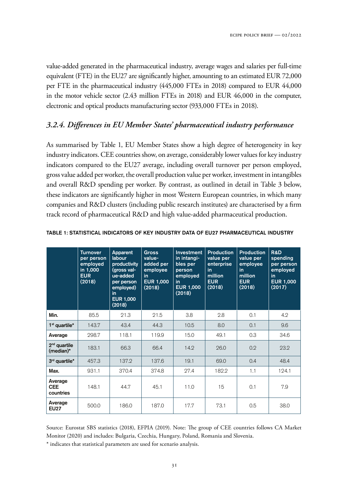value-added generated in the pharmaceutical industry, average wages and salaries per full-time equivalent (FTE) in the EU27 are significantly higher, amounting to an estimated EUR 72,000 per FTE in the pharmaceutical industry (445,000 FTEs in 2018) compared to EUR 44,000 in the motor vehicle sector (2.43 million FTEs in 2018) and EUR 46,000 in the computer, electronic and optical products manufacturing sector (933,000 FTEs in 2018).

#### *3.2.4. Differences in EU Member States' pharmaceutical industry performance*

As summarised by Table 1, EU Member States show a high degree of heterogeneity in key industry indicators. CEE countries show, on average, considerably lower values for key industry indicators compared to the EU27 average, including overall turnover per person employed, gross value added per worker, the overall production value per worker, investment in intangibles and overall R&D spending per worker. By contrast, as outlined in detail in Table 3 below, these indicators are significantly higher in most Western European countries, in which many companies and R&D clusters (including public research institutes) are characterised by a firm track record of pharmaceutical R&D and high value-added pharmaceutical production.

|                                          | <b>Turnover</b><br>per person<br>employed<br>in 1,000<br><b>EUR</b><br>(2018) | Apparent<br>labour<br>productivity<br>(gross val-<br>ue-added<br>per person<br>employed)<br>in<br><b>EUR 1,000</b><br>(2018) | <b>Gross</b><br>value-<br>added per<br>employee<br>in<br><b>EUR 1,000</b><br>(2018) | <b>Investment</b><br>in intangi-<br>bles per<br>person<br>employed<br>in.<br><b>EUR 1,000</b><br>(2018) | <b>Production</b><br>value per<br>enterprise<br>in<br>million<br><b>EUR</b><br>(2018) | <b>Production</b><br>value per<br>employee<br>in<br>million<br><b>EUR</b><br>(2018) | <b>R&amp;D</b><br>spending<br>per person<br>employed<br>in<br><b>EUR 1,000</b><br>(2017) |
|------------------------------------------|-------------------------------------------------------------------------------|------------------------------------------------------------------------------------------------------------------------------|-------------------------------------------------------------------------------------|---------------------------------------------------------------------------------------------------------|---------------------------------------------------------------------------------------|-------------------------------------------------------------------------------------|------------------------------------------------------------------------------------------|
| Min.                                     | 85.5                                                                          | 21.3                                                                                                                         | 21.5                                                                                | 3.8                                                                                                     | 2.8                                                                                   | 0.1                                                                                 | 4.2                                                                                      |
| $1st$ quartile <sup><math>*</math></sup> | 143.7                                                                         | 43.4                                                                                                                         | 44.3                                                                                | 10.5                                                                                                    | 8.0                                                                                   | 0.1                                                                                 | 9.6                                                                                      |
| Average                                  | 298.7                                                                         | 118.1                                                                                                                        | 119.9                                                                               | 15.0                                                                                                    | 49.1                                                                                  | 0.3                                                                                 | 34.6                                                                                     |
| $2nd$ quartile<br>(median)*              | 183.1                                                                         | 66.3                                                                                                                         | 66.4                                                                                | 14.2                                                                                                    | 26.0                                                                                  | 0.2                                                                                 | 23.2                                                                                     |
| 3rd quartile*                            | 457.3                                                                         | 137.2                                                                                                                        | 137.6                                                                               | 19.1                                                                                                    | 69.0                                                                                  | 0.4                                                                                 | 48.4                                                                                     |
| Max.                                     | 931.1                                                                         | 370.4                                                                                                                        | 374.8                                                                               | 27.4                                                                                                    | 182.2                                                                                 | 1.1                                                                                 | 124.1                                                                                    |
| Average<br><b>CEE</b><br>countries       | 148.1                                                                         | 44.7                                                                                                                         | 45.1                                                                                | 11.0                                                                                                    | 15                                                                                    | 0.1                                                                                 | 7.9                                                                                      |
| Average<br><b>EU27</b>                   | 500.0                                                                         | 186.0                                                                                                                        | 187.0                                                                               | 17.7                                                                                                    | 73.1                                                                                  | 0.5                                                                                 | 38.0                                                                                     |

#### TABLE 1: STATISTICAL INDICATORS OF KEY INDUSTRY DATA OF EU27 PHARMACEUTICAL INDUSTRY

Source: Eurostat SBS statistics (2018), EFPIA (2019). Note: The group of CEE countries follows CA Market Monitor (2020) and includes: Bulgaria, Czechia, Hungary, Poland, Romania and Slovenia.

\* indicates that statistical parameters are used for scenario analysis.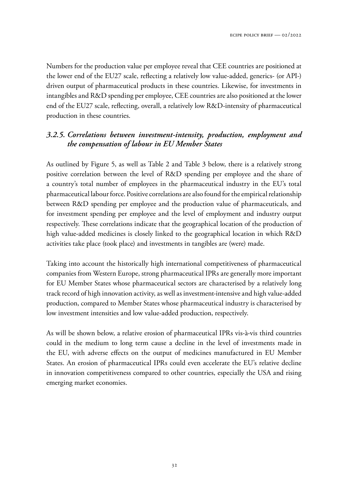Numbers for the production value per employee reveal that CEE countries are positioned at the lower end of the EU27 scale, reflecting a relatively low value-added, generics- (or API-) driven output of pharmaceutical products in these countries. Likewise, for investments in intangibles and R&D spending per employee, CEE countries are also positioned at the lower end of the EU27 scale, reflecting, overall, a relatively low R&D-intensity of pharmaceutical production in these countries.

# *3.2.5. Correlations between investment-intensity, production, employment and the compensation of labour in EU Member States*

As outlined by Figure 5, as well as Table 2 and Table 3 below, there is a relatively strong positive correlation between the level of R&D spending per employee and the share of a country's total number of employees in the pharmaceutical industry in the EU's total pharmaceutical labour force. Positive correlations are also found for the empirical relationship between R&D spending per employee and the production value of pharmaceuticals, and for investment spending per employee and the level of employment and industry output respectively. These correlations indicate that the geographical location of the production of high value-added medicines is closely linked to the geographical location in which R&D activities take place (took place) and investments in tangibles are (were) made.

Taking into account the historically high international competitiveness of pharmaceutical companies from Western Europe, strong pharmaceutical IPRs are generally more important for EU Member States whose pharmaceutical sectors are characterised by a relatively long track record of high innovation activity, as well as investment-intensive and high value-added production, compared to Member States whose pharmaceutical industry is characterised by low investment intensities and low value-added production, respectively.

As will be shown below, a relative erosion of pharmaceutical IPRs vis-à-vis third countries could in the medium to long term cause a decline in the level of investments made in the EU, with adverse effects on the output of medicines manufactured in EU Member States. An erosion of pharmaceutical IPRs could even accelerate the EU's relative decline in innovation competitiveness compared to other countries, especially the USA and rising emerging market economies.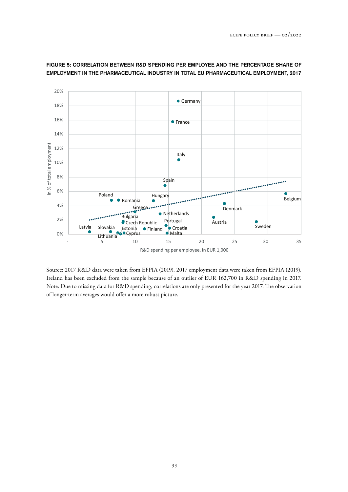

#### FIGURE 5: CORRELATION BETWEEN R&D SPENDING PER EMPLOYEE AND THE PERCENTAGE SHARE OF EMPLOYMENT IN THE PHARMACEUTICAL INDUSTRY IN TOTAL EU PHARMACEUTICAL EMPLOYMENT, 2017

Source: 2017 R&D data were taken from EFPIA (2019). 2017 employment data were taken from EFPIA (2019). Ireland has been excluded from the sample because of an outlier of EUR 162,700 in R&D spending in 2017. Note: Due to missing data for R&D spending, correlations are only presented for the year 2017. The observation of longer-term averages would offer a more robust picture.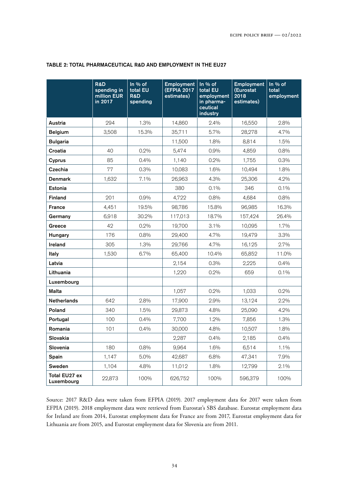|                             | R&D<br>spending in<br>million EUR<br>in 2017 | In $\%$ of<br>total EU<br><b>R&amp;D</b><br>spending | <b>Employment</b><br><b>(EFPIA 2017</b><br>estimates) | In $%$ of<br>total EU<br>employment<br>in pharma-<br>ceutical<br>industry | <b>Employment</b><br>(Eurostat<br>2018<br>estimates) | In % of<br>total<br>employment |
|-----------------------------|----------------------------------------------|------------------------------------------------------|-------------------------------------------------------|---------------------------------------------------------------------------|------------------------------------------------------|--------------------------------|
| Austria                     | 294                                          | 1.3%                                                 | 14,860                                                | 2.4%                                                                      | 16,550                                               | 2.8%                           |
| <b>Belgium</b>              | 3,508                                        | 15.3%                                                | 35,711                                                | 5.7%                                                                      | 28,278                                               | 4.7%                           |
| <b>Bulgaria</b>             |                                              |                                                      | 11,500                                                | 1.8%                                                                      | 8,814                                                | 1.5%                           |
| Croatia                     | 40                                           | 0.2%                                                 | 5,474                                                 | 0.9%                                                                      | 4,859                                                | 0.8%                           |
| Cyprus                      | 85                                           | 0.4%                                                 | 1,140                                                 | 0.2%                                                                      | 1,755                                                | 0.3%                           |
| Czechia                     | 77                                           | 0.3%                                                 | 10,083                                                | 1.6%                                                                      | 10,494                                               | 1.8%                           |
| <b>Denmark</b>              | 1,632                                        | 7.1%                                                 | 26,963                                                | 4.3%                                                                      | 25,306                                               | 4.2%                           |
| Estonia                     |                                              |                                                      | 380                                                   | 0.1%                                                                      | 346                                                  | 0.1%                           |
| <b>Finland</b>              | 201                                          | $0.9\%$                                              | 4,722                                                 | 0.8%                                                                      | 4,684                                                | 0.8%                           |
| <b>France</b>               | 4,451                                        | 19.5%                                                | 98,786                                                | 15.8%                                                                     | 96,985                                               | 16.3%                          |
| Germany                     | 6,918                                        | 30.2%                                                | 117,013                                               | 18.7%                                                                     | 157,424                                              | 26.4%                          |
| Greece                      | 42                                           | 0.2%                                                 | 19,700                                                | 3.1%                                                                      | 10,095                                               | 1.7%                           |
| Hungary                     | 176                                          | 0.8%                                                 | 29,400                                                | 4.7%                                                                      | 19,479                                               | 3.3%                           |
| Ireland                     | 305                                          | 1.3%                                                 | 29,766                                                | 4.7%                                                                      | 16,125                                               | 2.7%                           |
| Italy                       | 1,530                                        | 6.7%                                                 | 65,400                                                | 10.4%                                                                     | 65,852                                               | 11.0%                          |
| Latvia                      |                                              |                                                      | 2,154                                                 | 0.3%                                                                      | 2,225                                                | 0.4%                           |
| Lithuania                   |                                              |                                                      | 1,220                                                 | 0.2%                                                                      | 659                                                  | 0.1%                           |
| Luxembourg                  |                                              |                                                      |                                                       |                                                                           |                                                      |                                |
| Malta                       |                                              |                                                      | 1,057                                                 | $0.2\%$                                                                   | 1,033                                                | 0.2%                           |
| <b>Netherlands</b>          | 642                                          | 2.8%                                                 | 17,900                                                | 2.9%                                                                      | 13,124                                               | 2.2%                           |
| Poland                      | 340                                          | 1.5%                                                 | 29,873                                                | 4.8%                                                                      | 25,090                                               | 4.2%                           |
| Portugal                    | 100                                          | 0.4%                                                 | 7,700                                                 | 1.2%                                                                      | 7,856                                                | 1.3%                           |
| Romania                     | 101                                          | 0.4%                                                 | 30,000                                                | 4.8%                                                                      | 10,507                                               | 1.8%                           |
| <b>Slovakia</b>             |                                              |                                                      | 2,287                                                 | 0.4%                                                                      | 2,185                                                | 0.4%                           |
| Slovenia                    | 180                                          | 0.8%                                                 | 9,964                                                 | 1.6%                                                                      | 6,514                                                | 1.1%                           |
| Spain                       | 1,147                                        | 5.0%                                                 | 42,687                                                | 6.8%                                                                      | 47,341                                               | 7.9%                           |
| Sweden                      | 1,104                                        | 4.8%                                                 | 11,012                                                | 1.8%                                                                      | 12,799                                               | 2.1%                           |
| Total EU27 ex<br>Luxembourg | 22,873                                       | 100%                                                 | 626,752                                               | 100%                                                                      | 596,379                                              | 100%                           |

#### TABLE 2: TOTAL PHARMACEUTICAL R&D AND EMPLOYMENT IN THE EU27

Source: 2017 R&D data were taken from EFPIA (2019). 2017 employment data for 2017 were taken from EFPIA (2019). 2018 employment data were retrieved from Eurostat's SBS database. Eurostat employment data for Ireland are from 2014, Eurostat employment data for France are from 2017, Eurostat employment data for Lithuania are from 2015, and Eurostat employment data for Slovenia are from 2011.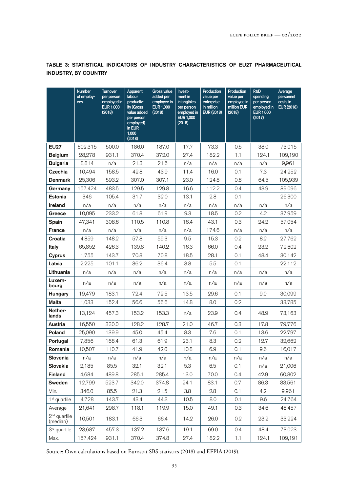|                            | <b>Number</b><br>of employ-<br>ees | <b>Turnover</b><br>per person<br>employed in<br><b>EUR 1,000</b><br>(2018) | Apparent<br>labour<br>productiv-<br>ity (Gross<br>value added<br>per person<br>employed)<br>in EUR<br>1,000<br>(2018) | <b>Gross value</b><br>added per<br>employee in<br><b>EUR 1,000</b><br>(2018) | Invest-<br>ment in<br>intangibles<br>per person<br>employed in<br><b>EUR 1,000</b><br>(2018) | Production<br>value per<br>enterprise<br>in million<br><b>EUR (2018)</b> | Production<br>value per<br>employee in<br>million EUR<br>(2018) | <b>R&amp;D</b><br>spending<br>per person<br>employed in<br><b>EUR 1,000</b><br>(2017) | Average<br>personnel<br>costs in<br><b>EUR (2018)</b> |
|----------------------------|------------------------------------|----------------------------------------------------------------------------|-----------------------------------------------------------------------------------------------------------------------|------------------------------------------------------------------------------|----------------------------------------------------------------------------------------------|--------------------------------------------------------------------------|-----------------------------------------------------------------|---------------------------------------------------------------------------------------|-------------------------------------------------------|
| <b>EU27</b>                | 602,315                            | 500.0                                                                      | 186.0                                                                                                                 | 187.0                                                                        | 17.7                                                                                         | 73.3                                                                     | 0.5                                                             | 38.0                                                                                  | 73,015                                                |
| <b>Belgium</b>             | 28,278                             | 931.1                                                                      | 370.4                                                                                                                 | 372.0                                                                        | 27.4                                                                                         | 182.2                                                                    | 1.1                                                             | 124.1                                                                                 | 109,190                                               |
| <b>Bulgaria</b>            | 8,814                              | n/a                                                                        | 21.3                                                                                                                  | 21.5                                                                         | n/a                                                                                          | n/a                                                                      | n/a                                                             | n/a                                                                                   | 9,961                                                 |
| Czechia                    | 10,494                             | 158.5                                                                      | 42.8                                                                                                                  | 43.9                                                                         | 11.4                                                                                         | 16.0                                                                     | 0.1                                                             | 7.3                                                                                   | 24,252                                                |
| <b>Denmark</b>             | 25,306                             | 593.2                                                                      | 307.0                                                                                                                 | 307.1                                                                        | 23.0                                                                                         | 124.8                                                                    | 0.6                                                             | 64.5                                                                                  | 105,939                                               |
| Germany                    | 157,424                            | 483.5                                                                      | 129.5                                                                                                                 | 129.8                                                                        | 16.6                                                                                         | 112.2                                                                    | 0.4                                                             | 43.9                                                                                  | 89,096                                                |
| Estonia                    | 346                                | 105.4                                                                      | 31.7                                                                                                                  | 32.0                                                                         | 13.1                                                                                         | 2.8                                                                      | 0.1                                                             |                                                                                       | 26,300                                                |
| Ireland                    | n/a                                | n/a                                                                        | n/a                                                                                                                   | n/a                                                                          | n/a                                                                                          | n/a                                                                      | n/a                                                             | n/a                                                                                   | n/a                                                   |
| Greece                     | 10,095                             | 233.2                                                                      | 61.8                                                                                                                  | 61.9                                                                         | 9.3                                                                                          | 18.5                                                                     | 0.2                                                             | 4.2                                                                                   | 37,959                                                |
| Spain                      | 47,341                             | 308.6                                                                      | 110.5                                                                                                                 | 110.8                                                                        | 16.4                                                                                         | 43.1                                                                     | 0.3                                                             | 24.2                                                                                  | 57,054                                                |
| <b>France</b>              | n/a                                | n/a                                                                        | n/a                                                                                                                   | n/a                                                                          | n/a                                                                                          | 174.6                                                                    | n/a                                                             | n/a                                                                                   | n/a                                                   |
| Croatia                    | 4,859                              | 148.2                                                                      | 57.8                                                                                                                  | 59.3                                                                         | 9.5                                                                                          | 15.3                                                                     | 0.2                                                             | 8.2                                                                                   | 27,762                                                |
| Italy                      | 65,852                             | 426.3                                                                      | 139.8                                                                                                                 | 140.2                                                                        | 16.3                                                                                         | 66.0                                                                     | 0.4                                                             | 23.2                                                                                  | 72,602                                                |
| <b>Cyprus</b>              | 1,755                              | 143.7                                                                      | 70.8                                                                                                                  | 70.8                                                                         | 18.5                                                                                         | 28.1                                                                     | 0.1                                                             | 48.4                                                                                  | 30,142                                                |
| Latvia                     | 2,225                              | 101.1                                                                      | 36.2                                                                                                                  | 36.4                                                                         | 3.8                                                                                          | 5.5                                                                      | 0.1                                                             |                                                                                       | 22,112                                                |
| Lithuania                  | n/a                                | n/a                                                                        | n/a                                                                                                                   | n/a                                                                          | n/a                                                                                          | n/a                                                                      | n/a                                                             | n/a                                                                                   | n/a                                                   |
| Luxem-<br>bourg            | n/a                                | n/a                                                                        | n/a                                                                                                                   | n/a                                                                          | n/a                                                                                          | n/a                                                                      | n/a                                                             | n/a                                                                                   | n/a                                                   |
| Hungary                    | 19,479                             | 183.1                                                                      | 72.4                                                                                                                  | 72.5                                                                         | 13.5                                                                                         | 29.6                                                                     | 0.1                                                             | 9.0                                                                                   | 30,099                                                |
| Malta                      | 1,033                              | 152.4                                                                      | 56.6                                                                                                                  | 56.6                                                                         | 14.8                                                                                         | 8.0                                                                      | 0.2                                                             |                                                                                       | 33,785                                                |
| Nether-<br>lands           | 13,124                             | 457.3                                                                      | 153.2                                                                                                                 | 153.3                                                                        | n/a                                                                                          | 23.9                                                                     | 0.4                                                             | 48.9                                                                                  | 73,163                                                |
| Austria                    | 16,550                             | 330.0                                                                      | 128.2                                                                                                                 | 128.7                                                                        | 21.0                                                                                         | 46.7                                                                     | 0.3                                                             | 17.8                                                                                  | 79,776                                                |
| Poland                     | 25,090                             | 139.9                                                                      | 45.0                                                                                                                  | 45.4                                                                         | 8.3                                                                                          | 7.6                                                                      | 0.1                                                             | 13.6                                                                                  | 22,797                                                |
| Portugal                   | 7,856                              | 168.4                                                                      | 61.3                                                                                                                  | 61.9                                                                         | 23.1                                                                                         | 8.3                                                                      | 0.2                                                             | 12.7                                                                                  | 32,662                                                |
| Romania                    | 10,507                             | 110.7                                                                      | 41.9                                                                                                                  | 42.0                                                                         | 10.8                                                                                         | 6.9                                                                      | 0.1                                                             | 9.6                                                                                   | 16,017                                                |
| Slovenia                   | n/a                                | n/a                                                                        | n/a                                                                                                                   | n/a                                                                          | n/a                                                                                          | n/a                                                                      | n/a                                                             | n/a                                                                                   | n/a                                                   |
| Slovakia                   | 2,185                              | 85.5                                                                       | 32.1                                                                                                                  | 32.1                                                                         | 5.3                                                                                          | 6.5                                                                      | 0.1                                                             | n/a                                                                                   | 21,006                                                |
| Finland                    | 4,684                              | 489.8                                                                      | 285.1                                                                                                                 | 285.4                                                                        | 13.0                                                                                         | 70.0                                                                     | 0.4                                                             | 42.9                                                                                  | 60,802                                                |
| Sweden                     | 12,799                             | 523.7                                                                      | 342.0                                                                                                                 | 374.8                                                                        | 24.1                                                                                         | 83.1                                                                     | 0.7                                                             | 86.3                                                                                  | 83,561                                                |
| Min.                       | 346.0                              | 85.5                                                                       | 21.3                                                                                                                  | 21.5                                                                         | 3.8                                                                                          | 2.8                                                                      | 0.1                                                             | 4.2                                                                                   | 9,961                                                 |
| $1st$ quartile             | 4,728                              | 143.7                                                                      | 43.4                                                                                                                  | 44.3                                                                         | 10.5                                                                                         | 8.0                                                                      | 0.1                                                             | 9.6                                                                                   | 24,764                                                |
| Average                    | 21,641                             | 298.7                                                                      | 118.1                                                                                                                 | 119.9                                                                        | 15.0                                                                                         | 49.1                                                                     | 0.3                                                             | 34.6                                                                                  | 48,457                                                |
| $2nd$ quartile<br>(median) | 10,501                             | 183.1                                                                      | 66.3                                                                                                                  | 66.4                                                                         | 14.2                                                                                         | 26.0                                                                     | 0.2                                                             | 23.2                                                                                  | 33,224                                                |
| 3 <sup>rd</sup> quartile   | 23,687                             | 457.3                                                                      | 137.2                                                                                                                 | 137.6                                                                        | 19.1                                                                                         | 69.0                                                                     | 0.4                                                             | 48.4                                                                                  | 73,023                                                |
| Max.                       | 157,424                            | 931.1                                                                      | 370.4                                                                                                                 | 374.8                                                                        | 27.4                                                                                         | 182.2                                                                    | 1.1                                                             | 124.1                                                                                 | 109,191                                               |

#### TABLE 3: STATISTICAL INDICATORS OF INDUSTRY CHARACTERISTICS OF EU27 PHARMACEUTICAL INDUSTRY, BY COUNTRY

Source: Own calculations based on Eurostat SBS statistics (2018) and EFPIA (2019).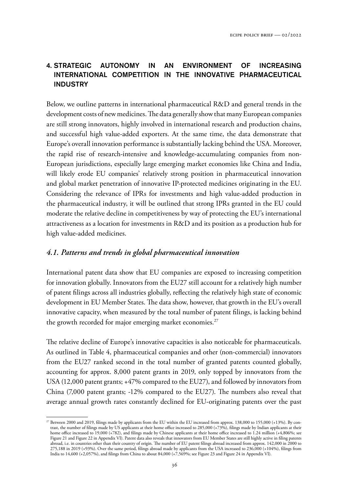## 4. STRATEGIC AUTONOMY IN AN ENVIRONMENT OF INCREASING INTERNATIONAL COMPETITION IN THE INNOVATIVE PHARMACEUTICAL INDUSTRY

Below, we outline patterns in international pharmaceutical R&D and general trends in the development costs of new medicines. The data generally show that many European companies are still strong innovators, highly involved in international research and production chains, and successful high value-added exporters. At the same time, the data demonstrate that Europe's overall innovation performance is substantially lacking behind the USA. Moreover, the rapid rise of research-intensive and knowledge-accumulating companies from non-European jurisdictions, especially large emerging market economies like China and India, will likely erode EU companies' relatively strong position in pharmaceutical innovation and global market penetration of innovative IP-protected medicines originating in the EU. Considering the relevance of IPRs for investments and high value-added production in the pharmaceutical industry, it will be outlined that strong IPRs granted in the EU could moderate the relative decline in competitiveness by way of protecting the EU's international attractiveness as a location for investments in R&D and its position as a production hub for high value-added medicines.

## *4.1. Patterns and trends in global pharmaceutical innovation*

International patent data show that EU companies are exposed to increasing competition for innovation globally. Innovators from the EU27 still account for a relatively high number of patent filings across all industries globally, reflecting the relatively high state of economic development in EU Member States. The data show, however, that growth in the EU's overall innovative capacity, when measured by the total number of patent filings, is lacking behind the growth recorded for major emerging market economies.<sup>27</sup>

The relative decline of Europe's innovative capacities is also noticeable for pharmaceuticals. As outlined in Table 4, pharmaceutical companies and other (non-commercial) innovators from the EU27 ranked second in the total number of granted patents counted globally, accounting for approx. 8,000 patent grants in 2019, only topped by innovators from the USA (12,000 patent grants; +47% compared to the EU27), and followed by innovators from China  $(7,000$  patent grants; -12% compared to the EU27). The numbers also reveal that average annual growth rates constantly declined for EU-originating patents over the past

 $^{27}$  Between 2000 and 2019, filings made by applicants from the EU within the EU increased from approx. 138,000 to 155,000 (+13%). By contrast, the number of filings made by US applicants at their home office increased to 285,000 (+73%), filings made by Indian applicants at their home office increased to 19,000 (+782), and filings made by Chinese applicants at their home office increased to 1.24 million (+4,806%; see Figure 21 and Figure 22 in Appendix VI). Patent data also reveals that innovators from EU Member States are still highly active in filing patents abroad, i.e. in countries other than their country of origin. The number of EU patent filings abroad increased from approx. 142,000 in 2000 to 275,188 in 2019 (+93%). Over the same period, filings abroad made by applicants from the USA increased to 236,000 (+104%), filings from India to 14,600 (+2,057%), and filings from China to about 84,000 (+7,569%; see Figure 23 and Figure 24 in Appendix VI).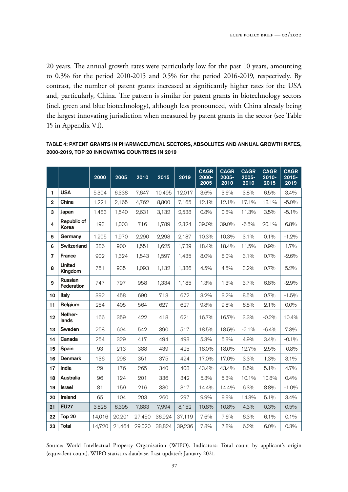20 years. The annual growth rates were particularly low for the past 10 years, amounting to 0.3% for the period 2010-2015 and 0.5% for the period 2016-2019, respectively. By contrast, the number of patent grants increased at significantly higher rates for the USA and, particularly, China. The pattern is similar for patent grants in biotechnology sectors (incl. green and blue biotechnology), although less pronounced, with China already being the largest innovating jurisdiction when measured by patent grants in the sector (see Table 15 in Appendix VI).

|                         |                              | 2000   | 2005   | 2010   | 2015   | 2019   | <b>CAGR</b><br>2000-<br>2005 | <b>CAGR</b><br>2005-<br>2010 | <b>CAGR</b><br>2005-<br>2010 | <b>CAGR</b><br>$2010 -$<br>2015 | <b>CAGR</b><br>$2015 -$<br>2019 |
|-------------------------|------------------------------|--------|--------|--------|--------|--------|------------------------------|------------------------------|------------------------------|---------------------------------|---------------------------------|
| 1                       | <b>USA</b>                   | 5,304  | 6,338  | 7,647  | 10,495 | 12,017 | 3.6%                         | 3.6%                         | 3.8%                         | 6.5%                            | 3.4%                            |
| $\overline{2}$          | China                        | 1,221  | 2,165  | 4,762  | 8,800  | 7,165  | 12.1%                        | 12.1%                        | 17.1%                        | 13.1%                           | $-5.0%$                         |
| 3                       | Japan                        | 1,483  | 1,540  | 2,631  | 3,132  | 2,538  | 0.8%                         | 0.8%                         | 11.3%                        | 3.5%                            | $-5.1%$                         |
| 4                       | Republic of<br>Korea         | 193    | 1,003  | 716    | 1,789  | 2,324  | 39.0%                        | 39,0%                        | $-6.5%$                      | 20.1%                           | 6.8%                            |
| 5                       | Germany                      | 1,205  | 1,970  | 2,290  | 2,298  | 2,187  | 10.3%                        | 10.3%                        | 3.1%                         | 0.1%                            | $-1.2%$                         |
| 6                       | Switzerland                  | 386    | 900    | 1,551  | 1,625  | 1,739  | 18.4%                        | 18.4%                        | 11.5%                        | 0.9%                            | 1.7%                            |
| $\overline{\mathbf{z}}$ | <b>France</b>                | 902    | 1,324  | 1,543  | 1,597  | 1,435  | 8.0%                         | 8.0%                         | 3.1%                         | 0.7%                            | $-2.6%$                         |
| 8                       | <b>United</b><br>Kingdom     | 751    | 935    | 1.093  | 1.132  | 1,386  | 4.5%                         | 4.5%                         | 3.2%                         | 0.7%                            | 5.2%                            |
| 9                       | <b>Russian</b><br>Federation | 747    | 797    | 958    | 1,334  | 1,185  | 1.3%                         | 1.3%                         | 3.7%                         | 6.8%                            | $-2.9%$                         |
| 10                      | Italy                        | 392    | 458    | 690    | 713    | 672    | 3.2%                         | 3.2%                         | 8.5%                         | 0.7%                            | $-1.5%$                         |
| 11                      | <b>Belgium</b>               | 254    | 405    | 564    | 627    | 627    | 9.8%                         | 9.8%                         | 6.8%                         | 2.1%                            | $0.0\%$                         |
| 12                      | Nether-<br>lands             | 166    | 359    | 422    | 418    | 621    | 16.7%                        | 16.7%                        | 3.3%                         | $-0.2%$                         | 10.4%                           |
| 13                      | Sweden                       | 258    | 604    | 542    | 390    | 517    | 18.5%                        | 18.5%                        | $-2.1%$                      | $-6.4\%$                        | 7.3%                            |
| 14                      | Canada                       | 254    | 329    | 417    | 494    | 493    | 5.3%                         | 5.3%                         | 4.9%                         | $3.4\%$                         | $-0.1%$                         |
| 15                      | Spain                        | 93     | 213    | 388    | 439    | 425    | 18.0%                        | 18.0%                        | 12.7%                        | 2.5%                            | $-0.8%$                         |
| 16                      | <b>Denmark</b>               | 136    | 298    | 351    | 375    | 424    | 17.0%                        | 17.0%                        | 3.3%                         | 1.3%                            | 3.1%                            |
| 17                      | India                        | 29     | 176    | 265    | 340    | 408    | 43.4%                        | 43.4%                        | 8.5%                         | 5.1%                            | 4.7%                            |
| 18                      | Australia                    | 96     | 124    | 201    | 336    | 342    | 5.3%                         | 5.3%                         | 10.1%                        | 10.8%                           | 0.4%                            |
| 19                      | <b>Israel</b>                | 81     | 159    | 216    | 330    | 317    | 14.4%                        | 14.4%                        | 6.3%                         | 8.8%                            | $-1.0%$                         |
| 20                      | Ireland                      | 65     | 104    | 203    | 260    | 297    | 9.9%                         | 9.9%                         | 14.3%                        | 5.1%                            | 3.4%                            |
| 21                      | <b>EU27</b>                  | 3,828  | 6,395  | 7,883  | 7,994  | 8,152  | 10.8%                        | 10.8%                        | 4.3%                         | 0.3%                            | 0.5%                            |
| 22                      | Top 20                       | 14,016 | 20,201 | 27,450 | 36,924 | 37,119 | 7.6%                         | 7.6%                         | 6.3%                         | 6.1%                            | 0.1%                            |
| 23                      | <b>Total</b>                 | 14,720 | 21,464 | 29,020 | 38,824 | 39,236 | 7.8%                         | 7.8%                         | 6.2%                         | 6.0%                            | 0.3%                            |

### TABLE 4: PATENT GRANTS IN PHARMACEUTICAL SECTORS, ABSOLUTES AND ANNUAL GROWTH RATES, 2000-2019, TOP 20 INNOVATING COUNTRIES IN 2019

Source: World Intellectual Property Organisation (WIPO). Indicators: Total count by applicant's origin (equivalent count). WIPO statistics database. Last updated: January 2021.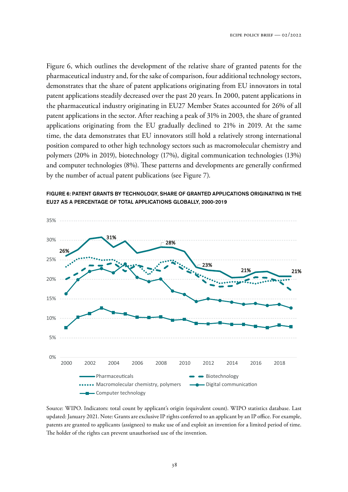Figure 6, which outlines the development of the relative share of granted patents for the pharmaceutical industry and, for the sake of comparison, four additional technology sectors, demonstrates that the share of patent applications originating from EU innovators in total patent applications steadily decreased over the past 20 years. In 2000, patent applications in the pharmaceutical industry originating in EU27 Member States accounted for 26% of all patent applications in the sector. After reaching a peak of 31% in 2003, the share of granted applications originating from the EU gradually declined to 21% in 2019. At the same time, the data demonstrates that EU innovators still hold a relatively strong international position compared to other high technology sectors such as macromolecular chemistry and polymers (20% in 2019), biotechnology (17%), digital communication technologies (13%) and computer technologies (8%). These patterns and developments are generally confirmed by the number of actual patent publications (see Figure 7).



FIGURE 6: PATENT GRANTS BY TECHNOLOGY, SHARE OF GRANTED APPLICATIONS ORIGINATING IN THE EU27 AS A PERCENTAGE OF TOTAL APPLICATIONS GLOBALLY, 2000-2019

Source: WIPO. Indicators: total count by applicant's origin (equivalent count). WIPO statistics database. Last updated: January 2021. Note: Grants are exclusive IP rights conferred to an applicant by an IP office. For example, patents are granted to applicants (assignees) to make use of and exploit an invention for a limited period of time. The holder of the rights can prevent unauthorised use of the invention.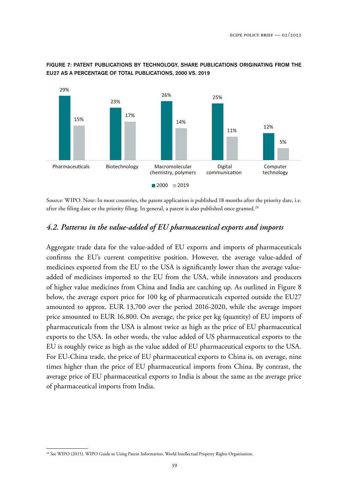

### FIGURE 7: PATENT PUBLICATIONS BY TECHNOLOGY, SHARE PUBLICATIONS ORIGINATING FROM THE EU27 AS A PERCENTAGE OF TOTAL PUBLICATIONS, 2000 VS. 2019

Source: WIPO. Note: In most countries, the patent application is published 18 months after the priority date, i.e. after the filing date or the priority filing. In general, a patent is also published once granted.<sup>28</sup>

# *4.2. Patterns in the value-added of EU pharmaceutical exports and imports*

Aggregate trade data for the value-added of EU exports and imports of pharmaceuticals confirms the EU's current competitive position. However, the average value-added of medicines exported from the EU to the USA is significantly lower than the average valueadded of medicines imported to the EU from the USA, while innovators and producers of higher value medicines from China and India are catching up. As outlined in Figure 8 below, the average export price for 100 kg of pharmaceuticals exported outside the EU27 amounted to approx. EUR 13,700 over the period 2016-2020, while the average import price amounted to EUR 16,800. On average, the price per kg (quantity) of EU imports of pharmaceuticals from the USA is almost twice as high as the price of EU pharmaceutical exports to the USA. In other words, the value added of US pharmaceutical exports to the EU is roughly twice as high as the value added of EU pharmaceutical exports to the USA. For EU-China trade, the price of EU pharmaceutical exports to China is, on average, nine times higher than the price of EU pharmaceutical imports from China. By contrast, the average price of EU pharmaceutical exports to India is about the same as the average price of pharmaceutical imports from India.

<sup>&</sup>lt;sup>28</sup> See WIPO (2015). WIPO Guide to Using Patent Information, World Intellectual Property Rights Organisation.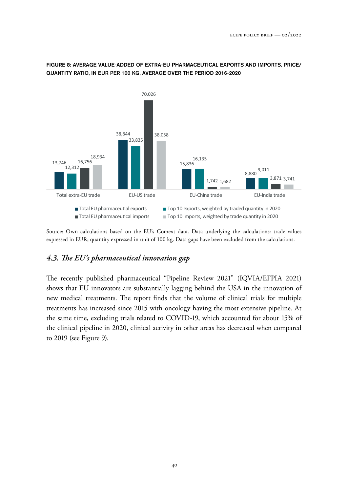

#### FIGURE 8: AVERAGE VALUE-ADDED OF EXTRA-EU PHARMACEUTICAL EXPORTS AND IMPORTS, PRICE/ QUANTITY RATIO, IN EUR PER 100 KG, AVERAGE OVER THE PERIOD 2016-2020

Source: Own calculations based on the EU's Comext data. Data underlying the calculations: trade values expressed in EUR; quantity expressed in unit of 100 kg. Data gaps have been excluded from the calculations.

### *4.3. "e EU's pharmaceutical innovation gap*

The recently published pharmaceutical "Pipeline Review 2021" (IQVIA/EFPIA 2021) shows that EU innovators are substantially lagging behind the USA in the innovation of new medical treatments. The report finds that the volume of clinical trials for multiple treatments has increased since 2015 with oncology having the most extensive pipeline. At the same time, excluding trials related to COVID-19, which accounted for about 15% of the clinical pipeline in 2020, clinical activity in other areas has decreased when compared to 2019 (see Figure 9).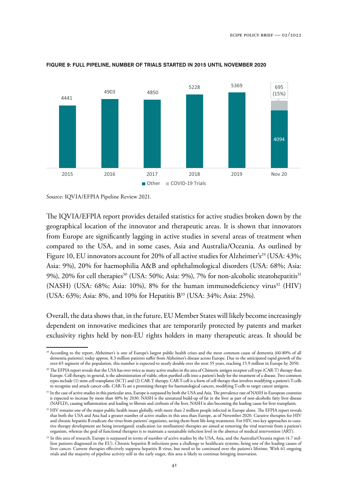

#### FIGURE 9: FULL PIPELINE, NUMBER OF TRIALS STARTED IN 2015 UNTIL NOVEMBER 2020

Source: IQVIA/EFPIA Pipeline Review 2021.

The IQVIA/EFPIA report provides detailed statistics for active studies broken down by the geographical location of the innovator and therapeutic areas. It is shown that innovators from Europe are significantly lagging in active studies in several areas of treatment when compared to the USA, and in some cases, Asia and Australia/Oceania. As outlined by Figure 10, EU innovators account for 20% of all active studies for Alzheimer's<sup>29</sup> (USA:  $43\%$ ; Asia: 9%), 20% for haemophilia A&B and ophthalmological disorders (USA: 68%; Asia: 9%), 20% for cell therapies<sup>30</sup> (USA: 50%; Asia: 9%), 7% for non-alcoholic steatohepatitis<sup>31</sup> (NASH) (USA: 68%; Asia: 10%), 8% for the human immunodeficiency virus<sup>32</sup> (HIV) (USA: 63%; Asia: 8%, and 10% for Hepatitis B<sup>33</sup> (USA: 34%; Asia: 25%).

Overall, the data shows that, in the future, EU Member States will likely become increasingly dependent on innovative medicines that are temporarily protected by patents and market exclusivity rights held by non-EU rights holders in many therapeutic areas. It should be

<sup>29</sup> According to the report, Alzheimer's is one of Europe's largest public health crises and the most common cause of dementia (60-80% of all dementia patients); today approx. 8.3 million patients suffer from Alzheimer's disease across Europe. Due to the anticipated rapid growth of the over-65 segment of the population, this number is expected to nearly double over the next 35 years, reaching 15.9 million in Europe by 2050.

<sup>&</sup>lt;sup>30</sup> The EFPIA report reveals that the USA has over twice as many active studies in the area of Chimeric antigen receptor cell type (CAR-T) therapy than Europe. Cell therapy, in general, is the administration of viable, often purified cells into a patient's body for the treatment of a disease. Two common types include (1) stem cell transplants (SCT) and (2) CAR-T therapy. CAR T-cell is a form of cell therapy that involves modifying a patient's T-cells to recognize and attack cancer cells. CAR-Ts are a promising therapy for haematological cancers, modifying T-cells to target cancer antigens.

<sup>&</sup>lt;sup>31</sup> In the case of active studies in this particular area, Europe is surpassed by both the USA and Asia. The prevalence rate of NASH in European countries is expected to increase by more than 40% by 2030. NASH is the unnatural build-up of fat in the liver as part of non-alcoholic fatty liver disease (NAFLD), causing inflammation and leading to fibrosis and cirrhosis of the liver. NASH is also becoming the leading cause for liver transplants.

<sup>&</sup>lt;sup>32</sup> HIV remains one of the major public health issues globally, with more than 2 million people infected in Europe alone. The EFPIA report reveals that both the USA and Asia had a greater number of active studies in this area than Europe, as of November 2020. Curative therapies for HIV and chronic hepatitis B eradicate the virus from patients' organisms, saving them from life-long treatments. For HIV, two key approaches to curative therapy development are being investigated: eradication (or sterilisation) therapies are aimed at removing the viral reservoir from a patient's organism, whereas the goal of functional therapies is to maintain a sustainable infection level in the absence of medical intervention (ART).

<sup>&</sup>lt;sup>33</sup> In this area of research, Europe is surpassed in terms of number of active studies by the USA, Asia, and the Australia/Oceania region (4.7 million patients diagnosed in the EU). Chronic hepatitis B infections pose a challenge to healthcare systems, being one of the leading causes of liver cancer. Current therapies effectively suppress hepatitis B virus, but need to be continued over the patient's lifetime. With 61 ongoing trials and the majority of pipeline activity still in the early stages, this area is likely to continue bringing innovation.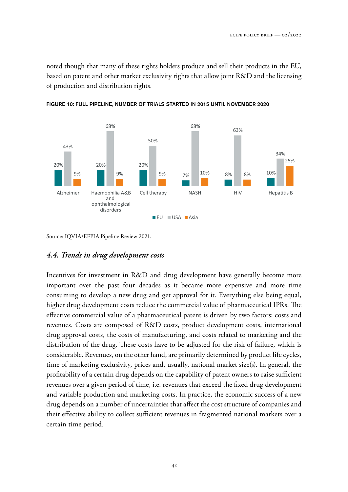noted though that many of these rights holders produce and sell their products in the EU, based on patent and other market exclusivity rights that allow joint R&D and the licensing of production and distribution rights.





Source: IQVIA/EFPIA Pipeline Review 2021.

## *4.4. Trends in drug development costs*

Incentives for investment in R&D and drug development have generally become more important over the past four decades as it became more expensive and more time consuming to develop a new drug and get approval for it. Everything else being equal, higher drug development costs reduce the commercial value of pharmaceutical IPRs. The effective commercial value of a pharmaceutical patent is driven by two factors: costs and revenues. Costs are composed of R&D costs, product development costs, international drug approval costs, the costs of manufacturing, and costs related to marketing and the distribution of the drug. These costs have to be adjusted for the risk of failure, which is considerable. Revenues, on the other hand, are primarily determined by product life cycles, time of marketing exclusivity, prices and, usually, national market size(s). In general, the profitability of a certain drug depends on the capability of patent owners to raise sufficient revenues over a given period of time, i.e. revenues that exceed the fixed drug development and variable production and marketing costs. In practice, the economic success of a new drug depends on a number of uncertainties that affect the cost structure of companies and their effective ability to collect sufficient revenues in fragmented national markets over a certain time period.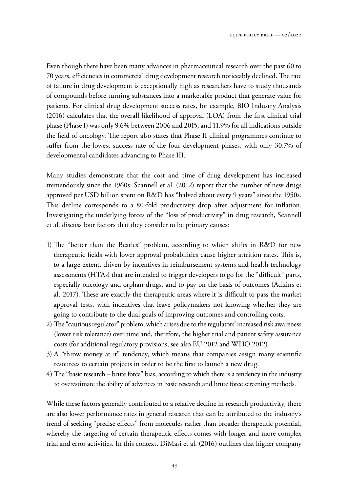Even though there have been many advances in pharmaceutical research over the past 60 to 70 years, efficiencies in commercial drug development research noticeably declined. The rate of failure in drug development is exceptionally high as researchers have to study thousands of compounds before turning substances into a marketable product that generate value for patients. For clinical drug development success rates, for example, BIO Industry Analysis (2016) calculates that the overall likelihood of approval (LOA) from the first clinical trial phase (Phase I) was only 9.6% between 2006 and 2015, and 11.9% for all indications outside the field of oncology. The report also states that Phase II clinical programmes continue to suffer from the lowest success rate of the four development phases, with only 30.7% of developmental candidates advancing to Phase III.

Many studies demonstrate that the cost and time of drug development has increased tremendously since the 1960s. Scannell et al. (2012) report that the number of new drugs approved per USD billion spent on R&D has "halved about every 9 years" since the 1950s. This decline corresponds to a 80-fold productivity drop after adjustment for inflation. Investigating the underlying forces of the "loss of productivity" in drug research, Scannell et al. discuss four factors that they consider to be primary causes:

- 1) The "better than the Beatles" problem, according to which shifts in R&D for new therapeutic fields with lower approval probabilities cause higher attrition rates. This is, to a large extent, driven by incentives in reimbursement systems and health technology assessments (HTAs) that are intended to trigger developers to go for the "difficult" parts, especially oncology and orphan drugs, and to pay on the basis of outcomes (Adkins et al. 2017). These are exactly the therapeutic areas where it is difficult to pass the market approval tests, with incentives that leave policymakers not knowing whether they are going to contribute to the dual goals of improving outcomes and controlling costs.
- 2) The "cautious regulator" problem, which arises due to the regulators' increased risk awareness (lower risk tolerance) over time and, therefore, the higher trial and patient safety assurance costs (for additional regulatory provisions, see also EU 2012 and WHO 2012).
- 3) A "throw money at it" tendency, which means that companies assign many scientific resources to certain projects in order to be the first to launch a new drug.
- 4) The "basic research brute force" bias, according to which there is a tendency in the industry to overestimate the ability of advances in basic research and brute force screening methods.

While these factors generally contributed to a relative decline in research productivity, there are also lower performance rates in general research that can be attributed to the industry's trend of seeking "precise effects" from molecules rather than broader therapeutic potential, whereby the targeting of certain therapeutic effects comes with longer and more complex trial and error activities. In this context, DiMasi et al. (2016) outlines that higher company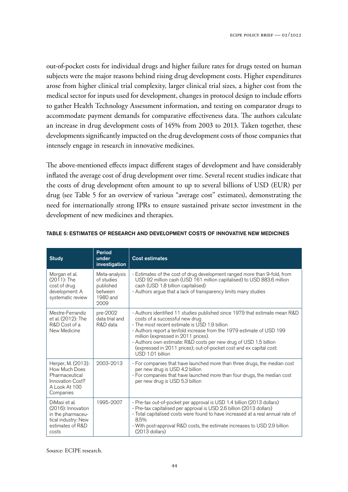out-of-pocket costs for individual drugs and higher failure rates for drugs tested on human subjects were the major reasons behind rising drug development costs. Higher expenditures arose from higher clinical trial complexity, larger clinical trial sizes, a higher cost from the medical sector for inputs used for development, changes in protocol design to include efforts to gather Health Technology Assessment information, and testing on comparator drugs to accommodate payment demands for comparative effectiveness data. The authors calculate an increase in drug development costs of 145% from 2003 to 2013. Taken together, these developments significantly impacted on the drug development costs of those companies that intensely engage in research in innovative medicines.

The above-mentioned effects impact different stages of development and have considerably inflated the average cost of drug development over time. Several recent studies indicate that the costs of drug development often amount to up to several billions of USD (EUR) per drug (see Table 5 for an overview of various "average cost" estimates), demonstrating the need for internationally strong IPRs to ensure sustained private sector investment in the development of new medicines and therapies.

| <b>Study</b>                                                                                                                 | <b>Period</b><br>under<br>investigation                                 | <b>Cost estimates</b>                                                                                                                                                                                                                                                                                                                                                                                                                          |  |  |  |  |  |  |
|------------------------------------------------------------------------------------------------------------------------------|-------------------------------------------------------------------------|------------------------------------------------------------------------------------------------------------------------------------------------------------------------------------------------------------------------------------------------------------------------------------------------------------------------------------------------------------------------------------------------------------------------------------------------|--|--|--|--|--|--|
| Morgan et al.<br>$(2011)$ : The<br>cost of drug<br>development: A<br>systematic review                                       | Meta-analysis<br>of studies<br>published<br>between<br>1980 and<br>2009 | - Estimates of the cost of drug development ranged more than 9-fold, from<br>USD 92 million cash (USD 161 million capitalised) to USD 883.6 million<br>cash (USD 1.8 billion capitalised)<br>- Authors argue that a lack of transparency limits many studies                                                                                                                                                                                   |  |  |  |  |  |  |
| Mestre-Ferrandiz<br>et al. (2012): The<br>R&D Cost of a<br>New Medicine                                                      | pre-2002<br>data trial and<br>R&D data                                  | - Authors identified 11 studies published since 1979 that estimate mean R&D<br>costs of a successful new drug<br>- The most recent estimate is USD 1.9 billion<br>- Authors report a tenfold increase from the 1979 estimate of USD 199<br>million (expressed in 2011 prices).<br>- Authors own estimate: R&D costs per new drug of USD 1.5 billion<br>(expressed in 2011 prices); out-of-pocket cost and ex capital cost:<br>USD 1.01 billion |  |  |  |  |  |  |
| Herper, M. (2013):<br>How Much Does<br>Pharmaceutical<br>Innovation Cost?<br>A Look At 100<br>Companies                      | 2003-2013                                                               | - For companies that have launched more than three drugs, the median cost<br>per new drug is USD 4.2 billion<br>- For companies that have launched more than four drugs, the median cost<br>per new drug is USD 5.3 billion                                                                                                                                                                                                                    |  |  |  |  |  |  |
| 1995-2007<br>DiMasi et al.<br>$(2016)$ : Innovation<br>in the pharmaceu-<br>tical industry: New<br>estimates of R&D<br>costs |                                                                         | - Pre-tax out-of-pocket per approval is USD 1.4 billion (2013 dollars)<br>- Pre-tax capitalised per approval is USD 2.6 billion (2013 dollars)<br>- Total capitalised costs were found to have increased at a real annual rate of<br>8.5%<br>- With post-approval R&D costs, the estimate increases to USD 2.9 billion<br>$(2013$ dollars)                                                                                                     |  |  |  |  |  |  |

#### TABLE 5: ESTIMATES OF RESEARCH AND DEVELOPMENT COSTS OF INNOVATIVE NEW MEDICINES

Source: ECIPE research.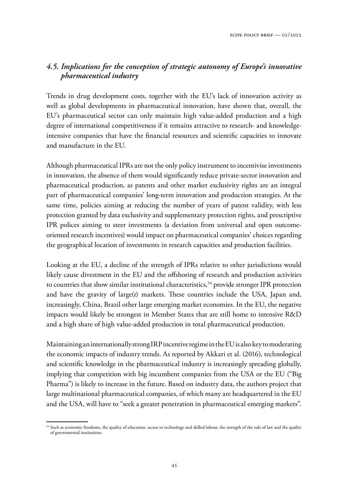# *4.5. Implications for the conception of strategic autonomy of Europe's innovative pharmaceutical industry*

Trends in drug development costs, together with the EU's lack of innovation activity as well as global developments in pharmaceutical innovation, have shown that, overall, the EU's pharmaceutical sector can only maintain high value-added production and a high degree of international competitiveness if it remains attractive to research- and knowledgeintensive companies that have the financial resources and scientific capacities to innovate and manufacture in the EU.

Although pharmaceutical IPRs are not the only policy instrument to incentivise investments in innovation, the absence of them would significantly reduce private-sector innovation and pharmaceutical production, as patents and other market exclusivity rights are an integral part of pharmaceutical companies' long-term innovation and production strategies. At the same time, policies aiming at reducing the number of years of patent validity, with less protection granted by data exclusivity and supplementary protection rights, and prescriptive IPR polices aiming to steer investments (a deviation from universal and open outcomeoriented research incentives) would impact on pharmaceutical companies' choices regarding the geographical location of investments in research capacities and production facilities.

Looking at the EU, a decline of the strength of IPRs relative to other jurisdictions would likely cause divestment in the EU and the offshoring of research and production activities to countries that show similar institutional characteristics, $34$  provide stronger IPR protection and have the gravity of large(r) markets. These countries include the USA, Japan and, increasingly, China, Brazil other large emerging market economies. In the EU, the negative impacts would likely be strongest in Member States that are still home to intensive R&D and a high share of high value-added production in total pharmaceutical production.

Maintaining an internationally strong IRP incentive regime in the EU is also key to moderating the economic impacts of industry trends. As reported by Akkari et al. (2016), technological and scientific knowledge in the pharmaceutical industry is increasingly spreading globally, implying that competition with big incumbent companies from the USA or the EU ("Big Pharma") is likely to increase in the future. Based on industry data, the authors project that large multinational pharmaceutical companies, of which many are headquartered in the EU and the USA, will have to "seek a greater penetration in pharmaceutical emerging markets".

<sup>&</sup>lt;sup>34</sup> Such as economic freedoms, the quality of education, access to technology and skilled labour, the strength of the rule of law and the quality of governmental institutions.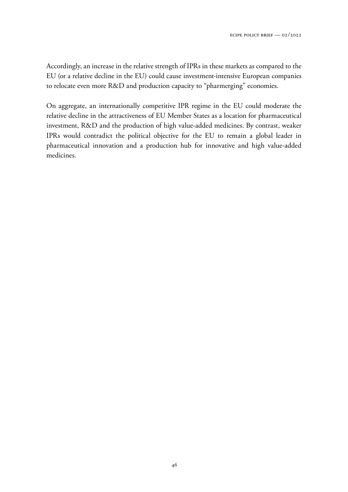Accordingly, an increase in the relative strength of IPRs in these markets as compared to the EU (or a relative decline in the EU) could cause investment-intensive European companies to relocate even more R&D and production capacity to "pharmerging" economies.

On aggregate, an internationally competitive IPR regime in the EU could moderate the relative decline in the attractiveness of EU Member States as a location for pharmaceutical investment, R&D and the production of high value-added medicines. By contrast, weaker IPRs would contradict the political objective for the EU to remain a global leader in pharmaceutical innovation and a production hub for innovative and high value-added medicines.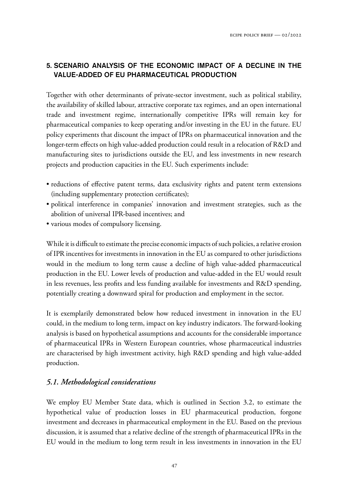# 5. SCENARIO ANALYSIS OF THE ECONOMIC IMPACT OF A DECLINE IN THE VALUE-ADDED OF EU PHARMACEUTICAL PRODUCTION

Together with other determinants of private-sector investment, such as political stability, the availability of skilled labour, attractive corporate tax regimes, and an open international trade and investment regime, internationally competitive IPRs will remain key for pharmaceutical companies to keep operating and/or investing in the EU in the future. EU policy experiments that discount the impact of IPRs on pharmaceutical innovation and the longer-term effects on high value-added production could result in a relocation of R&D and manufacturing sites to jurisdictions outside the EU, and less investments in new research projects and production capacities in the EU. Such experiments include:

- reductions of effective patent terms, data exclusivity rights and patent term extensions (including supplementary protection certificates);
- political interference in companies' innovation and investment strategies, such as the abolition of universal IPR-based incentives; and
- various modes of compulsory licensing.

While it is difficult to estimate the precise economic impacts of such policies, a relative erosion of IPR incentives for investments in innovation in the EU as compared to other jurisdictions would in the medium to long term cause a decline of high value-added pharmaceutical production in the EU. Lower levels of production and value-added in the EU would result in less revenues, less profits and less funding available for investments and R&D spending, potentially creating a downward spiral for production and employment in the sector.

It is exemplarily demonstrated below how reduced investment in innovation in the EU could, in the medium to long term, impact on key industry indicators. The forward-looking analysis is based on hypothetical assumptions and accounts for the considerable importance of pharmaceutical IPRs in Western European countries, whose pharmaceutical industries are characterised by high investment activity, high R&D spending and high value-added production.

# *5.1. Methodological considerations*

We employ EU Member State data, which is outlined in Section 3.2, to estimate the hypothetical value of production losses in EU pharmaceutical production, forgone investment and decreases in pharmaceutical employment in the EU. Based on the previous discussion, it is assumed that a relative decline of the strength of pharmaceutical IPRs in the EU would in the medium to long term result in less investments in innovation in the EU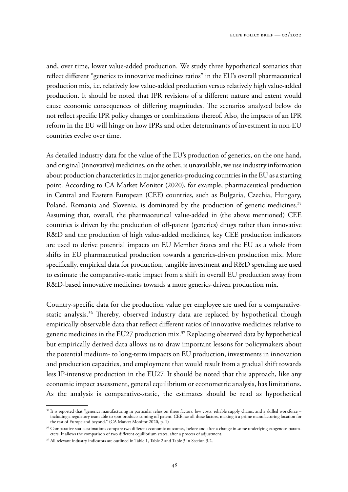and, over time, lower value-added production. We study three hypothetical scenarios that reflect different "generics to innovative medicines ratios" in the EU's overall pharmaceutical production mix, i.e. relatively low value-added production versus relatively high value-added production. It should be noted that IPR revisions of a different nature and extent would cause economic consequences of differing magnitudes. The scenarios analysed below do not reflect specific IPR policy changes or combinations thereof. Also, the impacts of an IPR reform in the EU will hinge on how IPRs and other determinants of investment in non-EU countries evolve over time.

As detailed industry data for the value of the EU's production of generics, on the one hand, and original (innovative) medicines, on the other, is unavailable, we use industry information about production characteristics in major generics-producing countries in the EU as a starting point. According to CA Market Monitor (2020), for example, pharmaceutical production in Central and Eastern European (CEE) countries, such as Bulgaria, Czechia, Hungary, Poland, Romania and Slovenia, is dominated by the production of generic medicines.<sup>35</sup> Assuming that, overall, the pharmaceutical value-added in (the above mentioned) CEE countries is driven by the production of off-patent (generics) drugs rather than innovative R&D and the production of high value-added medicines, key CEE production indicators are used to derive potential impacts on EU Member States and the EU as a whole from shifts in EU pharmaceutical production towards a generics-driven production mix. More specifically, empirical data for production, tangible investment and R&D spending are used to estimate the comparative-static impact from a shift in overall EU production away from R&D-based innovative medicines towards a more generics-driven production mix.

Country-specific data for the production value per employee are used for a comparativestatic analysis.<sup>36</sup> Thereby, observed industry data are replaced by hypothetical though empirically observable data that reflect different ratios of innovative medicines relative to generic medicines in the EU27 production mix.<sup>37</sup> Replacing observed data by hypothetical but empirically derived data allows us to draw important lessons for policymakers about the potential medium- to long-term impacts on EU production, investments in innovation and production capacities, and employment that would result from a gradual shift towards less IP-intensive production in the EU27. It should be noted that this approach, like any economic impact assessment, general equilibrium or econometric analysis, has limitations. As the analysis is comparative-static, the estimates should be read as hypothetical

<sup>&</sup>lt;sup>35</sup> It is reported that "generics manufacturing in particular relies on three factors: low costs, reliable supply chains, and a skilled workforce – including a regulatory team able to spot products coming off patent. CEE has all these factors, making it a prime manufacturing location for the rest of Europe and beyond." (CA Market Monitor 2020, p. 1)

<sup>&</sup>lt;sup>36</sup> Comparative-static estimations compare two different economic outcomes, before and after a change in some underlying exogenous parameters. It allows the comparison of two different equilibrium states, after a process of adjustment.

<sup>&</sup>lt;sup>37</sup> All relevant industry indicators are outlined in Table 1, Table 2 and Table 3 in Section 3.2.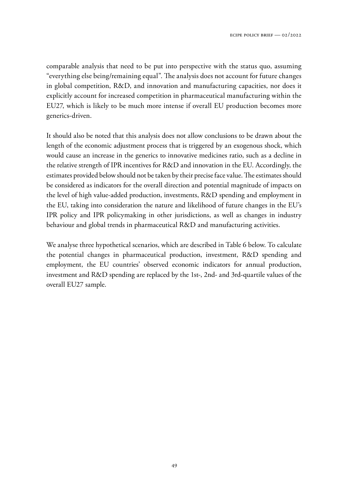comparable analysis that need to be put into perspective with the status quo, assuming "everything else being/remaining equal". The analysis does not account for future changes in global competition, R&D, and innovation and manufacturing capacities, nor does it explicitly account for increased competition in pharmaceutical manufacturing within the EU27, which is likely to be much more intense if overall EU production becomes more generics-driven.

It should also be noted that this analysis does not allow conclusions to be drawn about the length of the economic adjustment process that is triggered by an exogenous shock, which would cause an increase in the generics to innovative medicines ratio, such as a decline in the relative strength of IPR incentives for R&D and innovation in the EU. Accordingly, the estimates provided below should not be taken by their precise face value. The estimates should be considered as indicators for the overall direction and potential magnitude of impacts on the level of high value-added production, investments, R&D spending and employment in the EU, taking into consideration the nature and likelihood of future changes in the EU's IPR policy and IPR policymaking in other jurisdictions, as well as changes in industry behaviour and global trends in pharmaceutical R&D and manufacturing activities.

We analyse three hypothetical scenarios, which are described in Table 6 below. To calculate the potential changes in pharmaceutical production, investment, R&D spending and employment, the EU countries' observed economic indicators for annual production, investment and R&D spending are replaced by the 1st-, 2nd- and 3rd-quartile values of the overall EU27 sample.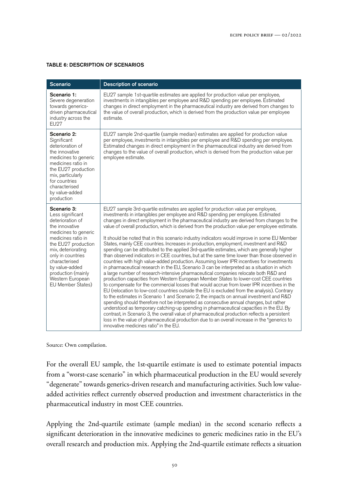#### TABLE 6: DESCRIPTION OF SCENARIOS

| <b>Scenario</b>                                                                                                                                                                                                                                                                         | <b>Description of scenario</b>                                                                                                                                                                                                                                                                                                                                                                                                                                                                                                                                                                                                                                                                                                                                                                                                                                                                                                                                                                                                                                                                                                                                                                                                                                                                                                                                                                                                                                                                                                                                                                                                                                                                                                                                                                                                                                        |
|-----------------------------------------------------------------------------------------------------------------------------------------------------------------------------------------------------------------------------------------------------------------------------------------|-----------------------------------------------------------------------------------------------------------------------------------------------------------------------------------------------------------------------------------------------------------------------------------------------------------------------------------------------------------------------------------------------------------------------------------------------------------------------------------------------------------------------------------------------------------------------------------------------------------------------------------------------------------------------------------------------------------------------------------------------------------------------------------------------------------------------------------------------------------------------------------------------------------------------------------------------------------------------------------------------------------------------------------------------------------------------------------------------------------------------------------------------------------------------------------------------------------------------------------------------------------------------------------------------------------------------------------------------------------------------------------------------------------------------------------------------------------------------------------------------------------------------------------------------------------------------------------------------------------------------------------------------------------------------------------------------------------------------------------------------------------------------------------------------------------------------------------------------------------------------|
| Scenario 1:<br>Severe degeneration<br>towards generics-<br>driven pharmaceutical<br>industry across the<br><b>EU27</b>                                                                                                                                                                  | EU27 sample 1st-quartile estimates are applied for production value per employee,<br>investments in intangibles per employee and R&D spending per employee. Estimated<br>changes in direct employment in the pharmaceutical industry are derived from changes to<br>the value of overall production, which is derived from the production value per employee<br>estimate.                                                                                                                                                                                                                                                                                                                                                                                                                                                                                                                                                                                                                                                                                                                                                                                                                                                                                                                                                                                                                                                                                                                                                                                                                                                                                                                                                                                                                                                                                             |
| Scenario 2:<br>Significant<br>deterioration of<br>the innovative<br>medicines to generic<br>medicines ratio in<br>the EU27 production<br>mix, particularly<br>for countries<br>characterised<br>by value-added<br>production                                                            | EU27 sample 2nd-quartile (sample median) estimates are applied for production value<br>per employee, investments in intangibles per employee and R&D spending per employee.<br>Estimated changes in direct employment in the pharmaceutical industry are derived from<br>changes to the value of overall production, which is derived from the production value per<br>employee estimate.                                                                                                                                                                                                                                                                                                                                                                                                                                                                                                                                                                                                                                                                                                                                                                                                                                                                                                                                                                                                                                                                                                                                                                                                                                                                                                                                                                                                                                                                             |
| Scenario 3:<br>Less significant<br>deterioration of<br>the innovative<br>medicines to generic<br>medicines ratio in<br>the EU27 production<br>mix, deteriorating<br>only in countries<br>characterised<br>by value-added<br>production (mainly<br>Western European<br>EU Member States) | EU27 sample 3rd-quartile estimates are applied for production value per employee,<br>investments in intangibles per employee and R&D spending per employee. Estimated<br>changes in direct employment in the pharmaceutical industry are derived from changes to the<br>value of overall production, which is derived from the production value per employee estimate.<br>It should be noted that in this scenario industry indicators would improve in some EU Member<br>States, mainly CEE countries. Increases in production, employment, investment and R&D<br>spending can be attributed to the applied 3rd-quartile estimates, which are generally higher<br>than observed indicators in CEE countries, but at the same time lower than those observed in<br>countries with high value-added production. Assuming lower IPR incentives for investments<br>in pharmaceutical research in the EU, Scenario 3 can be interpreted as a situation in which<br>a large number of research-intensive pharmaceutical companies relocate both R&D and<br>production capacities from Western European Member States to lower-cost CEE countries<br>to compensate for the commercial losses that would accrue from lower IPR incentives in the<br>EU (relocation to low-cost countries outside the EU is excluded from the analysis). Contrary<br>to the estimates in Scenario 1 and Scenario 2, the impacts on annual investment and R&D<br>spending should therefore not be interpreted as consecutive annual changes, but rather<br>understood as temporary catching-up spending in pharmaceutical capacities in the EU. By<br>contrast, in Scenario 3, the overall value of pharmaceutical production reflects a persistent<br>loss in the value of pharmaceutical production due to an overall increase in the "generics to<br>innovative medicines ratio" in the EU. |

Source: Own compilation.

For the overall EU sample, the 1st-quartile estimate is used to estimate potential impacts from a "worst-case scenario" in which pharmaceutical production in the EU would severely "degenerate" towards generics-driven research and manufacturing activities. Such low valueadded activities reflect currently observed production and investment characteristics in the pharmaceutical industry in most CEE countries.

Applying the 2nd-quartile estimate (sample median) in the second scenario reflects a significant deterioration in the innovative medicines to generic medicines ratio in the EU's overall research and production mix. Applying the 2nd-quartile estimate reflects a situation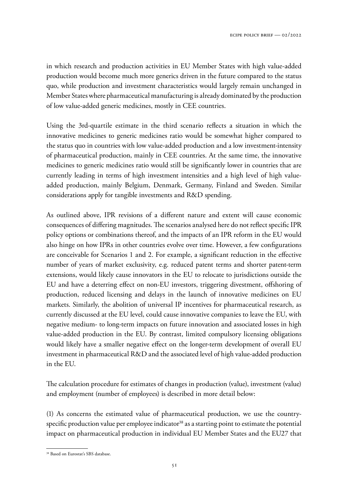in which research and production activities in EU Member States with high value-added production would become much more generics driven in the future compared to the status quo, while production and investment characteristics would largely remain unchanged in Member States where pharmaceutical manufacturing is already dominated by the production of low value-added generic medicines, mostly in CEE countries.

Using the 3rd-quartile estimate in the third scenario reflects a situation in which the innovative medicines to generic medicines ratio would be somewhat higher compared to the status quo in countries with low value-added production and a low investment-intensity of pharmaceutical production, mainly in CEE countries. At the same time, the innovative medicines to generic medicines ratio would still be significantly lower in countries that are currently leading in terms of high investment intensities and a high level of high valueadded production, mainly Belgium, Denmark, Germany, Finland and Sweden. Similar considerations apply for tangible investments and R&D spending.

As outlined above, IPR revisions of a different nature and extent will cause economic consequences of differing magnitudes. The scenarios analysed here do not reflect specific IPR policy options or combinations thereof, and the impacts of an IPR reform in the EU would also hinge on how IPRs in other countries evolve over time. However, a few configurations are conceivable for Scenarios 1 and 2. For example, a significant reduction in the effective number of years of market exclusivity, e.g. reduced patent terms and shorter patent-term extensions, would likely cause innovators in the EU to relocate to jurisdictions outside the EU and have a deterring effect on non-EU investors, triggering divestment, offshoring of production, reduced licensing and delays in the launch of innovative medicines on EU markets. Similarly, the abolition of universal IP incentives for pharmaceutical research, as currently discussed at the EU level, could cause innovative companies to leave the EU, with negative medium- to long-term impacts on future innovation and associated losses in high value-added production in the EU. By contrast, limited compulsory licensing obligations would likely have a smaller negative effect on the longer-term development of overall EU investment in pharmaceutical R&D and the associated level of high value-added production in the EU.

The calculation procedure for estimates of changes in production (value), investment (value) and employment (number of employees) is described in more detail below:

(1) As concerns the estimated value of pharmaceutical production, we use the countryspecific production value per employee indicator<sup>38</sup> as a starting point to estimate the potential impact on pharmaceutical production in individual EU Member States and the EU27 that

<sup>&</sup>lt;sup>38</sup> Based on Eurostat's SBS database.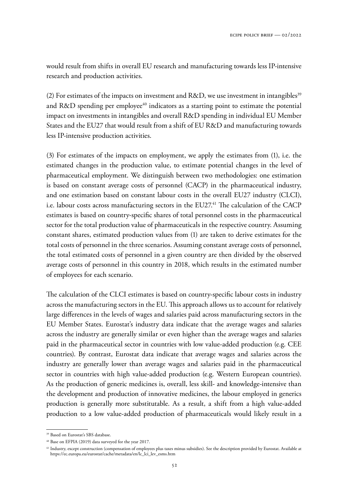would result from shifts in overall EU research and manufacturing towards less IP-intensive research and production activities.

(2) For estimates of the impacts on investment and R&D, we use investment in intangibles<sup>39</sup> and R&D spending per employee<sup>40</sup> indicators as a starting point to estimate the potential impact on investments in intangibles and overall R&D spending in individual EU Member States and the EU27 that would result from a shift of EU R&D and manufacturing towards less IP-intensive production activities.

(3) For estimates of the impacts on employment, we apply the estimates from (1), i.e. the estimated changes in the production value, to estimate potential changes in the level of pharmaceutical employment. We distinguish between two methodologies: one estimation is based on constant average costs of personnel (CACP) in the pharmaceutical industry, and one estimation based on constant labour costs in the overall EU27 industry (CLCI), i.e. labour costs across manufacturing sectors in the  $EU27<sup>41</sup>$  The calculation of the CACP estimates is based on country-specific shares of total personnel costs in the pharmaceutical sector for the total production value of pharmaceuticals in the respective country. Assuming constant shares, estimated production values from (1) are taken to derive estimates for the total costs of personnel in the three scenarios. Assuming constant average costs of personnel, the total estimated costs of personnel in a given country are then divided by the observed average costs of personnel in this country in 2018, which results in the estimated number of employees for each scenario.

The calculation of the CLCI estimates is based on country-specific labour costs in industry across the manufacturing sectors in the EU. This approach allows us to account for relatively large differences in the levels of wages and salaries paid across manufacturing sectors in the EU Member States. Eurostat's industry data indicate that the average wages and salaries across the industry are generally similar or even higher than the average wages and salaries paid in the pharmaceutical sector in countries with low value-added production (e.g. CEE countries). By contrast, Eurostat data indicate that average wages and salaries across the industry are generally lower than average wages and salaries paid in the pharmaceutical sector in countries with high value-added production (e.g. Western European countries). As the production of generic medicines is, overall, less skill- and knowledge-intensive than the development and production of innovative medicines, the labour employed in generics production is generally more substitutable. As a result, a shift from a high value-added production to a low value-added production of pharmaceuticals would likely result in a

<sup>39</sup> Based on Eurostat's SBS database.

<sup>40</sup> Base on EFPIA (2019) data surveyed for the year 2017.

<sup>&</sup>lt;sup>41</sup> Industry, except construction (compensation of employees plus taxes minus subsidies). See the description provided by Eurostat. Available at https://ec.europa.eu/eurostat/cache/metadata/en/lc\_lci\_lev\_esms.htm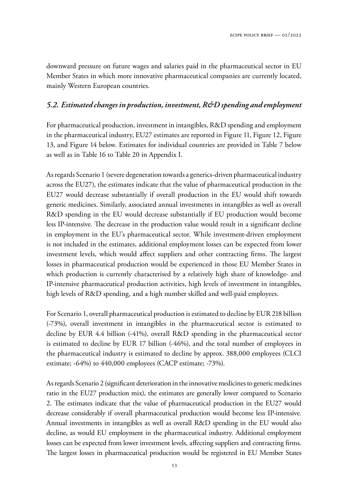downward pressure on future wages and salaries paid in the pharmaceutical sector in EU Member States in which more innovative pharmaceutical companies are currently located, mainly Western European countries.

# *5.2. Estimated changes in production, investment, R&D spending and employment*

For pharmaceutical production, investment in intangibles, R&D spending and employment in the pharmaceutical industry, EU27 estimates are reported in Figure 11, Figure 12, Figure 13, and Figure 14 below. Estimates for individual countries are provided in Table 7 below as well as in Table 16 to Table 20 in Appendix I.

As regards Scenario 1 (severe degeneration towards a generics-driven pharmaceutical industry across the EU27), the estimates indicate that the value of pharmaceutical production in the EU27 would decrease substantially if overall production in the EU would shift towards generic medicines. Similarly, associated annual investments in intangibles as well as overall R&D spending in the EU would decrease substantially if EU production would become less IP-intensive. The decrease in the production value would result in a significant decline in employment in the EU's pharmaceutical sector. While investment-driven employment is not included in the estimates, additional employment losses can be expected from lower investment levels, which would affect suppliers and other contracting firms. The largest losses in pharmaceutical production would be experienced in those EU Member States in which production is currently characterised by a relatively high share of knowledge- and IP-intensive pharmaceutical production activities, high levels of investment in intangibles, high levels of R&D spending, and a high number skilled and well-paid employees.

For Scenario 1, overall pharmaceutical production is estimated to decline by EUR 218 billion (-73%), overall investment in intangibles in the pharmaceutical sector is estimated to decline by EUR 4.4 billion (-41%), overall R&D spending in the pharmaceutical sector is estimated to decline by EUR 17 billion (-46%), and the total number of employees in the pharmaceutical industry is estimated to decline by approx. 388,000 employees (CLCI estimate; -64%) to 440,000 employees (CACP estimate; -73%).

As regards Scenario 2 (significant deterioration in the innovative medicines to generic medicines ratio in the EU27 production mix), the estimates are generally lower compared to Scenario 2. The estimates indicate that the value of pharmaceutical production in the EU27 would decrease considerably if overall pharmaceutical production would become less IP-intensive. Annual investments in intangibles as well as overall R&D spending in the EU would also decline, as would EU employment in the pharmaceutical industry. Additional employment losses can be expected from lower investment levels, affecting suppliers and contracting firms. The largest losses in pharmaceutical production would be registered in EU Member States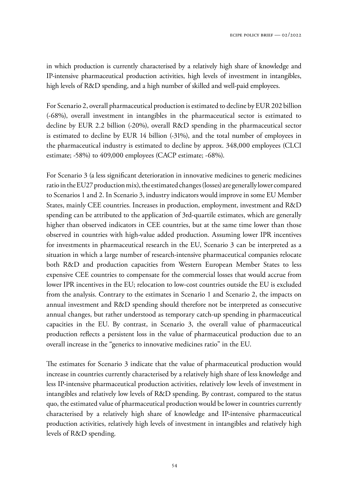in which production is currently characterised by a relatively high share of knowledge and IP-intensive pharmaceutical production activities, high levels of investment in intangibles, high levels of R&D spending, and a high number of skilled and well-paid employees.

For Scenario 2, overall pharmaceutical production is estimated to decline by EUR 202 billion (-68%), overall investment in intangibles in the pharmaceutical sector is estimated to decline by EUR 2.2 billion (-20%), overall R&D spending in the pharmaceutical sector is estimated to decline by EUR 14 billion (-31%), and the total number of employees in the pharmaceutical industry is estimated to decline by approx. 348,000 employees (CLCI estimate; -58%) to 409,000 employees (CACP estimate; -68%).

For Scenario 3 (a less significant deterioration in innovative medicines to generic medicines ratio in the EU27 production mix), the estimated changes (losses) are generally lower compared to Scenarios 1 and 2. In Scenario 3, industry indicators would improve in some EU Member States, mainly CEE countries. Increases in production, employment, investment and R&D spending can be attributed to the application of 3rd-quartile estimates, which are generally higher than observed indicators in CEE countries, but at the same time lower than those observed in countries with high-value added production. Assuming lower IPR incentives for investments in pharmaceutical research in the EU, Scenario 3 can be interpreted as a situation in which a large number of research-intensive pharmaceutical companies relocate both R&D and production capacities from Western European Member States to less expensive CEE countries to compensate for the commercial losses that would accrue from lower IPR incentives in the EU; relocation to low-cost countries outside the EU is excluded from the analysis. Contrary to the estimates in Scenario 1 and Scenario 2, the impacts on annual investment and R&D spending should therefore not be interpreted as consecutive annual changes, but rather understood as temporary catch-up spending in pharmaceutical capacities in the EU. By contrast, in Scenario 3, the overall value of pharmaceutical production reflects a persistent loss in the value of pharmaceutical production due to an overall increase in the "generics to innovative medicines ratio" in the EU.

The estimates for Scenario 3 indicate that the value of pharmaceutical production would increase in countries currently characterised by a relatively high share of less knowledge and less IP-intensive pharmaceutical production activities, relatively low levels of investment in intangibles and relatively low levels of R&D spending. By contrast, compared to the status quo, the estimated value of pharmaceutical production would be lower in countries currently characterised by a relatively high share of knowledge and IP-intensive pharmaceutical production activities, relatively high levels of investment in intangibles and relatively high levels of R&D spending.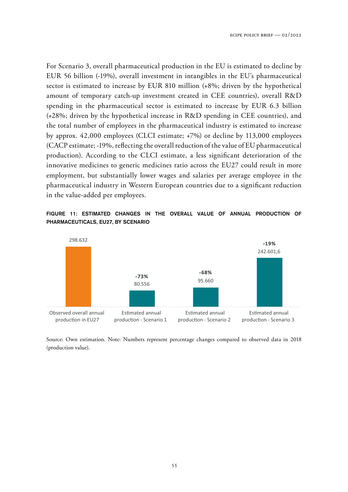For Scenario 3, overall pharmaceutical production in the EU is estimated to decline by EUR 56 billion (-19%), overall investment in intangibles in the EU's pharmaceutical sector is estimated to increase by EUR 810 million (+8%; driven by the hypothetical amount of temporary catch-up investment created in CEE countries), overall R&D spending in the pharmaceutical sector is estimated to increase by EUR 6.3 billion (+28%; driven by the hypothetical increase in R&D spending in CEE countries), and the total number of employees in the pharmaceutical industry is estimated to increase by approx. 42,000 employees (CLCI estimate; +7%) or decline by 113,000 employees (CACP estimate; -19%, reflecting the overall reduction of the value of EU pharmaceutical production). According to the CLCI estimate, a less significant deterioration of the innovative medicines to generic medicines ratio across the EU27 could result in more employment, but substantially lower wages and salaries per average employee in the pharmaceutical industry in Western European countries due to a significant reduction in the value-added per employees.





Source: Own estimation. Note: Numbers represent percentage changes compared to observed data in 2018 (production value).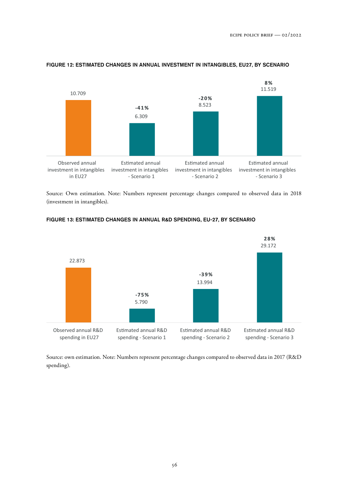

#### FIGURE 12: ESTIMATED CHANGES IN ANNUAL INVESTMENT IN INTANGIBLES, EU27, BY SCENARIO

Source: Own estimation. Note: Numbers represent percentage changes compared to observed data in 2018 (investment in intangibles).



#### FIGURE 13: ESTIMATED CHANGES IN ANNUAL R&D SPENDING, EU-27, BY SCENARIO

Source: own estimation. Note: Numbers represent percentage changes compared to observed data in 2017 (R&D spending).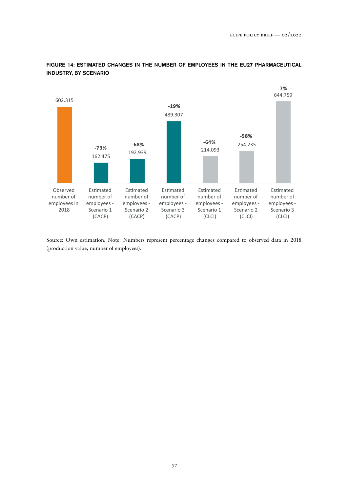

FIGURE 14: ESTIMATED CHANGES IN THE NUMBER OF EMPLOYEES IN THE EU27 PHARMACEUTICAL INDUSTRY, BY SCENARIO

Source: Own estimation. Note: Numbers represent percentage changes compared to observed data in 2018 (production value, number of employees).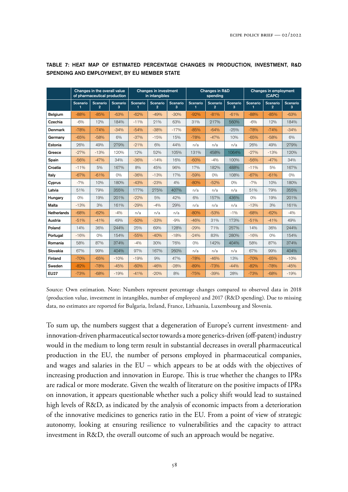|                    | Changes in the overall value<br>of pharmaceutical production |                          |                      | Changes in investment<br>in intangibles |               |               | <b>Changes in R&amp;D</b><br>spending |                            |               | Changes in employment<br>(CAPC) |               |               |
|--------------------|--------------------------------------------------------------|--------------------------|----------------------|-----------------------------------------|---------------|---------------|---------------------------------------|----------------------------|---------------|---------------------------------|---------------|---------------|
|                    | Scenario                                                     | Scenario<br>$\mathbf{2}$ | <b>Scenario</b><br>3 | Scenario                                | Scenario<br>2 | Scenario<br>3 | <b>Scenario</b>                       | Scenario<br>$\overline{2}$ | Scenario<br>з | Scenario                        | Scenario<br>2 | Scenario<br>з |
| <b>Belgium</b>     | $-88%$                                                       | $-85%$                   | $-63%$               | $-62%$                                  | $-49%$        | $-30%$        | $-92%$                                | $-81%$                     | $-61%$        | $-88%$                          | $-85%$        | $-63%$        |
| Czechia            | $-6%$                                                        | 12%                      | 184%                 | $-11%$                                  | 21%           | 63%           | 31%                                   | 217%                       | 560%          | $-6\%$                          | 12%           | 184%          |
| <b>Denmark</b>     | $-78%$                                                       | $-74%$                   | $-34%$               | $-54%$                                  | $-38%$        | $-17%$        | $-85%$                                | $-64%$                     | $-25%$        | $-78%$                          | $-74%$        | $-34%$        |
| Germany            | $-65%$                                                       | $-58%$                   | 6%                   | $-37%$                                  | $-15%$        | 15%           | $-78%$                                | $-47%$                     | 10%           | $-65%$                          | $-58%$        | 6%            |
| Estonia            | 26%                                                          | 49%                      | 279%                 | $-21%$                                  | 6%            | 44%           | n/a                                   | n/a                        | n/a           | 26%                             | 49%           | 279%          |
| Greece             | $-27%$                                                       | $-13%$                   | 120%                 | 12%                                     | 52%           | 105%          | 131%                                  | 458%                       | 1064%         | $-27%$                          | $-13%$        | 120%          |
| Spain              | $-56%$                                                       | $-47%$                   | 34%                  | $-36%$                                  | $-14%$        | 16%           | $-60%$                                | $-4%$                      | 100%          | $-56%$                          | $-47%$        | 34%           |
| Croatia            | $-11%$                                                       | 5%                       | 167%                 | 8%                                      | 45%           | 96%           | 17%                                   | 182%                       | 488%          | $-11%$                          | 5%            | 167%          |
| Italy              | $-67%$                                                       | $-61%$                   | $O\%$                | $-36%$                                  | $-13%$        | 17%           | $-59%$                                | 0%                         | 108%          | $-67%$                          | $-61%$        | $O\%$         |
| Cyprus             | $-7%$                                                        | 10%                      | 180%                 | $-43%$                                  | $-23%$        | 4%            | $-80%$                                | $-52%$                     | $O\%$         | $-7%$                           | 10%           | 180%          |
| Latvia             | 51%                                                          | 79%                      | 355%                 | 177%                                    | 275%          | 407%          | n/a                                   | n/a                        | n/a           | 51%                             | 79%           | 355%          |
| Hungary            | $O\%$                                                        | 19%                      | 201%                 | $-22%$                                  | 5%            | 42%           | 6%                                    | 157%                       | 436%          | $O\%$                           | 19%           | 201%          |
| <b>Malta</b>       | $-13%$                                                       | 3%                       | 161%                 | $-29%$                                  | $-4%$         | 29%           | n/a                                   | n/a                        | n/a           | $-13%$                          | 3%            | 161%          |
| <b>Netherlands</b> | $-68%$                                                       | $-62%$                   | $-4%$                | n/a                                     | n/a           | n/a           | $-80%$                                | $-53%$                     | $-1\%$        | $-68%$                          | $-62%$        | $-4%$         |
| Austria            | $-51%$                                                       | $-41%$                   | 49%                  | $-50%$                                  | $-33%$        | $-9%$         | $-46%$                                | 31%                        | 173%          | $-51%$                          | $-41%$        | 49%           |
| Poland             | 14%                                                          | 36%                      | 244%                 | 25%                                     | 69%           | 128%          | $-29%$                                | 71%                        | 257%          | 14%                             | 36%           | 244%          |
| Portugal           | $-16%$                                                       | $O\%$                    | 154%                 | $-55%$                                  | $-40%$        | $-18%$        | $-24%$                                | 83%                        | 280%          | $-16%$                          | $O\%$         | 154%          |
| Romania            | 58%                                                          | 87%                      | 374%                 | $-4%$                                   | 30%           | 76%           | $O\%$                                 | 142%                       | 404%          | 58%                             | 87%           | 374%          |
| Slovakia           | 67%                                                          | 99%                      | 404%                 | 97%                                     | 167%          | 260%          | n/a                                   | n/a                        | n/a           | 67%                             | 99%           | 404%          |
| Finland            | $-70%$                                                       | $-65%$                   | $-10%$               | $-19%$                                  | 9%            | 47%           | $-78%$                                | $-46%$                     | 13%           | $-70%$                          | $-65%$        | $-10%$        |
| Sweden             | $-82%$                                                       | $-78%$                   | $-45%$               | $-60%$                                  | $-46%$        | $-28%$        | $-89%$                                | $-73%$                     | $-44%$        | $-82%$                          | $-78%$        | $-45%$        |
| <b>EU27</b>        | $-73%$                                                       | $-68%$                   | $-19%$               | $-41%$                                  | $-20%$        | 8%            | $-75%$                                | $-39%$                     | 28%           | $-73%$                          | $-68%$        | $-19%$        |

TABLE 7: HEAT MAP OF ESTIMATED PERCENTAGE CHANGES IN PRODUCTION, INVESTMENT, R&D SPENDING AND EMPLOYMENT, BY EU MEMBER STATE

Source: Own estimation. Note: Numbers represent percentage changes compared to observed data in 2018 (production value, investment in intangibles, number of employees) and 2017 (R&D spending). Due to missing data, no estimates are reported for Bulgaria, Ireland, France, Lithuania, Luxembourg and Slovenia.

To sum up, the numbers suggest that a degeneration of Europe's current investment- and innovation-driven pharmaceutical sector towards a more generics-driven (off-patent) industry would in the medium to long term result in substantial decreases in overall pharmaceutical production in the EU, the number of persons employed in pharmaceutical companies, and wages and salaries in the EU – which appears to be at odds with the objectives of increasing production and innovation in Europe. This is true whether the changes to IPRs are radical or more moderate. Given the wealth of literature on the positive impacts of IPRs on innovation, it appears questionable whether such a policy shift would lead to sustained high levels of R&D, as indicated by the analysis of economic impacts from a deterioration of the innovative medicines to generics ratio in the EU. From a point of view of strategic autonomy, looking at ensuring resilience to vulnerabilities and the capacity to attract investment in R&D, the overall outcome of such an approach would be negative.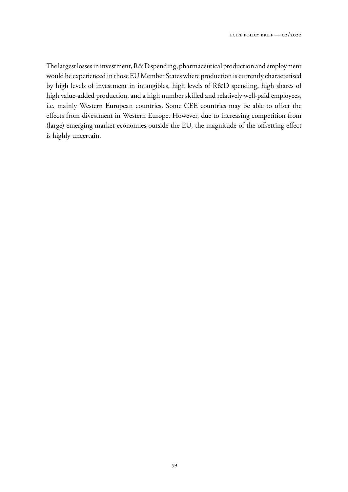The largest losses in investment, R&D spending, pharmaceutical production and employment would be experienced in those EU Member States where production is currently characterised by high levels of investment in intangibles, high levels of R&D spending, high shares of high value-added production, and a high number skilled and relatively well-paid employees, i.e. mainly Western European countries. Some CEE countries may be able to offset the effects from divestment in Western Europe. However, due to increasing competition from (large) emerging market economies outside the EU, the magnitude of the offsetting effect is highly uncertain.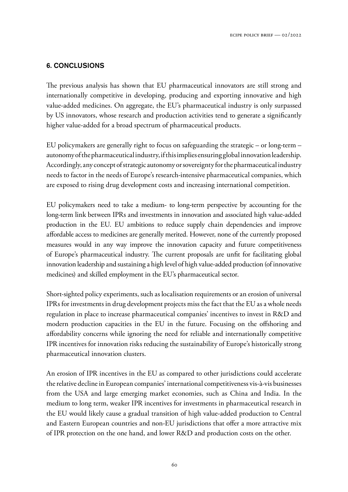# 6. CONCLUSIONS

The previous analysis has shown that EU pharmaceutical innovators are still strong and internationally competitive in developing, producing and exporting innovative and high value-added medicines. On aggregate, the EU's pharmaceutical industry is only surpassed by US innovators, whose research and production activities tend to generate a significantly higher value-added for a broad spectrum of pharmaceutical products.

EU policymakers are generally right to focus on safeguarding the strategic – or long-term – autonomy of the pharmaceutical industry, if this implies ensuring global innovation leadership. Accordingly, any concept of strategic autonomy or sovereignty for the pharmaceutical industry needs to factor in the needs of Europe's research-intensive pharmaceutical companies, which are exposed to rising drug development costs and increasing international competition.

EU policymakers need to take a medium- to long-term perspective by accounting for the long-term link between IPRs and investments in innovation and associated high value-added production in the EU. EU ambitions to reduce supply chain dependencies and improve affordable access to medicines are generally merited. However, none of the currently proposed measures would in any way improve the innovation capacity and future competitiveness of Europe's pharmaceutical industry. The current proposals are unfit for facilitating global innovation leadership and sustaining a high level of high value-added production (of innovative medicines) and skilled employment in the EU's pharmaceutical sector.

Short-sighted policy experiments, such as localisation requirements or an erosion of universal IPRs for investments in drug development projects miss the fact that the EU as a whole needs regulation in place to increase pharmaceutical companies' incentives to invest in R&D and modern production capacities in the EU in the future. Focusing on the offshoring and affordability concerns while ignoring the need for reliable and internationally competitive IPR incentives for innovation risks reducing the sustainability of Europe's historically strong pharmaceutical innovation clusters.

An erosion of IPR incentives in the EU as compared to other jurisdictions could accelerate the relative decline in European companies' international competitiveness vis-à-vis businesses from the USA and large emerging market economies, such as China and India. In the medium to long term, weaker IPR incentives for investments in pharmaceutical research in the EU would likely cause a gradual transition of high value-added production to Central and Eastern European countries and non-EU jurisdictions that offer a more attractive mix of IPR protection on the one hand, and lower R&D and production costs on the other.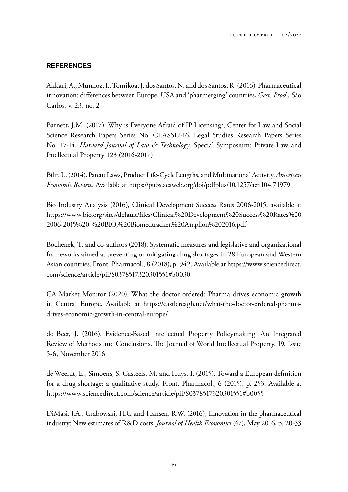## **REFERENCES**

Akkari, A., Munhoz, I., Tomikoa, J. dos Santos, N. and dos Santos, R. (2016). Pharmaceutical innovation: differences between Europe, USA and 'pharmerging' countries, *Gest. Prod.,* São Carlos, v. 23, no. 2

Barnett, J.M. (2017). Why is Everyone Afraid of IP Licensing?, Center for Law and Social Science Research Papers Series No. CLASS17-16, Legal Studies Research Papers Series No. 17-14. *Harvard Journal of Law & Technology,* Special Symposium: Private Law and Intellectual Property 123 (2016-2017)

Bilir, L. (2014). Patent Laws, Product Life-Cycle Lengths, and Multinational Activity. *American Economic Review.* Available at https://pubs.aeaweb.org/doi/pdfplus/10.1257/aer.104.7.1979

Bio Industry Analysis (2016), Clinical Development Success Rates 2006-2015, available at https://www.bio.org/sites/default/files/Clinical%20Development%20Success%20Rates%20 2006-2015%20-%20BIO,%20Biomedtracker,%20Amplion%202016.pdf

Bochenek, T. and co-authors (2018). Systematic measures and legislative and organizational frameworks aimed at preventing or mitigating drug shortages in 28 European and Western Asian countries. Front. Pharmacol., 8 (2018), p. 942. Available at https://www.sciencedirect. com/science/article/pii/S0378517320301551#b0030

CA Market Monitor (2020). What the doctor ordered: Pharma drives economic growth in Central Europe. Available at https://castlereagh.net/what-the-doctor-ordered-pharmadrives-economic-growth-in-central-europe/

de Beer, J. (2016). Evidence-Based Intellectual Property Policymaking: An Integrated Review of Methods and Conclusions. The Journal of World Intellectual Property, 19, Issue 5-6, November 2016

de Weerdt, E., Simoens, S. Casteels, M. and Huys, I. (2015). Toward a European definition for a drug shortage: a qualitative study. Front. Pharmacol., 6 (2015), p. 253. Available at https://www.sciencedirect.com/science/article/pii/S0378517320301551#b0055

DiMasi, J.A., Grabowski, H.G and Hansen, R.W. (2016), Innovation in the pharmaceutical industry: New estimates of R&D costs, *Journal of Health Economics* (47), May 2016, p. 20-33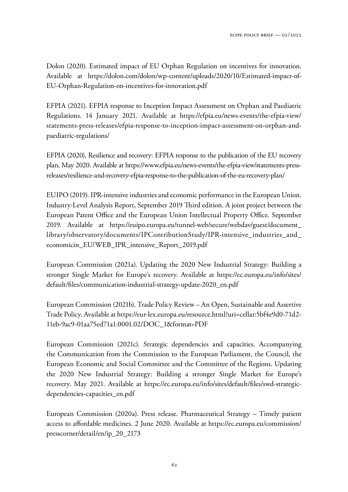Dolon (2020). Estimated impact of EU Orphan Regulation on incentives for innovation. Available at https://dolon.com/dolon/wp-content/uploads/2020/10/Estimated-impact-of-EU-Orphan-Regulation-on-incentives-for-innovation.pdf

EFPIA (2021). EFPIA response to Inception Impact Assessment on Orphan and Paediatric Regulations. 14 January 2021. Available at https://efpia.eu/news-events/the-efpia-view/ statements-press-releases/efpia-response-to-inception-impact-assessment-on-orphan-andpaediatric-regulations/

EFPIA (2020), Resilience and recovery: EFPIA response to the publication of the EU recovery plan, May 2020. Available at https://www.efpia.eu/news-events/the-efpia-view/statements-pressreleases/resilience-and-recovery-efpia-response-to-the-publication-of-the-eu-recovery-plan/

EUIPO (2019). IPR-intensive industries and economic performance in the European Union. Industry-Level Analysis Report, September 2019 Third edition. A joint project between the European Patent Office and the European Union Intellectual Property Office. September 2019. Available at https://euipo.europa.eu/tunnel-web/secure/webdav/guest/document\_ library/observatory/documents/IPContributionStudy/IPR-intensive\_industries\_and\_ economicin\_EU/WEB\_IPR\_intensive\_Report\_2019.pdf

European Commission (2021a). Updating the 2020 New Industrial Strategy: Building a stronger Single Market for Europe's recovery. Available at https://ec.europa.eu/info/sites/ default/files/communication-industrial-strategy-update-2020\_en.pdf

European Commission (2021b). Trade Policy Review – An Open, Sustainable and Assertive Trade Policy. Available at https://eur-lex.europa.eu/resource.html?uri=cellar:5bf4e9d0-71d2- 11eb-9ac9-01aa75ed71a1.0001.02/DOC\_1&format=PDF

European Commission (2021c). Strategic dependencies and capacities. Accompanying the Communication from the Commission to the European Parliament, the Council, the European Economic and Social Committee and the Committee of the Regions. Updating the 2020 New Industrial Strategy: Building a stronger Single Market for Europe's recovery. May 2021. Available at https://ec.europa.eu/info/sites/default/files/swd-strategicdependencies-capacities\_en.pdf

European Commission (2020a). Press release. Pharmaceutical Strategy – Timely patient access to affordable medicines. 2 June 2020. Available at https://ec.europa.eu/commission/ presscorner/detail/en/ip\_20\_2173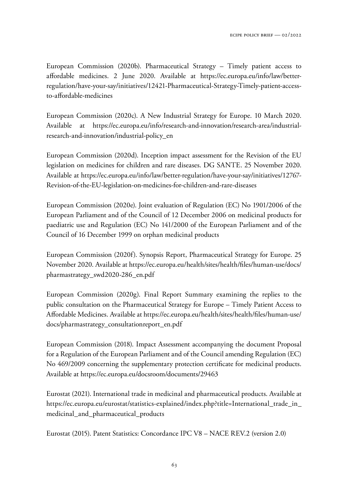European Commission (2020b). Pharmaceutical Strategy – Timely patient access to affordable medicines. 2 June 2020. Available at https://ec.europa.eu/info/law/betterregulation/have-your-say/initiatives/12421-Pharmaceutical-Strategy-Timely-patient-accessto-affordable-medicines

European Commission (2020c). A New Industrial Strategy for Europe. 10 March 2020. Available at https://ec.europa.eu/info/research-and-innovation/research-area/industrialresearch-and-innovation/industrial-policy\_en

European Commission (2020d). Inception impact assessment for the Revision of the EU legislation on medicines for children and rare diseases. DG SANTE. 25 November 2020. Available at https://ec.europa.eu/info/law/better-regulation/have-your-say/initiatives/12767- Revision-of-the-EU-legislation-on-medicines-for-children-and-rare-diseases

European Commission (2020e). Joint evaluation of Regulation (EC) No 1901/2006 of the European Parliament and of the Council of 12 December 2006 on medicinal products for paediatric use and Regulation (EC) No 141/2000 of the European Parliament and of the Council of 16 December 1999 on orphan medicinal products

European Commission (2020f). Synopsis Report, Pharmaceutical Strategy for Europe. 25 November 2020. Available at https://ec.europa.eu/health/sites/health/files/human-use/docs/ pharmastrategy\_swd2020-286\_en.pdf

European Commission (2020g). Final Report Summary examining the replies to the public consultation on the Pharmaceutical Strategy for Europe – Timely Patient Access to Affordable Medicines. Available at https://ec.europa.eu/health/sites/health/files/human-use/ docs/pharmastrategy\_consultationreport\_en.pdf

European Commission (2018). Impact Assessment accompanying the document Proposal for a Regulation of the European Parliament and of the Council amending Regulation (EC) No 469/2009 concerning the supplementary protection certificate for medicinal products. Available at https://ec.europa.eu/docsroom/documents/29463

Eurostat (2021). International trade in medicinal and pharmaceutical products. Available at https://ec.europa.eu/eurostat/statistics-explained/index.php?title=International\_trade\_in\_ medicinal\_and\_pharmaceutical\_products

Eurostat (2015). Patent Statistics: Concordance IPC V8 – NACE REV.2 (version 2.0)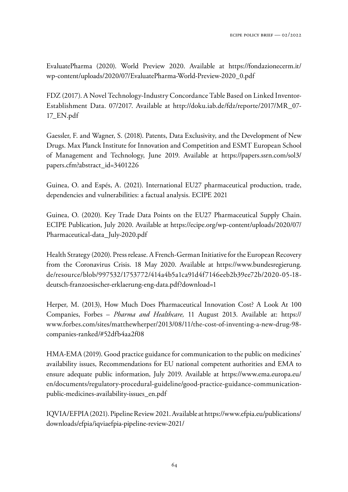EvaluatePharma (2020). World Preview 2020. Available at https://fondazionecerm.it/ wp-content/uploads/2020/07/EvaluatePharma-World-Preview-2020\_0.pdf

FDZ (2017). A Novel Technology-Industry Concordance Table Based on Linked Inventor-Establishment Data. 07/2017. Available at http://doku.iab.de/fdz/reporte/2017/MR\_07- 17\_EN.pdf

Gaessler, F. and Wagner, S. (2018). Patents, Data Exclusivity, and the Development of New Drugs. Max Planck Institute for Innovation and Competition and ESMT European School of Management and Technology, June 2019. Available at https://papers.ssrn.com/sol3/ papers.cfm?abstract\_id=3401226

Guinea, O. and Espés, A. (2021). International EU27 pharmaceutical production, trade, dependencies and vulnerabilities: a factual analysis. ECIPE 2021

Guinea, O. (2020). Key Trade Data Points on the EU27 Pharmaceutical Supply Chain. ECIPE Publication, July 2020. Available at https://ecipe.org/wp-content/uploads/2020/07/ Pharmaceutical-data\_July-2020.pdf

Health Strategy (2020). Press release. A French-German Initiative for the European Recovery from the Coronavirus Crisis. 18 May 2020. Available at https://www.bundesregierung. de/resource/blob/997532/1753772/414a4b5a1ca91d4f7146eeb2b39ee72b/2020-05-18 deutsch-franzoesischer-erklaerung-eng-data.pdf?download=1

Herper, M. (2013), How Much Does Pharmaceutical Innovation Cost? A Look At 100 Companies, Forbes – *Pharma and Healthcare,* 11 August 2013. Available at: https:// www.forbes.com/sites/matthewherper/2013/08/11/the-cost-of-inventing-a-new-drug-98 companies-ranked/#52dfb4aa2f08

HMA-EMA (2019). Good practice guidance for communication to the public on medicines' availability issues, Recommendations for EU national competent authorities and EMA to ensure adequate public information, July 2019. Available at https://www.ema.europa.eu/ en/documents/regulatory-procedural-guideline/good-practice-guidance-communicationpublic-medicines-availability-issues\_en.pdf

IQVIA/EFPIA (2021). Pipeline Review 2021. Available at https://www.efpia.eu/publications/ downloads/efpia/iqviaefpia-pipeline-review-2021/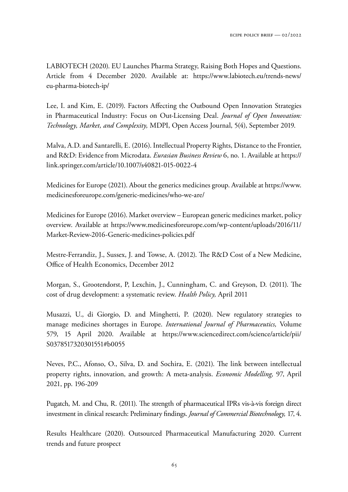LABIOTECH (2020). EU Launches Pharma Strategy, Raising Both Hopes and Questions. Article from 4 December 2020. Available at: https://www.labiotech.eu/trends-news/ eu-pharma-biotech-ip/

Lee, I. and Kim, E. (2019). Factors Affecting the Outbound Open Innovation Strategies in Pharmaceutical Industry: Focus on Out-Licensing Deal. *Journal of Open Innovation: Technology, Market, and Complexity,* MDPI, Open Access Journal, 5(4), September 2019.

Malva, A.D. and Santarelli, E. (2016). Intellectual Property Rights, Distance to the Frontier, and R&D: Evidence from Microdata. *Eurasian Business Review* 6, no. 1. Available at https:// link.springer.com/article/10.1007/s40821-015-0022-4

Medicines for Europe (2021). About the generics medicines group. Available at https://www. medicinesforeurope.com/generic-medicines/who-we-are/

Medicines for Europe (2016). Market overview – European generic medicines market, policy overview. Available at https://www.medicinesforeurope.com/wp-content/uploads/2016/11/ Market-Review-2016-Generic-medicines-policies.pdf

Mestre-Ferrandiz, J., Sussex, J. and Towse, A. (2012). The R&D Cost of a New Medicine, Office of Health Economics, December 2012

Morgan, S., Grootendorst, P., Lexchin, J., Cunningham, C. and Greyson, D. (2011). The cost of drug development: a systematic review. *Health Policy,* April 2011

Musazzi, U., di Giorgio, D. and Minghetti, P. (2020). New regulatory strategies to manage medicines shortages in Europe. *International Journal of Pharmaceutics,* Volume 579, 15 April 2020. Available at https://www.sciencedirect.com/science/article/pii/ S0378517320301551#b0055

Neves, P.C., Afonso, O., Silva, D. and Sochira, E. (2021). The link between intellectual property rights, innovation, and growth: A meta-analysis. *Economic Modelling,* 97, April 2021, pp. 196-209

Pugatch, M. and Chu, R. (2011). The strength of pharmaceutical IPRs vis-à-vis foreign direct investment in clinical research: Preliminary findings. *Journal of Commercial Biotechnology,* 17, 4.

Results Healthcare (2020). Outsourced Pharmaceutical Manufacturing 2020. Current trends and future prospect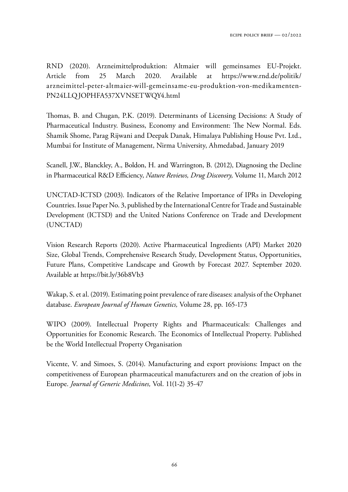RND (2020). Arzneimittelproduktion: Altmaier will gemeinsames EU-Projekt. Article from 25 March 2020. Available at https://www.rnd.de/politik/ arzneimittel-peter-altmaier-will-gemeinsame-eu-produktion-von-medikamenten-PN24LLQJOPHFA537XVNSETWQY4.html

Thomas, B. and Chugan, P.K. (2019). Determinants of Licensing Decisions: A Study of Pharmaceutical Industry. Business, Economy and Environment: The New Normal. Eds. Shamik Shome, Parag Rijwani and Deepak Danak, Himalaya Publishing House Pvt. Ltd., Mumbai for Institute of Management, Nirma University, Ahmedabad, January 2019

Scanell, J.W., Blanckley, A., Boldon, H. and Warrington, B. (2012), Diagnosing the Decline in Pharmaceutical R&D Efficiency, *Nature Reviews, Drug Discovery,* Volume 11, March 2012

UNCTAD-ICTSD (2003). Indicators of the Relative Importance of IPRs in Developing Countries. Issue Paper No. 3, published by the International Centre for Trade and Sustainable Development (ICTSD) and the United Nations Conference on Trade and Development (UNCTAD)

Vision Research Reports (2020). Active Pharmaceutical Ingredients (API) Market 2020 Size, Global Trends, Comprehensive Research Study, Development Status, Opportunities, Future Plans, Competitive Landscape and Growth by Forecast 2027. September 2020. Available at https://bit.ly/36b8Vb3

Wakap, S. et al. (2019). Estimating point prevalence of rare diseases: analysis of the Orphanet database. *European Journal of Human Genetics,* Volume 28, pp. 165-173

WIPO (2009). Intellectual Property Rights and Pharmaceuticals: Challenges and Opportunities for Economic Research. The Economics of Intellectual Property. Published be the World Intellectual Property Organisation

Vicente, V. and Simoes, S. (2014). Manufacturing and export provisions: Impact on the competitiveness of European pharmaceutical manufacturers and on the creation of jobs in Europe. *Journal of Generic Medicines,* Vol. 11(1-2) 35-47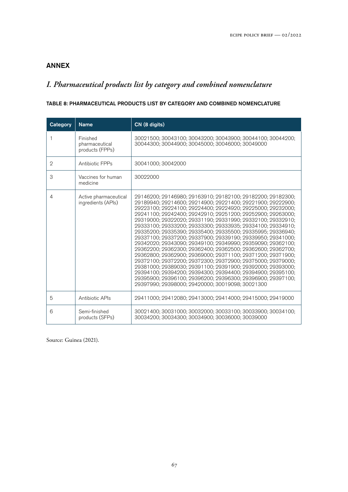# ANNEX

# *I. Pharmaceutical products list by category and combined nomenclature*

### TABLE 8: PHARMACEUTICAL PRODUCTS LIST BY CATEGORY AND COMBINED NOMENCLATURE

| Category       | <b>Name</b>                                   | CN (8 digits)                                                                                                                                                                                                                                                                                                                                                                                                                                                                                                                                                                                                                                                                                                                                                                                                                                                                                                                                                                                                                     |  |  |  |  |  |  |  |
|----------------|-----------------------------------------------|-----------------------------------------------------------------------------------------------------------------------------------------------------------------------------------------------------------------------------------------------------------------------------------------------------------------------------------------------------------------------------------------------------------------------------------------------------------------------------------------------------------------------------------------------------------------------------------------------------------------------------------------------------------------------------------------------------------------------------------------------------------------------------------------------------------------------------------------------------------------------------------------------------------------------------------------------------------------------------------------------------------------------------------|--|--|--|--|--|--|--|
| 1              | Finished<br>pharmaceutical<br>products (FPPs) | 30021500; 30043100; 30043200; 30043900; 30044100; 30044200;<br>30044300; 30044900; 30045000; 30046000; 30049000                                                                                                                                                                                                                                                                                                                                                                                                                                                                                                                                                                                                                                                                                                                                                                                                                                                                                                                   |  |  |  |  |  |  |  |
| 2              | Antibiotic FPPs                               | 30041000; 30042000                                                                                                                                                                                                                                                                                                                                                                                                                                                                                                                                                                                                                                                                                                                                                                                                                                                                                                                                                                                                                |  |  |  |  |  |  |  |
| 3              | Vaccines for human<br>medicine                | 30022000                                                                                                                                                                                                                                                                                                                                                                                                                                                                                                                                                                                                                                                                                                                                                                                                                                                                                                                                                                                                                          |  |  |  |  |  |  |  |
| $\overline{4}$ | Active pharmaceutical<br>ingredients (APIs)   | 29146200; 29146980; 29163910; 29182100; 29182200; 29182300;<br>29189940; 29214600; 29214900; 29221400; 29221900; 29222900;<br>29223100; 29224100; 29224400; 29224920; 29225000; 29232000;<br>29241100; 29242400; 29242910; 29251200; 29252900; 29263000;<br>29319000; 29322020; 29331190; 29331990; 29332100; 29332910;<br>29333100; 29333200; 29333300; 29333935; 29334100; 29334910;<br>29335200; 29335390; 29335400; 29335500; 29335995; 29336940;<br>29337100: 29337200: 29337900: 29339190: 29339950: 29341000:<br>29342020: 29343090: 29349100: 29349990: 29359090: 29362100:<br>29362200; 29362300; 29362400; 29362500; 29362600; 29362700;<br>29362800; 29362900; 29369000; 29371100; 29371200; 29371900;<br>29372100; 29372200; 29372300; 29372900; 29375000; 29379000;<br>29381000; 29389030; 29391100; 29391900; 29392000; 29393000;<br>29394100; 29394200; 29394300; 29394400; 29394900; 29395100;<br>29395900; 29396100; 29396200; 29396300; 29396900; 29397100;<br>29397990; 29398000; 29420000; 30019098; 30021300 |  |  |  |  |  |  |  |
| 5              | Antibiotic APIs                               | 29411000; 29412080; 29413000; 29414000; 29415000; 29419000                                                                                                                                                                                                                                                                                                                                                                                                                                                                                                                                                                                                                                                                                                                                                                                                                                                                                                                                                                        |  |  |  |  |  |  |  |
| 6              | Semi-finished<br>products (SFPs)              | 30021400; 30031000; 30032000; 30033100; 30033900; 30034100;<br>30034200; 30034300; 30034900; 30036000; 30039000                                                                                                                                                                                                                                                                                                                                                                                                                                                                                                                                                                                                                                                                                                                                                                                                                                                                                                                   |  |  |  |  |  |  |  |

Source: Guinea (2021).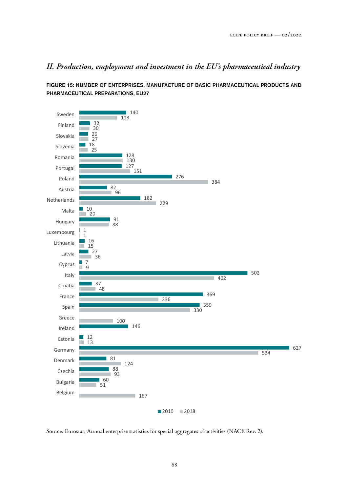# *II. Production, employment and investment in the EU's pharmaceutical industry*

FIGURE 15: NUMBER OF ENTERPRISES, MANUFACTURE OF BASIC PHARMACEUTICAL PRODUCTS AND PHARMACEUTICAL PREPARATIONS, EU27



Source: Eurostat, Annual enterprise statistics for special aggregates of activities (NACE Rev. 2).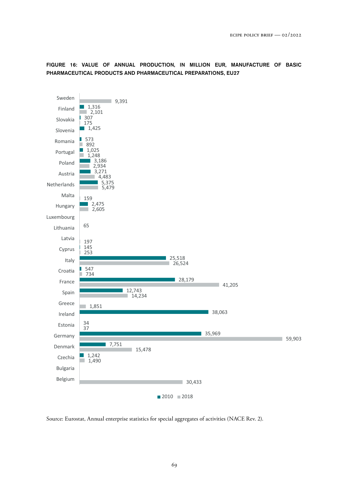FIGURE 16: VALUE OF ANNUAL PRODUCTION, IN MILLION EUR, MANUFACTURE OF BASIC PHARMACEUTICAL PRODUCTS AND PHARMACEUTICAL PREPARATIONS, EU27



Source: Eurostat, Annual enterprise statistics for special aggregates of activities (NACE Rev. 2).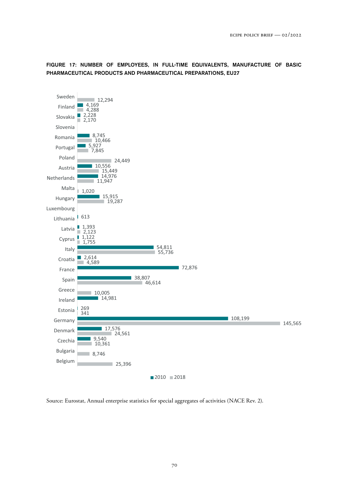

FIGURE 17: NUMBER OF EMPLOYEES, IN FULL-TIME EQUIVALENTS, MANUFACTURE OF BASIC PHARMACEUTICAL PRODUCTS AND PHARMACEUTICAL PREPARATIONS, EU27

Source: Eurostat, Annual enterprise statistics for special aggregates of activities (NACE Rev. 2).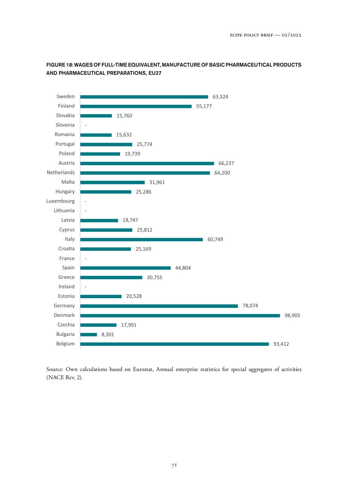

### FIGURE 18: WAGES OF FULL-TIME EQUIVALENT, MANUFACTURE OF BASIC PHARMACEUTICAL PRODUCTS AND PHARMACEUTICAL PREPARATIONS, EU27

Source: Own calculations based on Eurostat, Annual enterprise statistics for special aggregates of activities (NACE Rev. 2).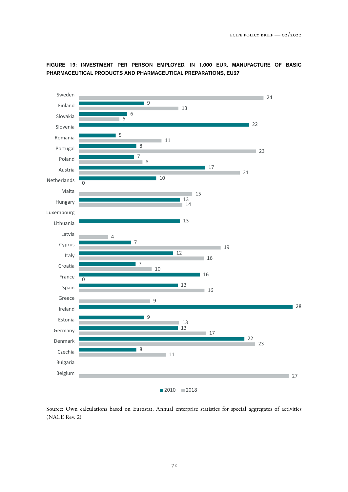

FIGURE 19: INVESTMENT PER PERSON EMPLOYED, IN 1,000 EUR, MANUFACTURE OF BASIC PHARMACEUTICAL PRODUCTS AND PHARMACEUTICAL PREPARATIONS, EU27

Source: Own calculations based on Eurostat, Annual enterprise statistics for special aggregates of activities (NACE Rev. 2).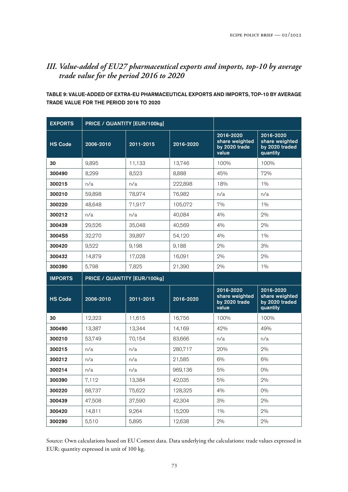## *III. Value-added of EU27 pharmaceutical exports and imports, top-10 by average trade value for the period 2016 to 2020*

TABLE 9: VALUE-ADDED OF EXTRA-EU PHARMACEUTICAL EXPORTS AND IMPORTS, TOP-10 BY AVERAGE TRADE VALUE FOR THE PERIOD 2016 TO 2020

| <b>EXPORTS</b> | PRICE / QUANTITY [EUR/100kg] |           |           |                                                       |                                                           |
|----------------|------------------------------|-----------|-----------|-------------------------------------------------------|-----------------------------------------------------------|
| <b>HS Code</b> | 2006-2010                    | 2011-2015 | 2016-2020 | 2016-2020<br>share weighted<br>by 2020 trade<br>value | 2016-2020<br>share weighted<br>by 2020 traded<br>quantity |
| 30             | 9,895                        | 11,133    | 13,746    | 100%                                                  | 100%                                                      |
| 300490         | 8,299                        | 8,523     | 8,888     | 45%                                                   | 72%                                                       |
| 300215         | n/a                          | n/a       | 222,898   | 18%                                                   | 1%                                                        |
| 300210         | 59,898                       | 78,974    | 76,982    | n/a                                                   | n/a                                                       |
| 300220         | 48,648                       | 71,917    | 105,072   | 7%                                                    | 1%                                                        |
| 300212         | n/a                          | n/a       | 40,084    | 4%                                                    | 2%                                                        |
| 300439         | 29,526                       | 35,048    | 40,569    | 4%                                                    | 2%                                                        |
| 3004S5         | 32,270                       | 39,897    | 54,120    | 4%                                                    | $1\%$                                                     |
| 300420         | 9,522                        | 9,198     | 9,188     | 2%                                                    | 3%                                                        |
| 300432         | 14,879                       | 17,028    | 16,091    | 2%                                                    | 2%                                                        |
| 300390         | 5,798                        | 7,825     | 21,390    | 2%                                                    | 1%                                                        |
|                |                              |           |           |                                                       |                                                           |
| <b>IMPORTS</b> | PRICE / QUANTITY [EUR/100kg] |           |           |                                                       |                                                           |
| <b>HS Code</b> | 2006-2010                    | 2011-2015 | 2016-2020 | 2016-2020<br>share weighted<br>by 2020 trade<br>value | 2016-2020<br>share weighted<br>by 2020 traded<br>quantity |
| 30             | 12,323                       | 11,615    | 16,756    | 100%                                                  | 100%                                                      |
| 300490         | 13,387                       | 13,344    | 14,169    | 42%                                                   | 49%                                                       |
| 300210         | 53,749                       | 70,154    | 83,666    | n/a                                                   | n/a                                                       |
| 300215         | n/a                          | n/a       | 280,717   | 20%                                                   | 2%                                                        |
| 300212         | n/a                          | n/a       | 21,585    | 6%                                                    | 6%                                                        |
| 300214         | n/a                          | n/a       | 969,136   | 5%                                                    | $0\%$                                                     |
| 300390         | 7,112                        | 13,384    | 42,035    | 5%                                                    | 2%                                                        |
| 300220         | 68,737                       | 75,622    | 128,325   | 4%                                                    | $0\%$                                                     |
| 300439         | 47,508                       | 37,590    | 42,304    | 3%                                                    | 2%                                                        |
| 300420         | 14,811                       | 9,264     | 15,209    | $1\%$                                                 | 2%                                                        |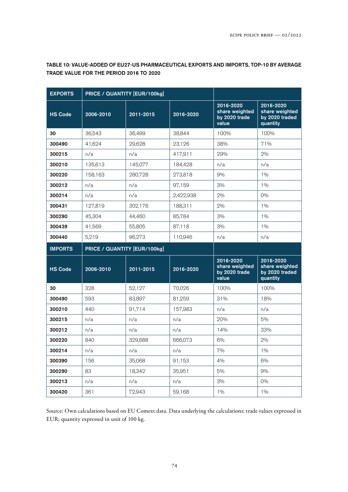| <b>EXPORTS</b> | PRICE / QUANTITY [EUR/100kg] |           |           |                                                       |                                                           |
|----------------|------------------------------|-----------|-----------|-------------------------------------------------------|-----------------------------------------------------------|
| <b>HS Code</b> | 2006-2010                    | 2011-2015 | 2016-2020 | 2016-2020<br>share weighted<br>by 2020 trade<br>value | 2016-2020<br>share weighted<br>by 2020 traded<br>quantity |
| 30             | 36,543                       | 36,499    | 38,844    | 100%                                                  | 100%                                                      |
| 300490         | 41,624                       | 29,628    | 23,126    | 38%                                                   | 71%                                                       |
| 300215         | n/a                          | n/a       | 417,911   | 29%                                                   | 2%                                                        |
| 300210         | 135,613                      | 145,077   | 184,428   | n/a                                                   | n/a                                                       |
| 300220         | 158,163                      | 280,728   | 273,818   | 9%                                                    | 1%                                                        |
| 300212         | n/a                          | n/a       | 97,159    | 3%                                                    | $1\%$                                                     |
| 300214         | n/a                          | n/a       | 2,422,938 | 2%                                                    | 0%                                                        |
| 300431         | 127,819                      | 302,176   | 188,311   | 2%                                                    | $1\%$                                                     |
| 300290         | 45,304                       | 44,460    | 85,784    | 3%                                                    | $1\%$                                                     |
| 300439         | 41,569                       | 55,805    | 87,118    | 3%                                                    | $1\%$                                                     |
| 300440         | 5,219                        | 96,273    | 110,946   | n/a                                                   | n/a                                                       |
|                |                              |           |           |                                                       |                                                           |
| <b>IMPORTS</b> | PRICE / QUANTITY [EUR/100kg] |           |           |                                                       |                                                           |
| <b>HS Code</b> | 2006-2010                    | 2011-2015 | 2016-2020 | 2016-2020<br>share weighted<br>by 2020 trade<br>value | 2016-2020<br>share weighted<br>by 2020 traded<br>quantity |
| 30             | 328                          | 52,127    | 70,026    | 100%                                                  | 100%                                                      |
| 300490         | 593                          | 83,897    | 81,259    | 31%                                                   | 18%                                                       |
| 300210         | 440                          | 91,714    | 157,983   | n/a                                                   | n/a                                                       |
| 300215         | n/a                          | n/a       | n/a       | 20%                                                   | 5%                                                        |
| 300212         | n/a                          | n/a       | n/a       | 14%                                                   | 33%                                                       |
| 300220         | 840                          | 329,688   | 666,073   | 6%                                                    | 2%                                                        |
| 300214         | n/a                          | n/a       | n/a       | 7%                                                    | $1\%$                                                     |
| 300390         | 156                          | 35,068    | 91,153    | 4%                                                    | 6%                                                        |
| 300290         | 83                           | 18,342    | 35,951    | 5%                                                    | 9%                                                        |
| 300213         | n/a                          | n/a       | n/a       | 3%                                                    | $0\%$                                                     |

TABLE 10: VALUE-ADDED OF EU27-US PHARMACEUTICAL EXPORTS AND IMPORTS, TOP-10 BY AVERAGE TRADE VALUE FOR THE PERIOD 2016 TO 2020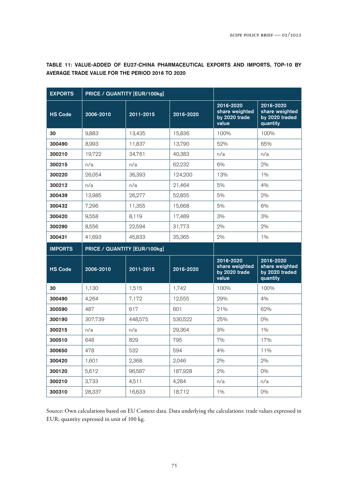| <b>EXPORTS</b> | PRICE / QUANTITY [EUR/100kg] |                              |           |                                                       |                                                           |
|----------------|------------------------------|------------------------------|-----------|-------------------------------------------------------|-----------------------------------------------------------|
| <b>HS Code</b> | 2006-2010                    | 2011-2015                    | 2016-2020 | 2016-2020<br>share weighted<br>by 2020 trade<br>value | 2016-2020<br>share weighted<br>by 2020 traded<br>quantity |
| 30             | 9,883                        | 13,435                       | 15,836    | 100%                                                  | 100%                                                      |
| 300490         | 8,993                        | 11,837                       | 13,790    | 52%                                                   | 65%                                                       |
| 300210         | 19,722                       | 34,761                       | 40,383    | n/a                                                   | n/a                                                       |
| 300215         | n/a                          | n/a                          | 62,232    | 6%                                                    | 2%                                                        |
| 300220         | 26,054                       | 36,393                       | 124,200   | 13%                                                   | 1%                                                        |
| 300212         | n/a                          | n/a                          | 21,464    | 5%                                                    | 4%                                                        |
| 300439         | 13,985                       | 26,277                       | 52,855    | 5%                                                    | 2%                                                        |
| 300432         | 7,296                        | 11,355                       | 15,668    | 5%                                                    | 6%                                                        |
| 300420         | 9,558                        | 8,119                        | 17,489    | 3%                                                    | 3%                                                        |
| 300290         | 8,556                        | 22,594                       | 31,773    | 2%                                                    | 2%                                                        |
| 300431         | 41,693                       | 45,833                       | 35,365    | 2%                                                    | $1\%$                                                     |
|                |                              |                              |           |                                                       |                                                           |
| <b>IMPORTS</b> |                              | PRICE / QUANTITY [EUR/100kg] |           |                                                       |                                                           |
| <b>HS Code</b> | 2006-2010                    | 2011-2015                    | 2016-2020 | 2016-2020<br>share weighted<br>by 2020 trade<br>value | 2016-2020<br>share weighted<br>by 2020 traded<br>quantity |
| 30             | 1,130                        | 1,515                        | 1,742     | 100%                                                  | 100%                                                      |
| 300490         | 4,264                        | 7,172                        | 12,555    | 29%                                                   | 4%                                                        |
| 300590         | 487                          | 617                          | 601       | 21%                                                   | 62%                                                       |
| 300190         | 307,739                      | 448,575                      | 530,522   | 25%                                                   | $0\%$                                                     |
| 300215         | n/a                          | n/a                          | 29,364    | 3%                                                    | $1\%$                                                     |
| 300510         | 648                          | 829                          | 795       | 7%                                                    | 17%                                                       |
| 300650         | 478                          | 532                          | 594       | 4%                                                    | 11%                                                       |
| 300420         | 1,601                        | 2,368                        | 2,046     | 2%                                                    | 2%                                                        |
| 300120         | 5,612                        | 96,587                       | 187,928   | 2%                                                    | $0\%$                                                     |
| 300210         | 3,733                        | 4,511                        | 4,284     | n/a                                                   | n/a                                                       |

TABLE 11: VALUE-ADDED OF EU27-CHINA PHARMACEUTICAL EXPORTS AND IMPORTS, TOP-10 BY AVERAGE TRADE VALUE FOR THE PERIOD 2016 TO 2020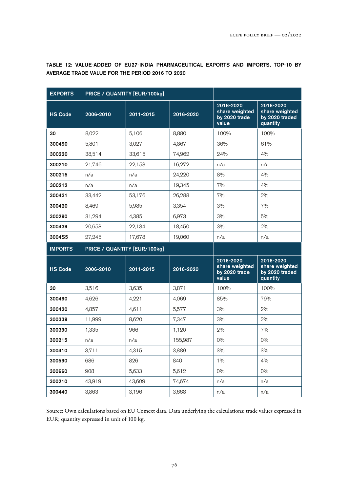| <b>EXPORTS</b> | PRICE / QUANTITY [EUR/100kg] |           |           |                                                       |                                                               |
|----------------|------------------------------|-----------|-----------|-------------------------------------------------------|---------------------------------------------------------------|
| <b>HS Code</b> | 2006-2010                    | 2011-2015 | 2016-2020 | 2016-2020<br>share weighted<br>by 2020 trade<br>value | $2016 - 2020$<br>share weighted<br>by 2020 traded<br>quantity |
| 30             | 8,022                        | 5,106     | 8,880     | 100%                                                  | 100%                                                          |
| 300490         | 5,801                        | 3,027     | 4,867     | 36%                                                   | 61%                                                           |
| 300220         | 38,514                       | 33,615    | 74,962    | 24%                                                   | 4%                                                            |
| 300210         | 21,746                       | 22,153    | 16,272    | n/a                                                   | n/a                                                           |
| 300215         | n/a                          | n/a       | 24,220    | 8%                                                    | 4%                                                            |
| 300212         | n/a                          | n/a       | 19,345    | 7%                                                    | 4%                                                            |
| 300431         | 33,442                       | 53,176    | 26,288    | 7%                                                    | 2%                                                            |
| 300420         | 8,469                        | 5,985     | 3,354     | 3%                                                    | 7%                                                            |
| 300290         | 31,294                       | 4,385     | 6,973     | 3%                                                    | 5%                                                            |
| 300439         | 20.658                       | 22,134    | 18,450    | 3%                                                    | 2%                                                            |
| 3004S5         | 27,245                       | 17,678    | 19,060    | n/a                                                   | n/a                                                           |
| <b>IMPORTS</b> | PRICE / QUANTITY [EUR/100kg] |           |           |                                                       |                                                               |
|                |                              |           |           |                                                       |                                                               |
| <b>HS Code</b> | 2006-2010                    | 2011-2015 | 2016-2020 | 2016-2020<br>share weighted<br>by 2020 trade<br>value | 2016-2020<br>share weighted<br>by 2020 traded<br>quantity     |
| 30             | 3,516                        | 3,635     | 3,871     | 100%                                                  | 100%                                                          |
| 300490         | 4,626                        | 4,221     | 4,069     | 85%                                                   | 79%                                                           |
| 300420         | 4,857                        | 4,611     | 5,577     | 3%                                                    | 2%                                                            |
| 300339         | 11,999                       | 8,620     | 7,347     | 3%                                                    | 2%                                                            |
| 300390         | 1,335                        | 966       | 1,120     | 2%                                                    | 7%                                                            |
| 300215         | n/a                          | n/a       | 155,987   | 0%                                                    | 0%                                                            |
| 300410         | 3,711                        | 4,315     | 3,889     | $3\%$                                                 | 3%                                                            |
| 300590         | 686                          | 826       | 840       | $1\%$                                                 | 4%                                                            |
| 300660         | 908                          | 5,633     | 5,612     | $0\%$                                                 | $0\%$                                                         |
| 300210         | 43,919                       | 43,609    | 74,674    | n/a                                                   | n/a                                                           |

TABLE 12: VALUE-ADDED OF EU27-INDIA PHARMACEUTICAL EXPORTS AND IMPORTS, TOP-10 BY AVERAGE TRADE VALUE FOR THE PERIOD 2016 TO 2020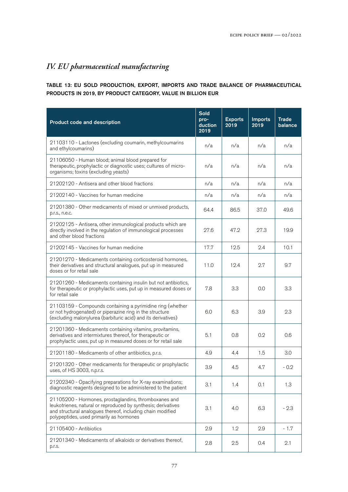# *IV. EU pharmaceutical manufacturing*

### TABLE 13: EU SOLD PRODUCTION, EXPORT, IMPORTS AND TRADE BALANCE OF PHARMACEUTICAL PRODUCTS IN 2019, BY PRODUCT CATEGORY, VALUE IN BILLION EUR

| Product code and description                                                                                                                                                                                                     | <b>Sold</b><br>pro-<br>duction<br>2019 | <b>Exports</b><br>2019 | <b>Imports</b><br>2019 | <b>Trade</b><br>balance |
|----------------------------------------------------------------------------------------------------------------------------------------------------------------------------------------------------------------------------------|----------------------------------------|------------------------|------------------------|-------------------------|
| 21103110 - Lactones (excluding coumarin, methylcoumarins<br>and ethylcoumarins)                                                                                                                                                  | n/a                                    | n/a                    | n/a                    | n/a                     |
| 21106050 - Human blood; animal blood prepared for<br>therapeutic, prophylactic or diagnostic uses; cultures of micro-<br>organisms; toxins (excluding yeasts)                                                                    | n/a                                    | n/a                    | n/a                    | n/a                     |
| 21202120 - Antisera and other blood fractions                                                                                                                                                                                    | n/a                                    | n/a                    | n/a                    | n/a                     |
| 21202140 - Vaccines for human medicine                                                                                                                                                                                           | n/a                                    | n/a                    | n/a                    | n/a                     |
| 21201380 - Other medicaments of mixed or unmixed products,<br>p.r.s., n.e.c.                                                                                                                                                     | 64.4                                   | 86.5                   | 37.0                   | 49.6                    |
| 21202125 - Antisera, other immunological products which are<br>directly involved in the regulation of immunological processes<br>and other blood fractions                                                                       | 27.6                                   | 47.2                   | 27.3                   | 19.9                    |
| 21202145 - Vaccines for human medicine                                                                                                                                                                                           | 17.7                                   | 12.5                   | 2.4                    | 10.1                    |
| 21201270 - Medicaments containing corticosteroid hormones,<br>their derivatives and structural analogues, put up in measured<br>doses or for retail sale                                                                         | 11.0                                   | 12.4                   | 2.7                    | 9.7                     |
| 21201260 - Medicaments containing insulin but not antibiotics,<br>for therapeutic or prophylactic uses, put up in measured doses or<br>for retail sale                                                                           | 7.8                                    | 3.3                    | 0.0                    | 3.3                     |
| 21103159 - Compounds containing a pyrimidine ring (whether<br>or not hydrogenated) or piperazine ring in the structure<br>(excluding malonylurea (barbituric acid) and its derivatives)                                          | 6.0                                    | 6.3                    | 3.9                    | 2.3                     |
| 21201360 - Medicaments containing vitamins, provitamins,<br>derivatives and intermixtures thereof, for therapeutic or<br>prophylactic uses, put up in measured doses or for retail sale                                          | 5.1                                    | 0.8                    | 0.2                    | 0.6                     |
| 21201180 - Medicaments of other antibiotics, p.r.s.                                                                                                                                                                              | 4.9                                    | 4.4                    | 1.5                    | 3.0                     |
| 21201320 - Other medicaments for therapeutic or prophylactic<br>uses, of HS 3003, n.p.r.s.                                                                                                                                       | 3.9                                    | 4.5                    | 4.7                    | $-0.2$                  |
| 21202340 - Opacifying preparations for X-ray examinations;<br>diagnostic reagents designed to be administered to the patient                                                                                                     | 3.1                                    | 1.4                    | 0.1                    | 1.3                     |
| 21105200 - Hormones, prostaglandins, thromboxanes and<br>leukotrienes, natural or reproduced by synthesis; derivatives<br>and structural analogues thereof, including chain modified<br>polypeptides, used primarily as hormones | 3.1                                    | 4.0                    | 6.3                    | $-2.3$                  |
| 21105400 - Antibiotics                                                                                                                                                                                                           | 2.9                                    | 1.2                    | 2.9                    | $-1.7$                  |
| 21201340 - Medicaments of alkaloids or derivatives thereof,<br>p.r.s.                                                                                                                                                            | 2.8                                    | 2.5                    | 0.4                    | 2.1                     |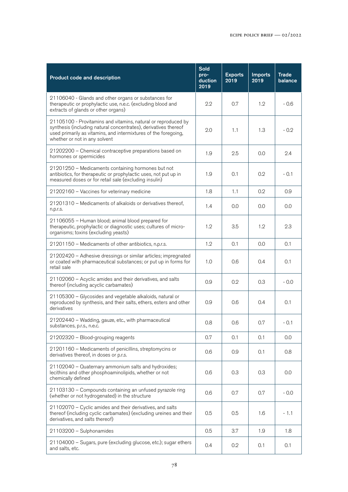| <b>Product code and description</b>                                                                                                                                                                                                  | Sold<br>pro-<br>duction<br>2019 | <b>Exports</b><br>2019 | <b>Imports</b><br>2019 | <b>Trade</b><br>balance |
|--------------------------------------------------------------------------------------------------------------------------------------------------------------------------------------------------------------------------------------|---------------------------------|------------------------|------------------------|-------------------------|
| 21106040 - Glands and other organs or substances for<br>therapeutic or prophylactic use, n.e.c. (excluding blood and<br>extracts of glands or other organs)                                                                          | 2.2                             | 0.7                    | 1.2                    | $-0.6$                  |
| 21105100 - Provitamins and vitamins, natural or reproduced by<br>synthesis (including natural concentrates), derivatives thereof<br>used primarily as vitamins, and intermixtures of the foregoing,<br>whether or not in any solvent | 2.0                             | 1.1                    | 1.3                    | $-0.2$                  |
| 21202200 - Chemical contraceptive preparations based on<br>hormones or spermicides                                                                                                                                                   | 1.9                             | 2.5                    | 0.0                    | 2.4                     |
| 21201250 - Medicaments containing hormones but not<br>antibiotics, for therapeutic or prophylactic uses, not put up in<br>measured doses or for retail sale (excluding insulin)                                                      | 1.9                             | 0.1                    | 0.2                    | $-0.1$                  |
| 21202160 - Vaccines for veterinary medicine                                                                                                                                                                                          | 1.8                             | 1.1                    | 0.2                    | 0.9                     |
| 21201310 - Medicaments of alkaloids or derivatives thereof,<br>n.p.r.s.                                                                                                                                                              | 1.4                             | 0.0                    | 0.0                    | 0.0                     |
| 21106055 - Human blood; animal blood prepared for<br>therapeutic, prophylactic or diagnostic uses; cultures of micro-<br>organisms; toxins (excluding yeasts)                                                                        | 1.2                             | 3.5                    | 1.2                    | 2.3                     |
| 21201150 - Medicaments of other antibiotics, n.p.r.s.                                                                                                                                                                                | 1.2                             | 0.1                    | 0.0                    | 0.1                     |
| 21202420 - Adhesive dressings or similar articles; impregnated<br>or coated with pharmaceutical substances; or put up in forms for<br>retail sale                                                                                    | 1.0                             | 0.6                    | 0.4                    | 0.1                     |
| 21102060 - Acyclic amides and their derivatives, and salts<br>thereof (including acyclic carbamates)                                                                                                                                 | 0.9                             | 0.2                    | 0.3                    | $-0.0$                  |
| 21105300 - Glycosides and vegetable alkaloids, natural or<br>reproduced by synthesis, and their salts, ethers, esters and other<br>derivatives                                                                                       | 0.9                             | 0.6                    | 0.4                    | 0.1                     |
| 21202440 - Wadding, gauze, etc., with pharmaceutical<br>substances, p.r.s., n.e.c.                                                                                                                                                   | 0.8                             | 0.6                    | 0.7                    | $-0.1$                  |
| 21202320 - Blood-grouping reagents                                                                                                                                                                                                   | 0.7                             | 0.1                    | 0.1                    | 0.0                     |
| 21201160 - Medicaments of penicillins, streptomycins or<br>derivatives thereof, in doses or p.r.s.                                                                                                                                   | 0.6                             | 0.9                    | 0.1                    | 0.8                     |
| 21102040 - Quaternary ammonium salts and hydroxides;<br>lecithins and other phosphoaminolipids, whether or not<br>chemically defined                                                                                                 | 0.6                             | 0.3                    | 0.3                    | 0.0                     |
| 21103130 - Compounds containing an unfused pyrazole ring<br>(whether or not hydrogenated) in the structure                                                                                                                           | 0.6                             | 0.7                    | 0.7                    | $-0.0$                  |
| 21102070 – Cyclic amides and their derivatives, and salts<br>thereof (including cyclic carbamates) (excluding ureines and their<br>derivatives, and salts thereof)                                                                   | 0.5                             | 0.5                    | 1.6                    | $-1.1$                  |
| 21103200 - Sulphonamides                                                                                                                                                                                                             | 0.5                             | 3.7                    | 1.9                    | 1.8                     |
| 21104000 - Sugars, pure (excluding glucose, etc.); sugar ethers<br>and salts, etc.                                                                                                                                                   | 0.4                             | 0.2                    | 0.1                    | 0.1                     |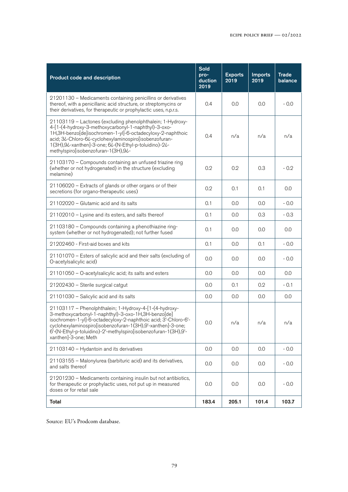| Product code and description                                                                                                                                                                                                                                                                                                                | <b>Sold</b><br>pro-<br>duction<br>2019 | <b>Exports</b><br>2019 | <b>Imports</b><br>2019 | <b>Trade</b><br>balance |
|---------------------------------------------------------------------------------------------------------------------------------------------------------------------------------------------------------------------------------------------------------------------------------------------------------------------------------------------|----------------------------------------|------------------------|------------------------|-------------------------|
| 21201130 - Medicaments containing penicillins or derivatives<br>thereof, with a penicillanic acid structure, or streptomycins or<br>their derivatives, for therapeutic or prophylactic uses, n.p.r.s.                                                                                                                                       | 0.4                                    | 0.0                    | 0.0                    | $-0.0$                  |
| 21103119 - Lactones (excluding phenolphthalein; 1-Hydroxy-<br>4-[1-(4-hydroxy-3-methoxycarbonyl-1-naphthyl)-3-oxo-<br>1H,3H-benzo[de]isochromen-1-yl]-6-octadecyloxy-2-naphthoic<br>acid; 3¿-Chloro-6¿-cyclohexylaminospiro[isobenzofuran-<br>1(3H), 9¿-xanthen]-3-one; 6¿-(N-Ethyl-p-toluidino)-2¿-<br>methylspiro[isobenzofuran-1(3H),9¿- | 0.4                                    | n/a                    | n/a                    | n/a                     |
| 21103170 - Compounds containing an unfused triazine ring<br>(whether or not hydrogenated) in the structure (excluding<br>melamine)                                                                                                                                                                                                          | 0.2                                    | 0.2                    | 0.3                    | $-0.2$                  |
| 21106020 - Extracts of glands or other organs or of their<br>secretions (for organo-therapeutic uses)                                                                                                                                                                                                                                       | 0.2                                    | 0.1                    | 0.1                    | 0.0                     |
| 21102020 - Glutamic acid and its salts                                                                                                                                                                                                                                                                                                      | 0.1                                    | 0.0                    | 0.0                    | $-0.0$                  |
| 21102010 - Lysine and its esters, and salts thereof                                                                                                                                                                                                                                                                                         | 0.1                                    | 0.0                    | 0.3                    | $-0.3$                  |
| 21103180 - Compounds containing a phenothiazine ring-<br>system (whether or not hydrogenated); not further fused                                                                                                                                                                                                                            | 0.1                                    | 0.0                    | 0.0                    | 0.0                     |
| 21202460 - First-aid boxes and kits                                                                                                                                                                                                                                                                                                         | 0.1                                    | 0.0                    | 0.1                    | $-0.0$                  |
| 21101070 - Esters of salicylic acid and their salts (excluding of<br>O-acetylsalicylic acid)                                                                                                                                                                                                                                                | 0.0                                    | 0.0                    | 0.0                    | $-0.0$                  |
| 21101050 - O-acetylsalicylic acid; its salts and esters                                                                                                                                                                                                                                                                                     | 0.0                                    | 0.0                    | 0.0                    | 0.0                     |
| 21202430 - Sterile surgical catgut                                                                                                                                                                                                                                                                                                          | 0.0                                    | 0.1                    | 0.2                    | $-0.1$                  |
| 21101030 - Salicylic acid and its salts                                                                                                                                                                                                                                                                                                     | 0.0                                    | 0.0                    | 0.0                    | 0.0                     |
| 21103117 - Phenolphthalein; 1-Hydroxy-4-[1-(4-hydroxy-<br>3-methoxycarbonyl-1-naphthyl)-3-oxo-1H,3H-benzo[de]<br>isochromen-1-yl]-6-octadecyloxy-2-naphthoic acid; 3'-Chloro-6'-<br>cyclohexylaminospiro[isobenzofuran-1(3H),9'-xanthen]-3-one;<br>6'-(N-Ethyl-p-toluidino)-2'-methylspiro[isobenzofuran-1(3H),9'-<br>xanthen]-3-one; Meth  | 0.0                                    | n/a                    | n/a                    | n/a                     |
| 21103140 - Hydantoin and its derivatives                                                                                                                                                                                                                                                                                                    | 0.0                                    | 0.0                    | 0.0                    | $-0.0$                  |
| 21103155 - Malonylurea (barbituric acid) and its derivatives,<br>and salts thereof                                                                                                                                                                                                                                                          | 0.0                                    | 0.0                    | 0.0                    | $-0.0$                  |
| 21201230 - Medicaments containing insulin but not antibiotics,<br>for therapeutic or prophylactic uses, not put up in measured<br>doses or for retail sale                                                                                                                                                                                  | 0.0                                    | 0.0                    | 0.0                    | $-0.0$                  |
| Total                                                                                                                                                                                                                                                                                                                                       | 183.4                                  | 205.1                  | 101.4                  | 103.7                   |

Source: EU's Prodcom database.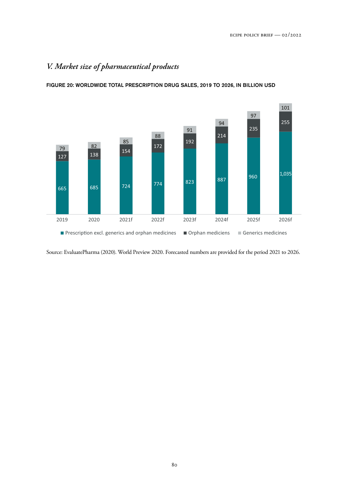# *V. Market size of pharmaceutical products*

FIGURE 20: WORLDWIDE TOTAL PRESCRIPTION DRUG SALES, 2019 TO 2026, IN BILLION USD



Source: EvaluatePharma (2020). World Preview 2020. Forecasted numbers are provided for the period 2021 to 2026.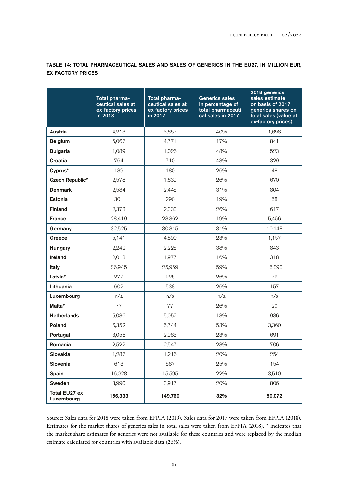|                             | Total pharma-<br>ceutical sales at<br>ex-factory prices<br>in 2018 | Total pharma-<br>ceutical sales at<br>ex-factory prices<br>in 2017 | <b>Generics sales</b><br>in percentage of<br>total pharmaceuti-<br>cal sales in 2017 | 2018 generics<br>sales estimate<br>on basis of 2017<br>generics shares on<br>total sales (value at<br>ex-factory prices) |
|-----------------------------|--------------------------------------------------------------------|--------------------------------------------------------------------|--------------------------------------------------------------------------------------|--------------------------------------------------------------------------------------------------------------------------|
| Austria                     | 4,213                                                              | 3,657                                                              | 40%                                                                                  | 1,698                                                                                                                    |
| <b>Belgium</b>              | 5,067                                                              | 4,771                                                              | 17%                                                                                  | 841                                                                                                                      |
| <b>Bulgaria</b>             | 1,089                                                              | 1,026                                                              | 48%                                                                                  | 523                                                                                                                      |
| Croatia                     | 764                                                                | 710                                                                | 43%                                                                                  | 329                                                                                                                      |
| Cyprus*                     | 189                                                                | 180                                                                | 26%                                                                                  | 48                                                                                                                       |
| Czech Republic*             | 2,578                                                              | 1,639                                                              | 26%                                                                                  | 670                                                                                                                      |
| <b>Denmark</b>              | 2,584                                                              | 2,445                                                              | 31%                                                                                  | 804                                                                                                                      |
| Estonia                     | 301                                                                | 290                                                                | 19%                                                                                  | 58                                                                                                                       |
| <b>Finland</b>              | 2,373                                                              | 2,333                                                              | 26%                                                                                  | 617                                                                                                                      |
| <b>France</b>               | 28,419                                                             | 28,362                                                             | 19%                                                                                  | 5,456                                                                                                                    |
| Germany                     | 32,525                                                             | 30,815                                                             | 31%                                                                                  | 10,148                                                                                                                   |
| Greece                      | 5,141                                                              | 4,890                                                              | 23%                                                                                  | 1,157                                                                                                                    |
| Hungary                     | 2,242                                                              | 2,225                                                              | 38%                                                                                  | 843                                                                                                                      |
| Ireland                     | 2,013                                                              | 1,977                                                              | 16%                                                                                  | 318                                                                                                                      |
| Italy                       | 26,945                                                             | 25,959                                                             | 59%                                                                                  | 15,898                                                                                                                   |
| Latvia*                     | 277                                                                | 225                                                                | 26%                                                                                  | 72                                                                                                                       |
| Lithuania                   | 602                                                                | 538                                                                | 26%                                                                                  | 157                                                                                                                      |
| Luxembourg                  | n/a                                                                | n/a                                                                | n/a                                                                                  | n/a                                                                                                                      |
| Malta*                      | 77                                                                 | 77                                                                 | 26%                                                                                  | 20                                                                                                                       |
| <b>Netherlands</b>          | 5,086                                                              | 5,052                                                              | 18%                                                                                  | 936                                                                                                                      |
| Poland                      | 6,352                                                              | 5,744                                                              | 53%                                                                                  | 3,360                                                                                                                    |
| Portugal                    | 3,056                                                              | 2,983                                                              | 23%                                                                                  | 691                                                                                                                      |
| Romania                     | 2,522                                                              | 2,547                                                              | 28%                                                                                  | 706                                                                                                                      |
| Slovakia                    | 1,287                                                              | 1,216                                                              | 20%                                                                                  | 254                                                                                                                      |
| Slovenia                    | 613                                                                | 587                                                                | 25%                                                                                  | 154                                                                                                                      |
| Spain                       | 16,028                                                             | 15,595                                                             | 22%                                                                                  | 3,510                                                                                                                    |
| Sweden                      | 3,990                                                              | 3,917                                                              | 20%                                                                                  | 806                                                                                                                      |
| Total EU27 ex<br>Luxembourg | 156,333                                                            | 149,760                                                            | 32%                                                                                  | 50,072                                                                                                                   |

TABLE 14: TOTAL PHARMACEUTICAL SALES AND SALES OF GENERICS IN THE EU27, IN MILLION EUR, EX-FACTORY PRICES

Source: Sales data for 2018 were taken from EFPIA (2019). Sales data for 2017 were taken from EFPIA (2018). Estimates for the market shares of generics sales in total sales were taken from EFPIA (2018). \* indicates that the market share estimates for generics were not available for these countries and were replaced by the median estimate calculated for countries with available data (26%).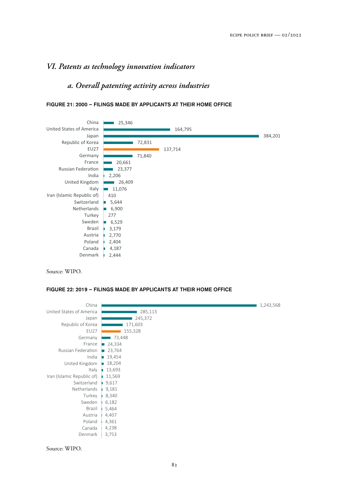## *VI. Patents as technology innovation indicators*

## *a. Overall patenting activity across industries*



FIGURE 21: 2000 – FILINGS MADE BY APPLICANTS AT THEIR HOME OFFICE

Source: WIPO.

#### FIGURE 22: 2019 – FILINGS MADE BY APPLICANTS AT THEIR HOME OFFICE

| China                             |                       | 1,243,568 |
|-----------------------------------|-----------------------|-----------|
| United States of America          | 285,113               |           |
| Japan                             | 245,372               |           |
| Republic of Korea                 | 171,603               |           |
| <b>EU27</b>                       | 155,328               |           |
| Germany                           | 73,448                |           |
| France                            | 24,334<br>T.          |           |
| Russian Federation                | $\blacksquare$ 23,764 |           |
| India                             | 19,454                |           |
| United Kingdom                    | 18,204                |           |
|                                   | Italy 13,693          |           |
| Iran (Islamic Republic of) 11,569 |                       |           |
| Switzerland                       | 9,617                 |           |
| Netherlands                       | 9,181                 |           |
| Turkey                            | 8,340<br>n.           |           |
| Sweden                            | 6,182                 |           |
| Brazil                            | 5,464                 |           |
| Austria                           | 4,407                 |           |
| Poland                            | 4,361                 |           |
| Canada                            | 4,238                 |           |
| Denmark                           | 3,753                 |           |

Source: WIPO.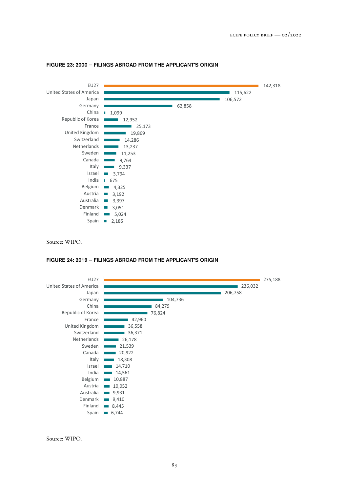

#### FIGURE 23: 2000 – FILINGS ABROAD FROM THE APPLICANT'S ORIGIN

Source: WIPO.

#### FIGURE 24: 2019 – FILINGS ABROAD FROM THE APPLICANT'S ORIGIN



Source: WIPO.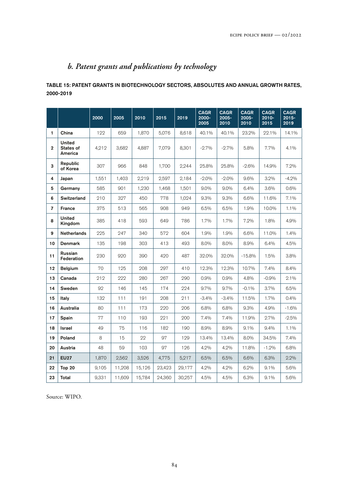# *b. Patent grants and publications by technology*

### TABLE 15: PATENT GRANTS IN BIOTECHNOLOGY SECTORS, ABSOLUTES AND ANNUAL GROWTH RATES, 2000-2019

|                |                                       | 2000  | 2005   | 2010   | 2015   | 2019   | <b>CAGR</b><br>2000-<br>2005 | <b>CAGR</b><br>2005-<br>2010 | <b>CAGR</b><br>2005-<br>2010 | <b>CAGR</b><br>$2010 -$<br>2015 | <b>CAGR</b><br>$2015 -$<br>2019 |
|----------------|---------------------------------------|-------|--------|--------|--------|--------|------------------------------|------------------------------|------------------------------|---------------------------------|---------------------------------|
| 1              | China                                 | 122   | 659    | 1,870  | 5,076  | 8,618  | 40.1%                        | 40.1%                        | 23.2%                        | 22.1%                           | 14.1%                           |
| $\overline{2}$ | <b>United</b><br>States of<br>America | 4,212 | 3,682  | 4,887  | 7,079  | 8,301  | $-2.7%$                      | $-2.7%$                      | 5.8%                         | 7.7%                            | 4.1%                            |
| 3              | Republic<br>of Korea                  | 307   | 966    | 848    | 1,700  | 2,244  | 25.8%                        | 25.8%                        | $-2.6%$                      | 14.9%                           | 7.2%                            |
| 4              | Japan                                 | 1,551 | 1,403  | 2,219  | 2,597  | 2,184  | $-2.0\%$                     | $-2.0\%$                     | 9.6%                         | 3.2%                            | $-4.2\%$                        |
| 5              | Germany                               | 585   | 901    | 1,230  | 1,468  | 1,501  | $9.0\%$                      | $9.0\%$                      | 6.4%                         | 3.6%                            | $0.6\%$                         |
| 6              | <b>Switzerland</b>                    | 210   | 327    | 450    | 778    | 1,024  | 9.3%                         | 9.3%                         | 6.6%                         | 11.6%                           | 7.1%                            |
| $\overline{ }$ | France                                | 375   | 513    | 565    | 908    | 949    | 6.5%                         | 6.5%                         | 1.9%                         | 10.0%                           | $1.1\%$                         |
| 8              | <b>United</b><br>Kingdom              | 385   | 418    | 593    | 649    | 786    | 1.7%                         | 1.7%                         | 7.2%                         | 1.8%                            | 4.9%                            |
| 9              | <b>Netherlands</b>                    | 225   | 247    | 340    | 572    | 604    | 1.9%                         | 1.9%                         | 6.6%                         | 11.0%                           | 1.4%                            |
| 10             | <b>Denmark</b>                        | 135   | 198    | 303    | 413    | 493    | 8.0%                         | 8.0%                         | 8.9%                         | 6.4%                            | 4.5%                            |
| 11             | Russian<br>Federation                 | 230   | 920    | 390    | 420    | 487    | 32.0%                        | 32.0%                        | $-15.8%$                     | 1.5%                            | 3.8%                            |
| 12             | <b>Belgium</b>                        | 70    | 125    | 208    | 297    | 410    | 12.3%                        | 12.3%                        | 10.7%                        | 7.4%                            | 8.4%                            |
| 13             | Canada                                | 212   | 222    | 280    | 267    | 290    | $0.9\%$                      | 0.9%                         | 4.8%                         | $-0.9%$                         | 2.1%                            |
| 14             | Sweden                                | 92    | 146    | 145    | 174    | 224    | $9.7\%$                      | 9.7%                         | $-0.1%$                      | 3.7%                            | $6.5\%$                         |
| 15             | Italv                                 | 132   | 111    | 191    | 208    | 211    | $-3.4%$                      | $-3.4%$                      | 11.5%                        | 1.7%                            | $0.4\%$                         |
| 16             | Australia                             | 80    | 111    | 173    | 220    | 206    | $6.8\%$                      | 6.8%                         | $9.3\%$                      | 4.9%                            | $-1.6%$                         |
| 17             | Spain                                 | 77    | 110    | 193    | 221    | 200    | $7.4\%$                      | 7.4%                         | 11.9%                        | 2.7%                            | $-2.5\%$                        |
| 18             | <b>Israel</b>                         | 49    | 75     | 116    | 182    | 190    | 8.9%                         | 8.9%                         | 9.1%                         | $9.4\%$                         | $1.1\%$                         |
| 19             | Poland                                | 8     | 15     | 22     | 97     | 129    | 13.4%                        | 13.4%                        | 8.0%                         | 34.5%                           | 7.4%                            |
| 20             | Austria                               | 48    | 59     | 103    | 97     | 126    | 4.2%                         | 4.2%                         | 11.8%                        | $-1.2%$                         | 6.8%                            |
| 21             | <b>EU27</b>                           | 1,870 | 2,562  | 3,526  | 4,775  | 5,217  | 6.5%                         | 6.5%                         | 6.6%                         | 6.3%                            | 2.2%                            |
| 22             | Top 20                                | 9,105 | 11,208 | 15,126 | 23,423 | 29,177 | 4.2%                         | 4.2%                         | 6.2%                         | 9.1%                            | 5.6%                            |
| 23             | Total                                 | 9,331 | 11,609 | 15,784 | 24,360 | 30,257 | 4.5%                         | 4.5%                         | 6.3%                         | 9.1%                            | 5.6%                            |

Source: WIPO.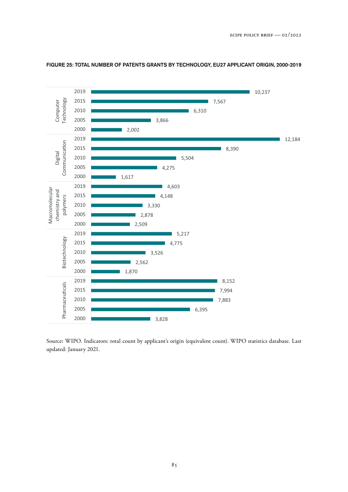

#### FIGURE 25: TOTAL NUMBER OF PATENTS GRANTS BY TECHNOLOGY, EU27 APPLICANT ORIGIN, 2000-2019

Source: WIPO. Indicators: total count by applicant's origin (equivalent count). WIPO statistics database. Last updated: January 2021.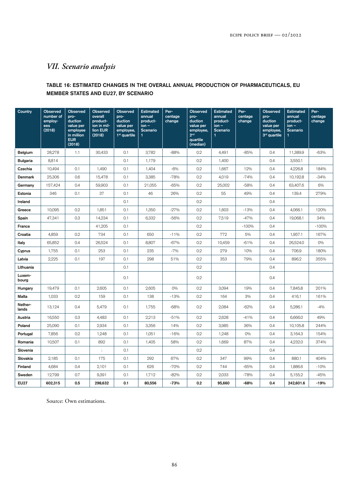# *VII. Scenario analysis*

### TABLE 16: ESTIMATED CHANGES IN THE OVERALL ANNUAL PRODUCTION OF PHARMACEUTICALS, EU MEMBER STATES AND EU27, BY SCENARIO

| Country          | <b>Observed</b><br>number of<br>employ-<br>ees<br>(2018) | <b>Observed</b><br>pro-<br>duction<br>value per<br>employee<br>in million<br><b>EUR</b><br>(2018) | <b>Observed</b><br>overall<br>product-<br>ion in mil-<br>lion EUR<br>(2018) | <b>Observed</b><br>pro-<br>duction<br>value per<br>employee,<br>$1st$ quartile | <b>Estimated</b><br>annual<br>product-<br>$ion -$<br>Scenario | Per-<br>centage<br>change | <b>Observed</b><br>pro-<br>duction<br>value per<br>employee,<br>2 <sub>nd</sub><br>quartile<br>(median) | <b>Estimated</b><br>annual<br>product-<br>$ion -$<br><b>Scenario</b> | Per-<br>centage<br>change | <b>Observed</b><br>pro-<br>duction<br>value per<br>employee,<br>3rd quartile | <b>Estimated</b><br>annual<br>product-<br>$ion -$<br>Scenario<br>1 | Per-<br>centage<br>change |
|------------------|----------------------------------------------------------|---------------------------------------------------------------------------------------------------|-----------------------------------------------------------------------------|--------------------------------------------------------------------------------|---------------------------------------------------------------|---------------------------|---------------------------------------------------------------------------------------------------------|----------------------------------------------------------------------|---------------------------|------------------------------------------------------------------------------|--------------------------------------------------------------------|---------------------------|
| Belgium          | 28,278                                                   | 1.1                                                                                               | 30,433                                                                      | 0.1                                                                            | 3,782                                                         | $-88%$                    | 0.2                                                                                                     | 4,491                                                                | $-85%$                    | 0.4                                                                          | 11,389.9                                                           | $-63%$                    |
| <b>Bulgaria</b>  | 8,814                                                    |                                                                                                   |                                                                             | 0.1                                                                            | 1,179                                                         |                           | 0.2                                                                                                     | 1,400                                                                |                           | 0.4                                                                          | 3,550.1                                                            |                           |
| Czechia          | 10,494                                                   | 0.1                                                                                               | 1,490                                                                       | 0.1                                                                            | 1,404                                                         | $-6%$                     | 0.2                                                                                                     | 1,667                                                                | 12%                       | 0.4                                                                          | 4,226.8                                                            | 184%                      |
| Denmark          | 25,306                                                   | 0.6                                                                                               | 15,478                                                                      | 0.1                                                                            | 3,385                                                         | $-78%$                    | 0.2                                                                                                     | 4,019                                                                | $-74%$                    | 0.4                                                                          | 10,192.8                                                           | $-34%$                    |
| Germany          | 157,424                                                  | 0.4                                                                                               | 59,903                                                                      | 0.1                                                                            | 21,055                                                        | $-65%$                    | 0.2                                                                                                     | 25,002                                                               | $-58%$                    | 0.4                                                                          | 63,407.6                                                           | 6%                        |
| Estonia          | 346                                                      | 0.1                                                                                               | 37                                                                          | 0.1                                                                            | 46                                                            | 26%                       | 0.2                                                                                                     | 55                                                                   | 49%                       | 0.4                                                                          | 139.4                                                              | 279%                      |
| Ireland          |                                                          |                                                                                                   |                                                                             | 0.1                                                                            |                                                               |                           | 0.2                                                                                                     |                                                                      |                           | 0.4                                                                          |                                                                    |                           |
| Greece           | 10,095                                                   | 0.2                                                                                               | 1,851                                                                       | 0.1                                                                            | 1,350                                                         | $-27%$                    | 0.2                                                                                                     | 1,603                                                                | $-13%$                    | 0.4                                                                          | 4,066.1                                                            | 120%                      |
| Spain            | 47,341                                                   | 0.3                                                                                               | 14,234                                                                      | 0.1                                                                            | 6,332                                                         | $-56%$                    | 0.2                                                                                                     | 7,519                                                                | $-47%$                    | 0.4                                                                          | 19,068.1                                                           | 34%                       |
| France           |                                                          |                                                                                                   | 41,205                                                                      | 0.1                                                                            |                                                               |                           | 0.2                                                                                                     |                                                                      | $-100%$                   | 0.4                                                                          |                                                                    | $-100%$                   |
| Croatia          | 4,859                                                    | 0.2                                                                                               | 734                                                                         | 0.1                                                                            | 650                                                           | $-11%$                    | 0.2                                                                                                     | 772                                                                  | 5%                        | 0.4                                                                          | 1,957.1                                                            | 167%                      |
| Italy            | 65,852                                                   | 0.4                                                                                               | 26,524                                                                      | 0.1                                                                            | 8,807                                                         | $-67%$                    | 0.2                                                                                                     | 10,459                                                               | $-61%$                    | 0.4                                                                          | 26,524.0                                                           | $O\%$                     |
| Cyprus           | 1,755                                                    | 0.1                                                                                               | 253                                                                         | 0.1                                                                            | 235                                                           | $-7%$                     | 0.2                                                                                                     | 279                                                                  | 10%                       | 0.4                                                                          | 706.9                                                              | 180%                      |
| Latvia           | 2,225                                                    | 0.1                                                                                               | 197                                                                         | 0.1                                                                            | 298                                                           | 51%                       | 0.2                                                                                                     | 353                                                                  | 79%                       | 0.4                                                                          | 896.2                                                              | 355%                      |
| Lithuania        |                                                          |                                                                                                   |                                                                             | 0.1                                                                            |                                                               |                           | 0.2                                                                                                     |                                                                      |                           | 0.4                                                                          |                                                                    |                           |
| Luxem-<br>bourg  |                                                          |                                                                                                   |                                                                             | 0.1                                                                            |                                                               |                           | 0.2                                                                                                     |                                                                      |                           | 0.4                                                                          |                                                                    |                           |
| Hungary          | 19,479                                                   | 0.1                                                                                               | 2,605                                                                       | 0.1                                                                            | 2,605                                                         | $0\%$                     | 0.2                                                                                                     | 3,094                                                                | 19%                       | 0.4                                                                          | 7,845.8                                                            | 201%                      |
| Malta            | 1,033                                                    | 0.2                                                                                               | 159                                                                         | 0.1                                                                            | 138                                                           | $-13%$                    | 0.2                                                                                                     | 164                                                                  | 3%                        | 0.4                                                                          | 416.1                                                              | 161%                      |
| Nether-<br>lands | 13,124                                                   | 0.4                                                                                               | 5,479                                                                       | 0.1                                                                            | 1,755                                                         | $-68%$                    | 0.2                                                                                                     | 2,084                                                                | $-62%$                    | 0.4                                                                          | 5,286.1                                                            | $-4%$                     |
| Austria          | 16,550                                                   | 0.3                                                                                               | 4,483                                                                       | 0.1                                                                            | 2,213                                                         | $-51%$                    | 0.2                                                                                                     | 2,628                                                                | $-41%$                    | 0.4                                                                          | 6,666.0                                                            | 49%                       |
| Poland           | 25,090                                                   | 0.1                                                                                               | 2,934                                                                       | 0.1                                                                            | 3,356                                                         | 14%                       | 0.2                                                                                                     | 3,985                                                                | 36%                       | 0.4                                                                          | 10,105.8                                                           | 244%                      |
| Portugal         | 7,856                                                    | 0.2                                                                                               | 1,248                                                                       | 0.1                                                                            | 1,051                                                         | $-16%$                    | 0.2                                                                                                     | 1,248                                                                | $O\%$                     | 0.4                                                                          | 3,164.3                                                            | 154%                      |
| Romania          | 10,507                                                   | 0.1                                                                                               | 892                                                                         | 0.1                                                                            | 1,405                                                         | 58%                       | 0.2                                                                                                     | 1,669                                                                | 87%                       | 0.4                                                                          | 4,232.0                                                            | 374%                      |
| Slovenia         |                                                          |                                                                                                   | $\ddot{\phantom{a}}$                                                        | 0.1                                                                            |                                                               |                           | 0.2                                                                                                     |                                                                      |                           | 0.4                                                                          |                                                                    |                           |
| Slovakia         | 2,185                                                    | 0.1                                                                                               | 175                                                                         | 0.1                                                                            | 292                                                           | 67%                       | 0.2                                                                                                     | 347                                                                  | 99%                       | 0.4                                                                          | 880.1                                                              | 404%                      |
| Finland          | 4,684                                                    | 0.4                                                                                               | 2,101                                                                       | 0.1                                                                            | 626                                                           | $-70%$                    | 0.2                                                                                                     | 744                                                                  | $-65%$                    | 0.4                                                                          | 1,886.6                                                            | $-10%$                    |
| Sweden           | 12,799                                                   | 0.7                                                                                               | 9,391                                                                       | 0.1                                                                            | 1,712                                                         | $-82%$                    | 0.2                                                                                                     | 2,033                                                                | $-78%$                    | 0.4                                                                          | 5,155.2                                                            | $-45%$                    |
| <b>EU27</b>      | 602,315                                                  | 0.5                                                                                               | 298,632                                                                     | 0.1                                                                            | 80,556                                                        | $-73%$                    | 0.2                                                                                                     | 95,660                                                               | $-68%$                    | 0.4                                                                          | 242,601.6                                                          | $-19%$                    |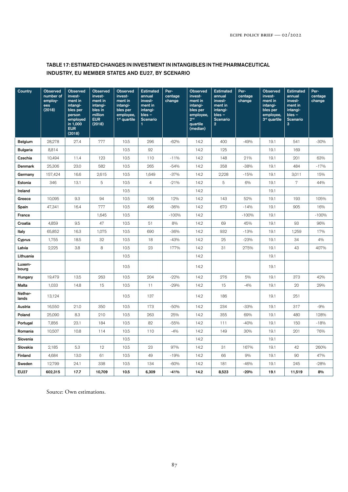### TABLE 17: ESTIMATED CHANGES IN INVESTMENT IN INTANGIBLES IN THE PHARMACEUTICAL INDUSTRY, EU MEMBER STATES AND EU27, BY SCENARIO

| Country          | Observed<br>number of<br>employ-<br>ees<br>(2018) | <b>Observed</b><br>invest-<br>ment in<br>intangi-<br>bles per<br>person<br>employed<br>in 1,000<br><b>EUR</b><br>(2018) | <b>Observed</b><br>invest-<br>ment in<br>intangi-<br>bles in<br>million<br><b>EUR</b><br>(2018) | <b>Observed</b><br>invest-<br>ment in<br>intangi-<br>bles per<br>employee,<br>$1st$ quartile | <b>Estimated</b><br>annual<br>invest-<br>ment in<br>intangi-<br>$bles -$<br>Scenario<br>$\mathbf{1}$ | Per-<br>centage<br>change | Observed<br>invest-<br>ment in<br>intangi-<br>bles per<br>employee,<br>2 <sup>nd</sup><br>quartile<br>(median) | <b>Estimated</b><br>annual<br>invest-<br>ment in<br>intangi-<br>$bles -$<br>Scenario<br>$\overline{2}$ | Per-<br>centage<br>change | <b>Observed</b><br>invest-<br>ment in<br>intangi-<br>bles per<br>employee,<br>3rd quartile | <b>Estimated</b><br>annual<br>invest-<br>ment in<br>intangi-<br>$bles -$<br>Scenario<br>$\mathbf{3}$ | Per-<br>centage<br>change |
|------------------|---------------------------------------------------|-------------------------------------------------------------------------------------------------------------------------|-------------------------------------------------------------------------------------------------|----------------------------------------------------------------------------------------------|------------------------------------------------------------------------------------------------------|---------------------------|----------------------------------------------------------------------------------------------------------------|--------------------------------------------------------------------------------------------------------|---------------------------|--------------------------------------------------------------------------------------------|------------------------------------------------------------------------------------------------------|---------------------------|
| Belgium          | 28,278                                            | 27.4                                                                                                                    | 777                                                                                             | 10.5                                                                                         | 296                                                                                                  | $-62%$                    | 14.2                                                                                                           | 400                                                                                                    | $-49%$                    | 19.1                                                                                       | 541                                                                                                  | $-30%$                    |
| <b>Bulgaria</b>  | 8.814                                             |                                                                                                                         |                                                                                                 | 10.5                                                                                         | 92                                                                                                   |                           | 14.2                                                                                                           | 125                                                                                                    |                           | 19.1                                                                                       | 169                                                                                                  |                           |
| Czechia          | 10,494                                            | 11.4                                                                                                                    | 123                                                                                             | 10.5                                                                                         | 110                                                                                                  | $-11%$                    | 14.2                                                                                                           | 148                                                                                                    | 21%                       | 19.1                                                                                       | 201                                                                                                  | 63%                       |
| <b>Denmark</b>   | 25,306                                            | 23.0                                                                                                                    | 582                                                                                             | 10.5                                                                                         | 265                                                                                                  | $-54%$                    | 14.2                                                                                                           | 358                                                                                                    | $-38%$                    | 19.1                                                                                       | 484                                                                                                  | $-17%$                    |
| Germany          | 157,424                                           | 16.6                                                                                                                    | 2,615                                                                                           | 10.5                                                                                         | 1,649                                                                                                | $-37%$                    | 14.2                                                                                                           | 2,228                                                                                                  | $-15%$                    | 19.1                                                                                       | 3,011                                                                                                | 15%                       |
| Estonia          | 346                                               | 13.1                                                                                                                    | 5                                                                                               | 10.5                                                                                         | $\overline{4}$                                                                                       | $-21%$                    | 14.2                                                                                                           | 5                                                                                                      | 6%                        | 19.1                                                                                       | $7\phantom{.}$                                                                                       | 44%                       |
| Ireland          |                                                   |                                                                                                                         |                                                                                                 | 10.5                                                                                         |                                                                                                      |                           | 14.2                                                                                                           |                                                                                                        |                           | 19.1                                                                                       |                                                                                                      |                           |
| Greece           | 10,095                                            | 9.3                                                                                                                     | 94                                                                                              | 10.5                                                                                         | 106                                                                                                  | 12%                       | 14.2                                                                                                           | 143                                                                                                    | 52%                       | 19.1                                                                                       | 193                                                                                                  | 105%                      |
| Spain            | 47,341                                            | 16.4                                                                                                                    | 777                                                                                             | 10.5                                                                                         | 496                                                                                                  | -36%                      | 14.2                                                                                                           | 670                                                                                                    | $-14%$                    | 19.1                                                                                       | 905                                                                                                  | 16%                       |
| France           |                                                   |                                                                                                                         | 1,645                                                                                           | 10.5                                                                                         |                                                                                                      | $-100%$                   | 14.2                                                                                                           |                                                                                                        | $-100%$                   | 19.1                                                                                       |                                                                                                      | $-100%$                   |
| Croatia          | 4,859                                             | 9.5                                                                                                                     | 47                                                                                              | 10.5                                                                                         | 51                                                                                                   | 8%                        | 14.2                                                                                                           | 69                                                                                                     | 45%                       | 19.1                                                                                       | 93                                                                                                   | 96%                       |
| Italy            | 65,852                                            | 16.3                                                                                                                    | 1,075                                                                                           | 10.5                                                                                         | 690                                                                                                  | $-36%$                    | 14.2                                                                                                           | 932                                                                                                    | $-13%$                    | 19.1                                                                                       | 1,259                                                                                                | 17%                       |
| Cyprus           | 1,755                                             | 18.5                                                                                                                    | 32                                                                                              | 10.5                                                                                         | 18                                                                                                   | $-43%$                    | 14.2                                                                                                           | 25                                                                                                     | $-23%$                    | 19.1                                                                                       | 34                                                                                                   | 4%                        |
| Latvia           | 2,225                                             | 3.8                                                                                                                     | 8                                                                                               | 10.5                                                                                         | 23                                                                                                   | 177%                      | 14.2                                                                                                           | 31                                                                                                     | 275%                      | 19.1                                                                                       | 43                                                                                                   | 407%                      |
| Lithuania        |                                                   |                                                                                                                         |                                                                                                 | 10.5                                                                                         |                                                                                                      |                           | 14.2                                                                                                           |                                                                                                        |                           | 19.1                                                                                       |                                                                                                      |                           |
| Luxem-<br>bourg  |                                                   |                                                                                                                         |                                                                                                 | 10.5                                                                                         |                                                                                                      |                           | 14.2                                                                                                           |                                                                                                        |                           | 19.1                                                                                       |                                                                                                      |                           |
| Hungary          | 19,479                                            | 13.5                                                                                                                    | 263                                                                                             | 10.5                                                                                         | 204                                                                                                  | $-22%$                    | 14.2                                                                                                           | 276                                                                                                    | 5%                        | 19.1                                                                                       | 373                                                                                                  | 42%                       |
| Malta            | 1,033                                             | 14.8                                                                                                                    | 15                                                                                              | 10.5                                                                                         | 11                                                                                                   | $-29%$                    | 14.2                                                                                                           | 15                                                                                                     | $-4%$                     | 19.1                                                                                       | 20                                                                                                   | 29%                       |
| Nether-<br>lands | 13,124                                            |                                                                                                                         |                                                                                                 | 10.5                                                                                         | 137                                                                                                  |                           | 14.2                                                                                                           | 186                                                                                                    |                           | 19.1                                                                                       | 251                                                                                                  |                           |
| Austria          | 16,550                                            | 21.0                                                                                                                    | 350                                                                                             | 10.5                                                                                         | 173                                                                                                  | $-50%$                    | 14.2                                                                                                           | 234                                                                                                    | $-33%$                    | 19.1                                                                                       | 317                                                                                                  | $-9%$                     |
| Poland           | 25,090                                            | 8.3                                                                                                                     | 210                                                                                             | 10.5                                                                                         | 263                                                                                                  | 25%                       | 14.2                                                                                                           | 355                                                                                                    | 69%                       | 19.1                                                                                       | 480                                                                                                  | 128%                      |
| Portugal         | 7,856                                             | 23.1                                                                                                                    | 184                                                                                             | 10.5                                                                                         | 82                                                                                                   | $-55%$                    | 14.2                                                                                                           | 111                                                                                                    | $-40%$                    | 19.1                                                                                       | 150                                                                                                  | $-18%$                    |
| Romania          | 10,507                                            | 10.8                                                                                                                    | 114                                                                                             | 10.5                                                                                         | 110                                                                                                  | $-4%$                     | 14.2                                                                                                           | 149                                                                                                    | 30%                       | 19.1                                                                                       | 201                                                                                                  | 76%                       |
| Slovenia         |                                                   |                                                                                                                         |                                                                                                 | 10.5                                                                                         |                                                                                                      |                           | 14.2                                                                                                           |                                                                                                        |                           | 19.1                                                                                       |                                                                                                      |                           |
| Slovakia         | 2,185                                             | 5.3                                                                                                                     | 12                                                                                              | 10.5                                                                                         | 23                                                                                                   | 97%                       | 14.2                                                                                                           | 31                                                                                                     | 167%                      | 19.1                                                                                       | 42                                                                                                   | 260%                      |
| Finland          | 4,684                                             | 13.0                                                                                                                    | 61                                                                                              | 10.5                                                                                         | 49                                                                                                   | $-19%$                    | 14.2                                                                                                           | 66                                                                                                     | 9%                        | 19.1                                                                                       | 90                                                                                                   | 47%                       |
| Sweden           | 12,799                                            | 24.1                                                                                                                    | 338                                                                                             | 10.5                                                                                         | 134                                                                                                  | $-60%$                    | 14.2                                                                                                           | 181                                                                                                    | $-46%$                    | 19.1                                                                                       | 245                                                                                                  | $-28%$                    |
| <b>EU27</b>      | 602,315                                           | 17.7                                                                                                                    | 10,709                                                                                          | 10.5                                                                                         | 6,309                                                                                                | $-41%$                    | 14.2                                                                                                           | 8,523                                                                                                  | $-20%$                    | 19.1                                                                                       | 11,519                                                                                               | 8%                        |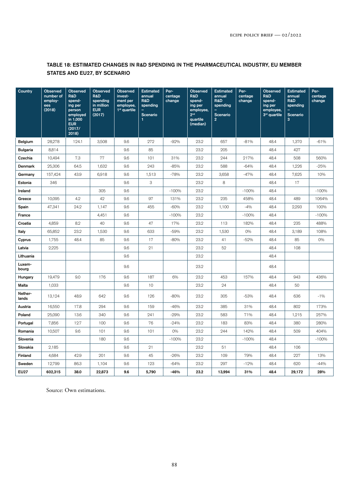### TABLE 18: ESTIMATED CHANGES IN R&D SPENDING IN THE PHARMACEUTICAL INDUSTRY, EU MEMBER STATES AND EU27, BY SCENARIO

| Country          | Observed<br>number of<br>employ-<br>ees<br>(2018) | <b>Observed</b><br>R&D<br>spend-<br>ing per<br>person<br>employed<br>in 1,000<br><b>EUR</b><br>(2017/<br>2018) | <b>Observed</b><br>R&D<br>spending<br>in million<br><b>EUR</b><br>(2017) | <b>Observed</b><br>invest-<br>ment per<br>employee,<br>1 <sup>st</sup> quartile | <b>Estimated</b><br>annual<br>R&D<br>spending<br>Scenario<br>1 | Per-<br>centage<br>change | Observed<br>R&D<br>spend-<br>ing per<br>employee,<br>2 <sub>nd</sub><br>quartile<br>(median) | <b>Estimated</b><br>annual<br><b>R&amp;D</b><br>spending<br>Scenario<br>$\overline{2}$ | Per-<br>centage<br>change | <b>Observed</b><br>R&D<br>spend-<br>ing per<br>employee,<br>3rd quartile | <b>Estimated</b><br>annual<br>R&D<br>spending<br>Scenario<br>$\mathbf{3}$ | Per-<br>centage<br>change |
|------------------|---------------------------------------------------|----------------------------------------------------------------------------------------------------------------|--------------------------------------------------------------------------|---------------------------------------------------------------------------------|----------------------------------------------------------------|---------------------------|----------------------------------------------------------------------------------------------|----------------------------------------------------------------------------------------|---------------------------|--------------------------------------------------------------------------|---------------------------------------------------------------------------|---------------------------|
| Belgium          | 28,278                                            | 124.1                                                                                                          | 3,508                                                                    | 9.6                                                                             | 272                                                            | $-92%$                    | 23.2                                                                                         | 657                                                                                    | $-81%$                    | 48.4                                                                     | 1,370                                                                     | $-61%$                    |
| <b>Bulgaria</b>  | 8,814                                             |                                                                                                                |                                                                          | 9.6                                                                             | 85                                                             |                           | 23.2                                                                                         | 205                                                                                    |                           | 48.4                                                                     | 427                                                                       |                           |
| Czechia          | 10,494                                            | 7.3                                                                                                            | 77                                                                       | 9.6                                                                             | 101                                                            | 31%                       | 23.2                                                                                         | 244                                                                                    | 217%                      | 48.4                                                                     | 508                                                                       | 560%                      |
| Denmark          | 25,306                                            | 64.5                                                                                                           | 1,632                                                                    | 9.6                                                                             | 243                                                            | $-85%$                    | 23.2                                                                                         | 588                                                                                    | $-64%$                    | 48.4                                                                     | 1,226                                                                     | $-25%$                    |
| Germany          | 157,424                                           | 43.9                                                                                                           | 6,918                                                                    | 9.6                                                                             | 1,513                                                          | $-78%$                    | 23.2                                                                                         | 3,658                                                                                  | $-47%$                    | 48.4                                                                     | 7,625                                                                     | 10%                       |
| Estonia          | 346                                               |                                                                                                                |                                                                          | 9.6                                                                             | 3                                                              |                           | 23.2                                                                                         | 8                                                                                      |                           | 48.4                                                                     | 17                                                                        |                           |
| Ireland          |                                                   |                                                                                                                | 305                                                                      | 9.6                                                                             |                                                                | $-100%$                   | 23.2                                                                                         |                                                                                        | $-100%$                   | 48.4                                                                     |                                                                           | $-100%$                   |
| Greece           | 10,095                                            | 4.2                                                                                                            | 42                                                                       | 9.6                                                                             | 97                                                             | 131%                      | 23.2                                                                                         | 235                                                                                    | 458%                      | 48.4                                                                     | 489                                                                       | 1064%                     |
| Spain            | 47,341                                            | 24.2                                                                                                           | 1,147                                                                    | 9.6                                                                             | 455                                                            | $-60%$                    | 23.2                                                                                         | 1,100                                                                                  | $-4%$                     | 48.4                                                                     | 2,293                                                                     | 100%                      |
| France           |                                                   |                                                                                                                | 4,451                                                                    | 9.6                                                                             |                                                                | $-100%$                   | 23.2                                                                                         |                                                                                        | $-100%$                   | 48.4                                                                     |                                                                           | $-100%$                   |
| Croatia          | 4,859                                             | 8.2                                                                                                            | 40                                                                       | 9.6                                                                             | 47                                                             | 17%                       | 23.2                                                                                         | 113                                                                                    | 182%                      | 48.4                                                                     | 235                                                                       | 488%                      |
| Italy            | 65,852                                            | 23.2                                                                                                           | 1,530                                                                    | 9.6                                                                             | 633                                                            | $-59%$                    | 23.2                                                                                         | 1,530                                                                                  | $O\%$                     | 48.4                                                                     | 3,189                                                                     | 108%                      |
| Cyprus           | 1,755                                             | 48.4                                                                                                           | 85                                                                       | 9.6                                                                             | 17                                                             | $-80%$                    | 23.2                                                                                         | 41                                                                                     | $-52%$                    | 48.4                                                                     | 85                                                                        | $O\%$                     |
| Latvia           | 2,225                                             |                                                                                                                |                                                                          | 9.6                                                                             | 21                                                             |                           | 23.2                                                                                         | 52                                                                                     |                           | 48.4                                                                     | 108                                                                       |                           |
| Lithuania        |                                                   |                                                                                                                |                                                                          | 9.6                                                                             |                                                                |                           | 23.2                                                                                         |                                                                                        |                           | 48.4                                                                     |                                                                           |                           |
| Luxem-<br>bourg  |                                                   |                                                                                                                |                                                                          | 9.6                                                                             |                                                                |                           | 23.2                                                                                         |                                                                                        |                           | 48.4                                                                     |                                                                           |                           |
| Hungary          | 19,479                                            | 9.0                                                                                                            | 176                                                                      | 9.6                                                                             | 187                                                            | 6%                        | 23.2                                                                                         | 453                                                                                    | 157%                      | 48.4                                                                     | 943                                                                       | 436%                      |
| Malta            | 1,033                                             |                                                                                                                |                                                                          | 9.6                                                                             | 10                                                             |                           | 23.2                                                                                         | 24                                                                                     |                           | 48.4                                                                     | 50                                                                        |                           |
| Nether-<br>lands | 13,124                                            | 48.9                                                                                                           | 642                                                                      | 9.6                                                                             | 126                                                            | $-80%$                    | 23.2                                                                                         | 305                                                                                    | $-53%$                    | 48.4                                                                     | 636                                                                       | $-1\%$                    |
| Austria          | 16,550                                            | 17.8                                                                                                           | 294                                                                      | 9.6                                                                             | 159                                                            | $-46%$                    | 23.2                                                                                         | 385                                                                                    | 31%                       | 48.4                                                                     | 802                                                                       | 173%                      |
| Poland           | 25,090                                            | 13.6                                                                                                           | 340                                                                      | 9.6                                                                             | 241                                                            | $-29%$                    | 23.2                                                                                         | 583                                                                                    | 71%                       | 48.4                                                                     | 1,215                                                                     | 257%                      |
| Portugal         | 7,856                                             | 12.7                                                                                                           | 100                                                                      | 9.6                                                                             | 76                                                             | $-24%$                    | 23.2                                                                                         | 183                                                                                    | 83%                       | 48.4                                                                     | 380                                                                       | 280%                      |
| Romania          | 10,507                                            | 9.6                                                                                                            | 101                                                                      | 9.6                                                                             | 101                                                            | $O\%$                     | 23.2                                                                                         | 244                                                                                    | 142%                      | 48.4                                                                     | 509                                                                       | 404%                      |
| Slovenia         |                                                   |                                                                                                                | 180                                                                      | 9.6                                                                             |                                                                | $-100%$                   | 23.2                                                                                         |                                                                                        | $-100%$                   | 48.4                                                                     |                                                                           | $-100%$                   |
| Slovakia         | 2,185                                             |                                                                                                                |                                                                          | 9.6                                                                             | 21                                                             |                           | 23.2                                                                                         | 51                                                                                     |                           | 48.4                                                                     | 106                                                                       |                           |
| Finland          | 4,684                                             | 42.9                                                                                                           | 201                                                                      | 9.6                                                                             | 45                                                             | $-26%$                    | 23.2                                                                                         | 109                                                                                    | 79%                       | 48.4                                                                     | 227                                                                       | 13%                       |
| Sweden           | 12,799                                            | 86.3                                                                                                           | 1,104                                                                    | 9.6                                                                             | 123                                                            | $-64%$                    | 23.2                                                                                         | 297                                                                                    | $-12%$                    | 48.4                                                                     | 620                                                                       | $-44%$                    |
| <b>EU27</b>      | 602,315                                           | 38.0                                                                                                           | 22,873                                                                   | 9.6                                                                             | 5,790                                                          | $-46%$                    | 23.2                                                                                         | 13,994                                                                                 | 31%                       | 48.4                                                                     | 29,172                                                                    | 28%                       |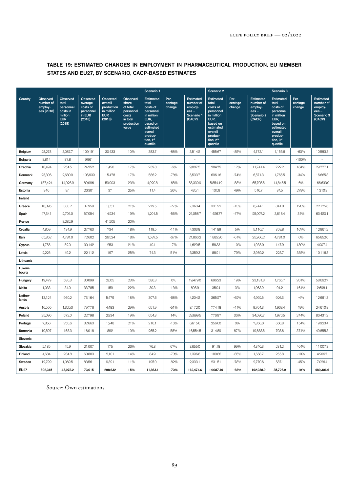|                  |                                                       |                                                                                      |                                                                         |                                                                                | Scenario 1                                                                             |                                                                                                                                                  |                           | Scenario 2                                                                  |                                                                                                                                                              |                           | Scenario 3                                                                  |                                                                                                                                                  |                           |                                                                           |
|------------------|-------------------------------------------------------|--------------------------------------------------------------------------------------|-------------------------------------------------------------------------|--------------------------------------------------------------------------------|----------------------------------------------------------------------------------------|--------------------------------------------------------------------------------------------------------------------------------------------------|---------------------------|-----------------------------------------------------------------------------|--------------------------------------------------------------------------------------------------------------------------------------------------------------|---------------------------|-----------------------------------------------------------------------------|--------------------------------------------------------------------------------------------------------------------------------------------------|---------------------------|---------------------------------------------------------------------------|
| Country          | <b>Observed</b><br>number of<br>employ-<br>ees (2018) | <b>Observed</b><br>total<br>personnel<br>costs in<br>million<br><b>EUR</b><br>(2018) | <b>Observed</b><br>average<br>costs of<br>personnel<br>in EUR<br>(2018) | <b>Observed</b><br>overall<br>production<br>in million<br><b>EUR</b><br>(2018) | Observed<br>share<br>of total<br>personnel<br>costs<br>in total<br>production<br>value | <b>Estimated</b><br>total<br>costs of<br>personnel<br>in million<br>EUR,<br>based on<br>estimated<br>overall<br>produc-<br>tion, 1st<br>quartile | Per-<br>centage<br>change | <b>Estimated</b><br>number of<br>employ-<br>$ees -$<br>Scenario 1<br>(CACP) | <b>Estimated</b><br>total<br>costs of<br>personnel<br>in million<br>EUR,<br>based on<br>estimated<br>overall<br>produc-<br>tion, 2 <sup>nd</sup><br>quartile | Per-<br>centage<br>change | <b>Estimated</b><br>number of<br>employ-<br>$ees -$<br>Scenario 2<br>(CACP) | <b>Estimated</b><br>total<br>costs of<br>personnel<br>in million<br>EUR,<br>based on<br>estimated<br>overall<br>produc-<br>tion, 3rd<br>quartile | Per-<br>centage<br>change | <b>Estimated</b><br>number of<br>employ-<br>ees –<br>Scenario 3<br>(CACP) |
| Belgium          | 28,278                                                | 3,087.7                                                                              | 109,191                                                                 | 30,433                                                                         | 10%                                                                                    | 383.7                                                                                                                                            | $-88%$                    | 3,514.2                                                                     | 455.67                                                                                                                                                       | $-85%$                    | 4,173.1                                                                     | 1,155.6                                                                                                                                          | $-63%$                    | 10,583.3                                                                  |
| <b>Bulgaria</b>  | 8,814                                                 | 87.8                                                                                 | 9,961                                                                   |                                                                                |                                                                                        |                                                                                                                                                  |                           |                                                                             |                                                                                                                                                              |                           | $\sim$                                                                      | $\overline{\phantom{a}}$                                                                                                                         | $-100%$                   |                                                                           |
| Czechia          | 10,494                                                | 254.5                                                                                | 24,252                                                                  | 1,490                                                                          | 17%                                                                                    | 239.8                                                                                                                                            | $-6%$                     | 9,887.5                                                                     | 284.75                                                                                                                                                       | 12%                       | 11,741.4                                                                    | 722.2                                                                                                                                            | 184%                      | 29,777.1                                                                  |
| Denmark          | 25,306                                                | 2,680.9                                                                              | 105,939                                                                 | 15,478                                                                         | 17%                                                                                    | 586.2                                                                                                                                            | $-78%$                    | 5,533.7                                                                     | 696.16                                                                                                                                                       | $-74%$                    | 6,571.3                                                                     | 1,765.5                                                                                                                                          | $-34%$                    | 16,665.3                                                                  |
| Germany          | 157,424                                               | 14,025.9                                                                             | 89,096                                                                  | 59,903                                                                         | 23%                                                                                    | 4,929.8                                                                                                                                          | $-65%$                    | 55,330.9                                                                    | 5,854.12                                                                                                                                                     | $-58%$                    | 65,705.5                                                                    | 14,846.5                                                                                                                                         | 6%                        | 166,633.9                                                                 |
| Estonia          | 346                                                   | 9.1                                                                                  | 26,301                                                                  | 37                                                                             | 25%                                                                                    | 11.4                                                                                                                                             | 26%                       | 435.1                                                                       | 13.59                                                                                                                                                        | 49%                       | 516.7                                                                       | 34.5                                                                                                                                             | 279%                      | 1,310.3                                                                   |
| Ireland          |                                                       |                                                                                      |                                                                         |                                                                                |                                                                                        |                                                                                                                                                  |                           |                                                                             |                                                                                                                                                              |                           |                                                                             |                                                                                                                                                  |                           |                                                                           |
| Greece           | 10,095                                                | 383.2                                                                                | 37,959                                                                  | 1,851                                                                          | 21%                                                                                    | 279.5                                                                                                                                            | $-27%$                    | 7,363.4                                                                     | 331.92                                                                                                                                                       | $-13%$                    | 8,744.1                                                                     | 841.8                                                                                                                                            | 120%                      | 22,175.6                                                                  |
| Spain            | 47,341                                                | 2,701.0                                                                              | 57,054                                                                  | 14,234                                                                         | 19%                                                                                    | 1,201.5                                                                                                                                          | $-56%$                    | 21,058.7                                                                    | 1,426.77                                                                                                                                                     | $-47%$                    | 25,007.2                                                                    | 3,618.4                                                                                                                                          | 34%                       | 63,420.1                                                                  |
| France           |                                                       | 8,282.9                                                                              |                                                                         | 41,205                                                                         | 20%                                                                                    |                                                                                                                                                  |                           |                                                                             |                                                                                                                                                              |                           |                                                                             |                                                                                                                                                  |                           |                                                                           |
| Croatia          | 4,859                                                 | 134.9                                                                                | 27,763                                                                  | 734                                                                            | 18%                                                                                    | 119.5                                                                                                                                            | $-11%$                    | 4,303.8                                                                     | 141.89                                                                                                                                                       | 5%                        | 5,110.7                                                                     | 359.8                                                                                                                                            | 167%                      | 12,961.2                                                                  |
| Italy            | 65,852                                                | 4,781.0                                                                              | 72,602                                                                  | 26,524                                                                         | 18%                                                                                    | 1,587.5                                                                                                                                          | $-67%$                    | 21,866.2                                                                    | 1,885.20                                                                                                                                                     | $-61%$                    | 25,966.2                                                                    | 4,781.0                                                                                                                                          | $O\%$                     | 65,852.0                                                                  |
| Cyprus           | 1,755                                                 | 52.9                                                                                 | 30,142                                                                  | 253                                                                            | 21%                                                                                    | 49.1                                                                                                                                             | $-7%$                     | 1,629.5                                                                     | 58.33                                                                                                                                                        | 10%                       | 1,935.0                                                                     | 147.9                                                                                                                                            | 180%                      | 4,907.4                                                                   |
| Latvia           | 2,225                                                 | 49.2                                                                                 | 22,112                                                                  | 197                                                                            | 25%                                                                                    | 74.3                                                                                                                                             | 51%                       | 3,359.3                                                                     | 88.21                                                                                                                                                        | 79%                       | 3,989.2                                                                     | 223.7                                                                                                                                            | 355%                      | 10,116.8                                                                  |
| Lithuania        |                                                       |                                                                                      |                                                                         |                                                                                |                                                                                        |                                                                                                                                                  |                           |                                                                             |                                                                                                                                                              |                           |                                                                             |                                                                                                                                                  |                           |                                                                           |
| Luxem-<br>bourg  |                                                       |                                                                                      |                                                                         |                                                                                |                                                                                        |                                                                                                                                                  |                           |                                                                             |                                                                                                                                                              |                           |                                                                             |                                                                                                                                                  |                           |                                                                           |
| Hungary          | 19.479                                                | 586.3                                                                                | 30,099                                                                  | 2,605                                                                          | 23%                                                                                    | 586.3                                                                                                                                            | $O\%$                     | 19,479.0                                                                    | 696.23                                                                                                                                                       | 19%                       | 23,131.3                                                                    | 1,765.7                                                                                                                                          | 201%                      | 58.662.7                                                                  |
| Malta            | 1,033                                                 | 34.9                                                                                 | 33,785                                                                  | 159                                                                            | 22%                                                                                    | 30.3                                                                                                                                             | $-13%$                    | 895.9                                                                       | 35.94                                                                                                                                                        | 3%                        | 1,063.9                                                                     | 91.2                                                                                                                                             | 161%                      | 2,698.1                                                                   |
| Nether-<br>lands | 13,124                                                | 960.2                                                                                | 73,164                                                                  | 5,479                                                                          | 18%                                                                                    | 307.6                                                                                                                                            | $-68%$                    | 4,204.2                                                                     | 365.27                                                                                                                                                       | $-62%$                    | 4,992.5                                                                     | 926.3                                                                                                                                            | $-4%$                     | 12,661.3                                                                  |
| Austria          | 16,550                                                | 1,320.3                                                                              | 79,776                                                                  | 4,483                                                                          | 29%                                                                                    | 651.9                                                                                                                                            | $-51%$                    | 8,172.0                                                                     | 774.18                                                                                                                                                       | $-41%$                    | 9,704.3                                                                     | 1,963.4                                                                                                                                          | 49%                       | 24,610.8                                                                  |
| Poland           | 25,090                                                | 572.0                                                                                | 22,798                                                                  | 2,934                                                                          | 19%                                                                                    | 654.3                                                                                                                                            | 14%                       | 28,699.5                                                                    | 776.97                                                                                                                                                       | 36%                       | 34,080.7                                                                    | 1,970.5                                                                                                                                          | 244%                      | 86,431.2                                                                  |
| Portugal         | 7,856                                                 | 256.6                                                                                | 32,663                                                                  | 1,248                                                                          | 21%                                                                                    | 216.1                                                                                                                                            | $-16%$                    | 6,615.6                                                                     | 256.60                                                                                                                                                       | $O\%$                     | 7,856.0                                                                     | 650.8                                                                                                                                            | 154%                      | 19,923.4                                                                  |
| Romania          | 10,507                                                | 168.3                                                                                | 16,018                                                                  | 892                                                                            | 19%                                                                                    | 265.2                                                                                                                                            | 58%                       | 16,554.5                                                                    | 314.89                                                                                                                                                       | 87%                       | 19,658.5                                                                    | 798.6                                                                                                                                            | 374%                      | 49,855.3                                                                  |
| Slovenia         |                                                       |                                                                                      |                                                                         |                                                                                |                                                                                        |                                                                                                                                                  |                           |                                                                             |                                                                                                                                                              |                           |                                                                             |                                                                                                                                                  |                           |                                                                           |
| Slovakia         | 2,185                                                 | 45.9                                                                                 | 21,007                                                                  | 175                                                                            | 26%                                                                                    | 76.8                                                                                                                                             | 67%                       | 3,655.0                                                                     | 91.18                                                                                                                                                        | 99%                       | 4,340.3                                                                     | 231.2                                                                                                                                            | 404%                      | 11,007.3                                                                  |
| Finland          | 4,684                                                 | 284.8                                                                                | 60,803                                                                  | 2,101                                                                          | 14%                                                                                    | 84.9                                                                                                                                             | $-70%$                    | 1,396.8                                                                     | 100.86                                                                                                                                                       | $-65%$                    | 1,658.7                                                                     | 255.8                                                                                                                                            | $-10%$                    | 4,206.7                                                                   |
| Sweden           | 12,799                                                | 1,069.5                                                                              | 83,561                                                                  | 9,391                                                                          | 11%                                                                                    | 195.0                                                                                                                                            | $-82%$                    | 2,333.1                                                                     | 231.51                                                                                                                                                       | $-78%$                    | 2,770.6                                                                     | 587.1                                                                                                                                            | $-45%$                    | 7,026.4                                                                   |
| <b>EU27</b>      | 602,315                                               | 43,978.2                                                                             | 73,015                                                                  | 298,632                                                                        | 15%                                                                                    | 11,863.1                                                                                                                                         | $-73%$                    | 162,474.6                                                                   | 14,087.49                                                                                                                                                    | -68%                      | 192,938.9                                                                   | 35,726.9                                                                                                                                         | $-19%$                    | 489,306.6                                                                 |

### TABLE 19: ESTIMATED CHANGES IN EMPLOYMENT IN PHARMACEUTICAL PRODUCTION, EU MEMBER STATES AND EU27, BY SCENARIO, CACP-BASED ESTIMATES